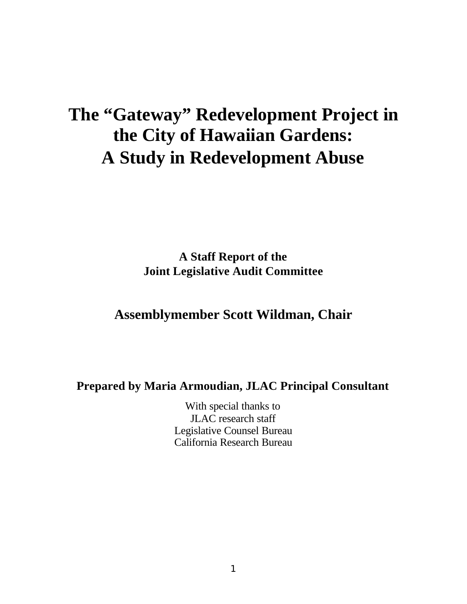# **The "Gateway" Redevelopment Project in the City of Hawaiian Gardens: A Study in Redevelopment Abuse**

**A Staff Report of the Joint Legislative Audit Committee**

## **Assemblymember Scott Wildman, Chair**

## **Prepared by Maria Armoudian, JLAC Principal Consultant**

With special thanks to JLAC research staff Legislative Counsel Bureau California Research Bureau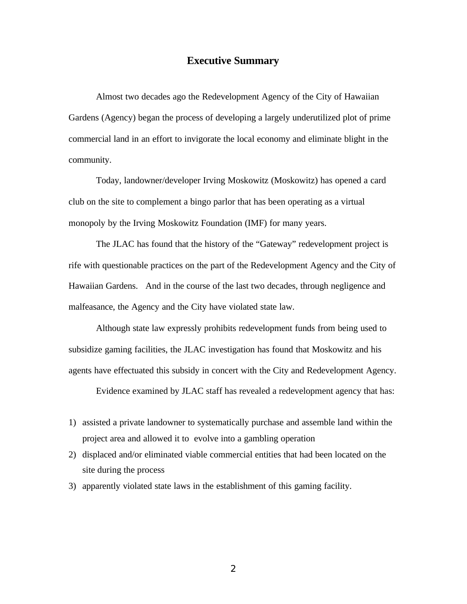#### **Executive Summary**

Almost two decades ago the Redevelopment Agency of the City of Hawaiian Gardens (Agency) began the process of developing a largely underutilized plot of prime commercial land in an effort to invigorate the local economy and eliminate blight in the community.

Today, landowner/developer Irving Moskowitz (Moskowitz) has opened a card club on the site to complement a bingo parlor that has been operating as a virtual monopoly by the Irving Moskowitz Foundation (IMF) for many years.

The JLAC has found that the history of the "Gateway" redevelopment project is rife with questionable practices on the part of the Redevelopment Agency and the City of Hawaiian Gardens. And in the course of the last two decades, through negligence and malfeasance, the Agency and the City have violated state law.

Although state law expressly prohibits redevelopment funds from being used to subsidize gaming facilities, the JLAC investigation has found that Moskowitz and his agents have effectuated this subsidy in concert with the City and Redevelopment Agency.

Evidence examined by JLAC staff has revealed a redevelopment agency that has:

- 1) assisted a private landowner to systematically purchase and assemble land within the project area and allowed it to evolve into a gambling operation
- 2) displaced and/or eliminated viable commercial entities that had been located on the site during the process
- 3) apparently violated state laws in the establishment of this gaming facility.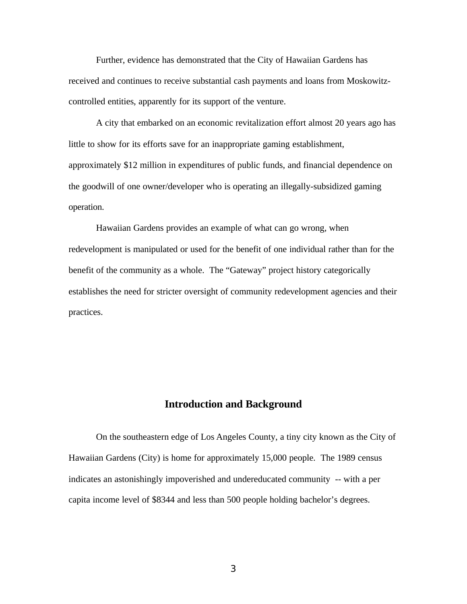Further, evidence has demonstrated that the City of Hawaiian Gardens has received and continues to receive substantial cash payments and loans from Moskowitzcontrolled entities, apparently for its support of the venture.

A city that embarked on an economic revitalization effort almost 20 years ago has little to show for its efforts save for an inappropriate gaming establishment, approximately \$12 million in expenditures of public funds, and financial dependence on the goodwill of one owner/developer who is operating an illegally-subsidized gaming operation.

Hawaiian Gardens provides an example of what can go wrong, when redevelopment is manipulated or used for the benefit of one individual rather than for the benefit of the community as a whole. The "Gateway" project history categorically establishes the need for stricter oversight of community redevelopment agencies and their practices.

#### **Introduction and Background**

On the southeastern edge of Los Angeles County, a tiny city known as the City of Hawaiian Gardens (City) is home for approximately 15,000 people. The 1989 census indicates an astonishingly impoverished and undereducated community -- with a per capita income level of \$8344 and less than 500 people holding bachelor's degrees.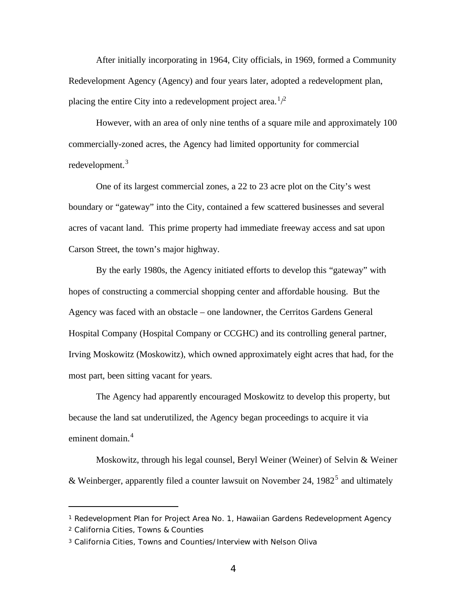After initially incorporating in 1964, City officials, in 1969, formed a Community Redevelopment Agency (Agency) and four years later, adopted a redevelopment plan, placing the entire City into a redevelopment project area.<sup>1</sup>/<sup>2</sup>

However, with an area of only nine tenths of a square mile and approximately 100 commercially-zoned acres, the Agency had limited opportunity for commercial redevelopment.<sup>3</sup>

One of its largest commercial zones, a 22 to 23 acre plot on the City's west boundary or "gateway" into the City, contained a few scattered businesses and several acres of vacant land. This prime property had immediate freeway access and sat upon Carson Street, the town's major highway.

By the early 1980s, the Agency initiated efforts to develop this "gateway" with hopes of constructing a commercial shopping center and affordable housing. But the Agency was faced with an obstacle – one landowner, the Cerritos Gardens General Hospital Company (Hospital Company or CCGHC) and its controlling general partner, Irving Moskowitz (Moskowitz), which owned approximately eight acres that had, for the most part, been sitting vacant for years.

The Agency had apparently encouraged Moskowitz to develop this property, but because the land sat underutilized, the Agency began proceedings to acquire it via eminent domain.<sup>4</sup>

Moskowitz, through his legal counsel, Beryl Weiner (Weiner) of Selvin & Weiner & Weinberger, apparently filed a counter lawsuit on November 24, 1982<sup>5</sup> and ultimately

<sup>1</sup> Redevelopment Plan for Project Area No. 1, Hawaiian Gardens Redevelopment Agency

<sup>2</sup> California Cities, Towns & Counties

<sup>3</sup> California Cities, Towns and Counties/Interview with Nelson Oliva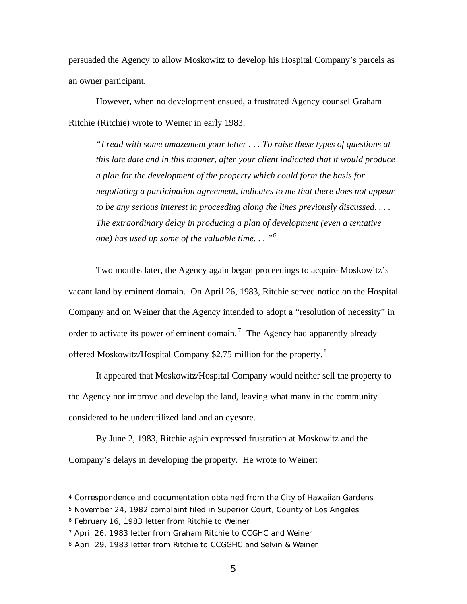persuaded the Agency to allow Moskowitz to develop his Hospital Company's parcels as an owner participant.

However, when no development ensued, a frustrated Agency counsel Graham Ritchie (Ritchie) wrote to Weiner in early 1983:

*"I read with some amazement your letter . . . To raise these types of questions at this late date and in this manner, after your client indicated that it would produce a plan for the development of the property which could form the basis for negotiating a participation agreement, indicates to me that there does not appear to be any serious interest in proceeding along the lines previously discussed. . . . The extraordinary delay in producing a plan of development (even a tentative one) has used up some of the valuable time. . . "<sup>6</sup>*

Two months later, the Agency again began proceedings to acquire Moskowitz's vacant land by eminent domain. On April 26, 1983, Ritchie served notice on the Hospital Company and on Weiner that the Agency intended to adopt a "resolution of necessity" in order to activate its power of eminent domain.<sup>7</sup> The Agency had apparently already offered Moskowitz/Hospital Company \$2.75 million for the property.<sup>8</sup>

It appeared that Moskowitz/Hospital Company would neither sell the property to the Agency nor improve and develop the land, leaving what many in the community considered to be underutilized land and an eyesore.

By June 2, 1983, Ritchie again expressed frustration at Moskowitz and the Company's delays in developing the property. He wrote to Weiner:

<sup>4</sup> Correspondence and documentation obtained from the City of Hawaiian Gardens

<sup>5</sup> November 24, 1982 complaint filed in Superior Court, County of Los Angeles

<sup>6</sup> February 16, 1983 letter from Ritchie to Weiner

<sup>7</sup> April 26, 1983 letter from Graham Ritchie to CCGHC and Weiner

<sup>8</sup> April 29, 1983 letter from Ritchie to CCGGHC and Selvin & Weiner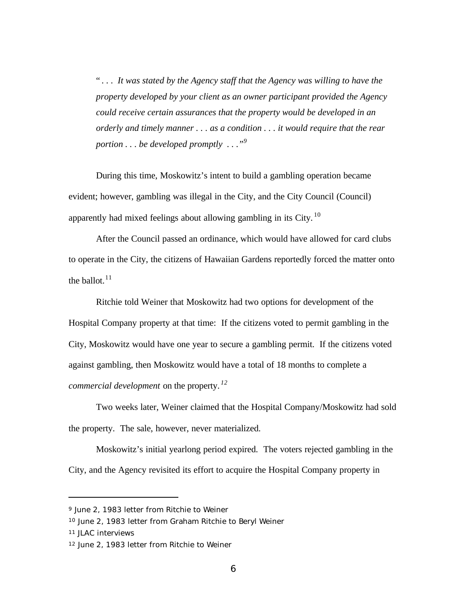" *. . . It was stated by the Agency staff that the Agency was willing to have the property developed by your client as an owner participant provided the Agency could receive certain assurances that the property would be developed in an orderly and timely manner . . . as a condition . . . it would require that the rear portion . . . be developed promptly . . ."<sup>9</sup>*

During this time, Moskowitz's intent to build a gambling operation became evident; however, gambling was illegal in the City, and the City Council (Council) apparently had mixed feelings about allowing gambling in its City. <sup>10</sup>

After the Council passed an ordinance, which would have allowed for card clubs to operate in the City, the citizens of Hawaiian Gardens reportedly forced the matter onto the ballot. $11$ 

Ritchie told Weiner that Moskowitz had two options for development of the Hospital Company property at that time: If the citizens voted to permit gambling in the City, Moskowitz would have one year to secure a gambling permit. If the citizens voted against gambling, then Moskowitz would have a total of 18 months to complete a *commercial development* on the property. *<sup>12</sup>*

Two weeks later, Weiner claimed that the Hospital Company/Moskowitz had sold the property. The sale, however, never materialized.

Moskowitz's initial yearlong period expired. The voters rejected gambling in the City, and the Agency revisited its effort to acquire the Hospital Company property in

<sup>9</sup> June 2, 1983 letter from Ritchie to Weiner

<sup>10</sup> June 2, 1983 letter from Graham Ritchie to Beryl Weiner

<sup>11</sup> JLAC interviews

<sup>12</sup> June 2, 1983 letter from Ritchie to Weiner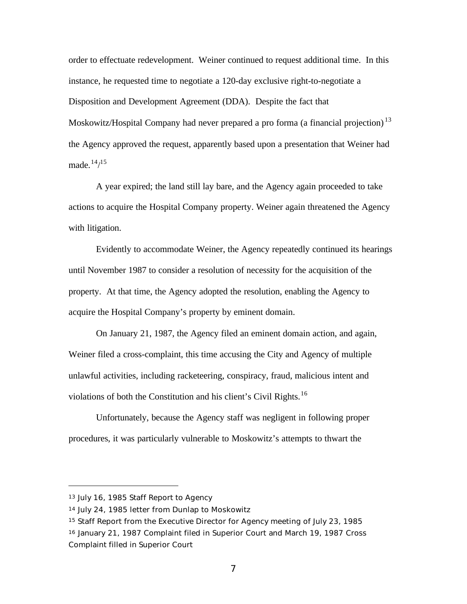order to effectuate redevelopment. Weiner continued to request additional time. In this instance, he requested time to negotiate a 120-day exclusive right-to-negotiate a Disposition and Development Agreement (DDA). Despite the fact that Moskowitz/Hospital Company had never prepared a pro forma (a financial projection)<sup>13</sup> the Agency approved the request, apparently based upon a presentation that Weiner had made. $14/15$ 

A year expired; the land still lay bare, and the Agency again proceeded to take actions to acquire the Hospital Company property. Weiner again threatened the Agency with litigation.

Evidently to accommodate Weiner, the Agency repeatedly continued its hearings until November 1987 to consider a resolution of necessity for the acquisition of the property. At that time, the Agency adopted the resolution, enabling the Agency to acquire the Hospital Company's property by eminent domain.

On January 21, 1987, the Agency filed an eminent domain action, and again, Weiner filed a cross-complaint, this time accusing the City and Agency of multiple unlawful activities, including racketeering, conspiracy, fraud, malicious intent and violations of both the Constitution and his client's Civil Rights.<sup>16</sup>

Unfortunately, because the Agency staff was negligent in following proper procedures, it was particularly vulnerable to Moskowitz's attempts to thwart the

<sup>13</sup> July 16, 1985 Staff Report to Agency

<sup>14</sup> July 24, 1985 letter from Dunlap to Moskowitz

<sup>15</sup> Staff Report from the Executive Director for Agency meeting of July 23, 1985 <sup>16</sup> January 21, 1987 Complaint filed in Superior Court and March 19, 1987 Cross Complaint filled in Superior Court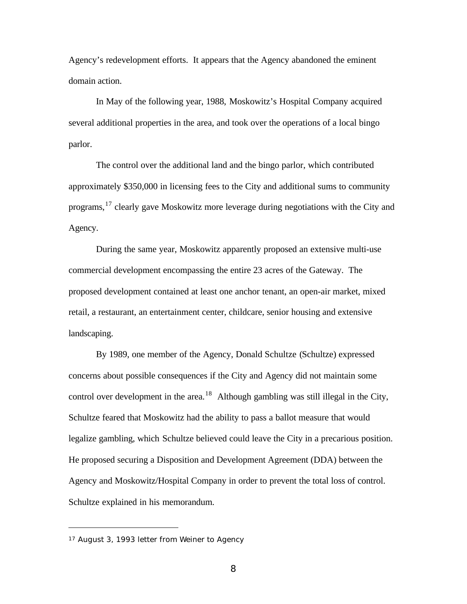Agency's redevelopment efforts. It appears that the Agency abandoned the eminent domain action.

In May of the following year, 1988, Moskowitz's Hospital Company acquired several additional properties in the area, and took over the operations of a local bingo parlor.

The control over the additional land and the bingo parlor, which contributed approximately \$350,000 in licensing fees to the City and additional sums to community programs,<sup>17</sup> clearly gave Moskowitz more leverage during negotiations with the City and Agency.

During the same year, Moskowitz apparently proposed an extensive multi-use commercial development encompassing the entire 23 acres of the Gateway. The proposed development contained at least one anchor tenant, an open-air market, mixed retail, a restaurant, an entertainment center, childcare, senior housing and extensive landscaping.

By 1989, one member of the Agency, Donald Schultze (Schultze) expressed concerns about possible consequences if the City and Agency did not maintain some control over development in the area.<sup>18</sup> Although gambling was still illegal in the City, Schultze feared that Moskowitz had the ability to pass a ballot measure that would legalize gambling, which Schultze believed could leave the City in a precarious position. He proposed securing a Disposition and Development Agreement (DDA) between the Agency and Moskowitz/Hospital Company in order to prevent the total loss of control. Schultze explained in his memorandum.

<sup>17</sup> August 3, 1993 letter from Weiner to Agency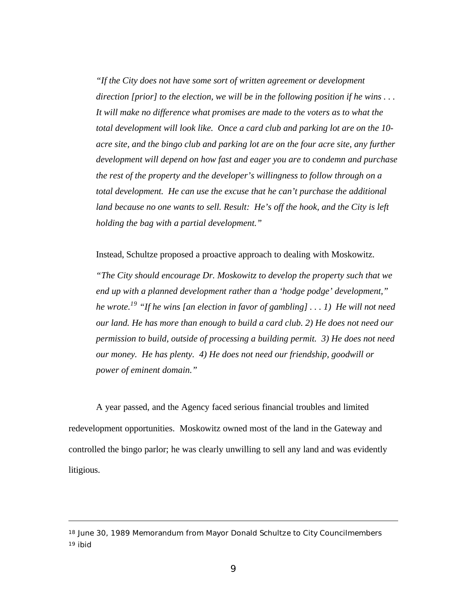*"If the City does not have some sort of written agreement or development direction [prior] to the election, we will be in the following position if he wins . . . It will make no difference what promises are made to the voters as to what the total development will look like. Once a card club and parking lot are on the 10 acre site, and the bingo club and parking lot are on the four acre site, any further development will depend on how fast and eager you are to condemn and purchase the rest of the property and the developer's willingness to follow through on a total development. He can use the excuse that he can't purchase the additional land because no one wants to sell. Result: He's off the hook, and the City is left holding the bag with a partial development."*

Instead, Schultze proposed a proactive approach to dealing with Moskowitz.

*"The City should encourage Dr. Moskowitz to develop the property such that we end up with a planned development rather than a 'hodge podge' development," he wrote.<sup>19</sup> "If he wins [an election in favor of gambling] . . . 1) He will not need our land. He has more than enough to build a card club. 2) He does not need our permission to build, outside of processing a building permit. 3) He does not need our money. He has plenty. 4) He does not need our friendship, goodwill or power of eminent domain."*

A year passed, and the Agency faced serious financial troubles and limited redevelopment opportunities. Moskowitz owned most of the land in the Gateway and controlled the bingo parlor; he was clearly unwilling to sell any land and was evidently litigious.

<sup>18</sup> June 30, 1989 Memorandum from Mayor Donald Schultze to City Councilmembers 19 ibid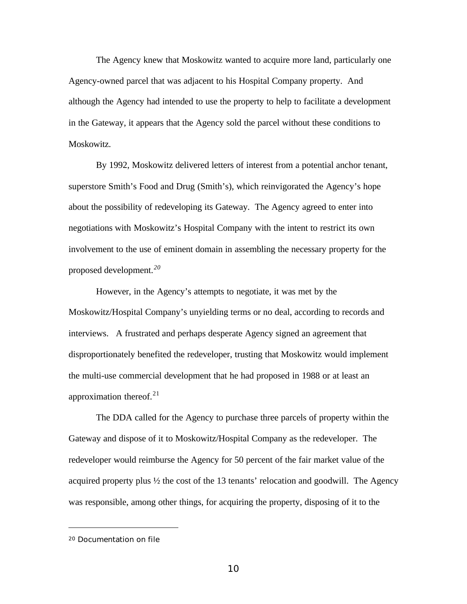The Agency knew that Moskowitz wanted to acquire more land, particularly one Agency-owned parcel that was adjacent to his Hospital Company property. And although the Agency had intended to use the property to help to facilitate a development in the Gateway, it appears that the Agency sold the parcel without these conditions to Moskowitz.

By 1992, Moskowitz delivered letters of interest from a potential anchor tenant, superstore Smith's Food and Drug (Smith's), which reinvigorated the Agency's hope about the possibility of redeveloping its Gateway. The Agency agreed to enter into negotiations with Moskowitz's Hospital Company with the intent to restrict its own involvement to the use of eminent domain in assembling the necessary property for the proposed development.*<sup>20</sup>*

However, in the Agency's attempts to negotiate, it was met by the Moskowitz/Hospital Company's unyielding terms or no deal, according to records and interviews. A frustrated and perhaps desperate Agency signed an agreement that disproportionately benefited the redeveloper, trusting that Moskowitz would implement the multi-use commercial development that he had proposed in 1988 or at least an approximation thereof. $21$ 

The DDA called for the Agency to purchase three parcels of property within the Gateway and dispose of it to Moskowitz/Hospital Company as the redeveloper. The redeveloper would reimburse the Agency for 50 percent of the fair market value of the acquired property plus ½ the cost of the 13 tenants' relocation and goodwill. The Agency was responsible, among other things, for acquiring the property, disposing of it to the

<sup>20</sup> Documentation on file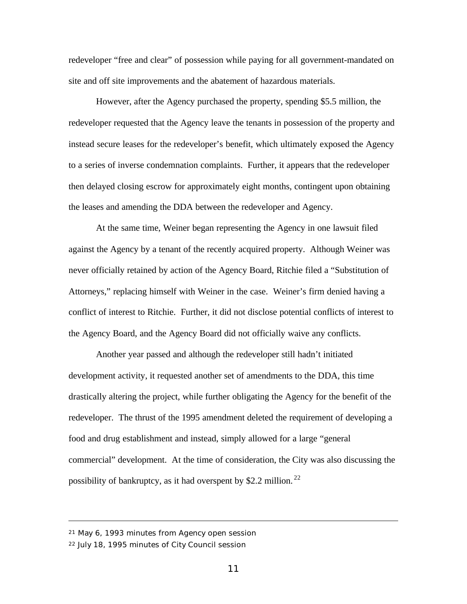redeveloper "free and clear" of possession while paying for all government-mandated on site and off site improvements and the abatement of hazardous materials.

However, after the Agency purchased the property, spending \$5.5 million, the redeveloper requested that the Agency leave the tenants in possession of the property and instead secure leases for the redeveloper's benefit, which ultimately exposed the Agency to a series of inverse condemnation complaints. Further, it appears that the redeveloper then delayed closing escrow for approximately eight months, contingent upon obtaining the leases and amending the DDA between the redeveloper and Agency.

At the same time, Weiner began representing the Agency in one lawsuit filed against the Agency by a tenant of the recently acquired property. Although Weiner was never officially retained by action of the Agency Board, Ritchie filed a "Substitution of Attorneys," replacing himself with Weiner in the case. Weiner's firm denied having a conflict of interest to Ritchie. Further, it did not disclose potential conflicts of interest to the Agency Board, and the Agency Board did not officially waive any conflicts.

Another year passed and although the redeveloper still hadn't initiated development activity, it requested another set of amendments to the DDA, this time drastically altering the project, while further obligating the Agency for the benefit of the redeveloper. The thrust of the 1995 amendment deleted the requirement of developing a food and drug establishment and instead, simply allowed for a large "general commercial" development. At the time of consideration, the City was also discussing the possibility of bankruptcy, as it had overspent by \$2.2 million. <sup>22</sup>

<sup>21</sup> May 6, 1993 minutes from Agency open session

<sup>22</sup> July 18, 1995 minutes of City Council session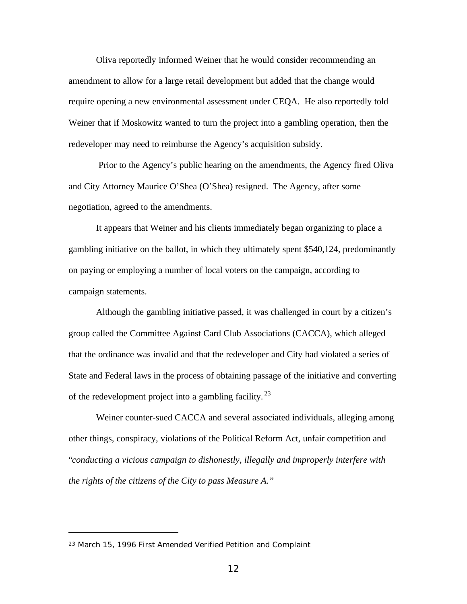Oliva reportedly informed Weiner that he would consider recommending an amendment to allow for a large retail development but added that the change would require opening a new environmental assessment under CEQA. He also reportedly told Weiner that if Moskowitz wanted to turn the project into a gambling operation, then the redeveloper may need to reimburse the Agency's acquisition subsidy.

 Prior to the Agency's public hearing on the amendments, the Agency fired Oliva and City Attorney Maurice O'Shea (O'Shea) resigned. The Agency, after some negotiation, agreed to the amendments.

It appears that Weiner and his clients immediately began organizing to place a gambling initiative on the ballot, in which they ultimately spent \$540,124, predominantly on paying or employing a number of local voters on the campaign, according to campaign statements.

Although the gambling initiative passed, it was challenged in court by a citizen's group called the Committee Against Card Club Associations (CACCA), which alleged that the ordinance was invalid and that the redeveloper and City had violated a series of State and Federal laws in the process of obtaining passage of the initiative and converting of the redevelopment project into a gambling facility.<sup>23</sup>

Weiner counter-sued CACCA and several associated individuals, alleging among other things, conspiracy, violations of the Political Reform Act, unfair competition and "*conducting a vicious campaign to dishonestly, illegally and improperly interfere with the rights of the citizens of the City to pass Measure A."*

<sup>23</sup> March 15, 1996 First Amended Verified Petition and Complaint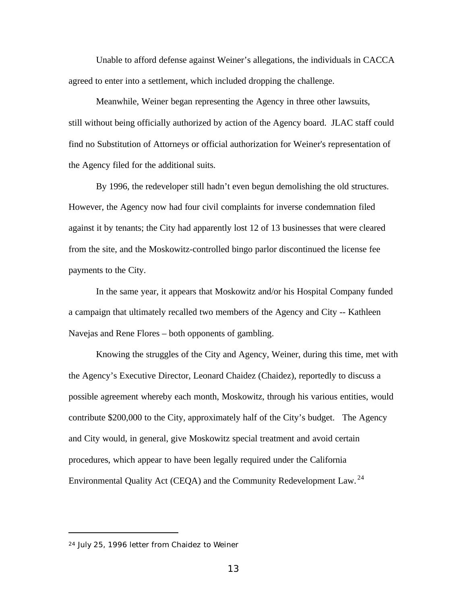Unable to afford defense against Weiner's allegations, the individuals in CACCA agreed to enter into a settlement, which included dropping the challenge.

Meanwhile, Weiner began representing the Agency in three other lawsuits, still without being officially authorized by action of the Agency board. JLAC staff could find no Substitution of Attorneys or official authorization for Weiner's representation of the Agency filed for the additional suits.

By 1996, the redeveloper still hadn't even begun demolishing the old structures. However, the Agency now had four civil complaints for inverse condemnation filed against it by tenants; the City had apparently lost 12 of 13 businesses that were cleared from the site, and the Moskowitz-controlled bingo parlor discontinued the license fee payments to the City.

In the same year, it appears that Moskowitz and/or his Hospital Company funded a campaign that ultimately recalled two members of the Agency and City -- Kathleen Navejas and Rene Flores – both opponents of gambling.

Knowing the struggles of the City and Agency, Weiner, during this time, met with the Agency's Executive Director, Leonard Chaidez (Chaidez), reportedly to discuss a possible agreement whereby each month, Moskowitz, through his various entities, would contribute \$200,000 to the City, approximately half of the City's budget. The Agency and City would, in general, give Moskowitz special treatment and avoid certain procedures, which appear to have been legally required under the California Environmental Quality Act (CEQA) and the Community Redevelopment Law. <sup>24</sup>

<sup>24</sup> July 25, 1996 letter from Chaidez to Weiner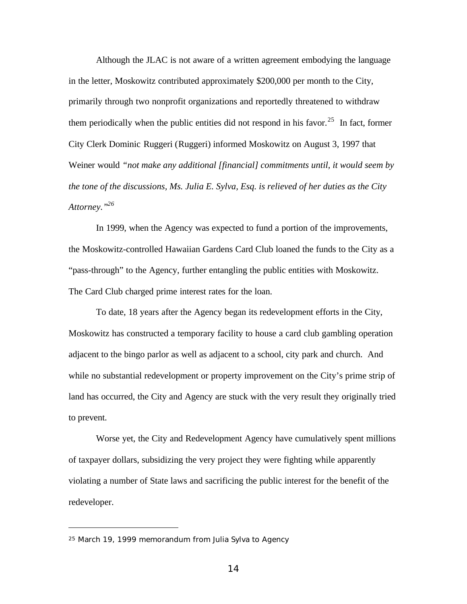Although the JLAC is not aware of a written agreement embodying the language in the letter, Moskowitz contributed approximately \$200,000 per month to the City, primarily through two nonprofit organizations and reportedly threatened to withdraw them periodically when the public entities did not respond in his favor.<sup>25</sup> In fact, former City Clerk Dominic Ruggeri (Ruggeri) informed Moskowitz on August 3, 1997 that Weiner would *"not make any additional [financial] commitments until, it would seem by the tone of the discussions, Ms. Julia E. Sylva, Esq. is relieved of her duties as the City Attorney."<sup>26</sup>*

In 1999, when the Agency was expected to fund a portion of the improvements, the Moskowitz-controlled Hawaiian Gardens Card Club loaned the funds to the City as a "pass-through" to the Agency, further entangling the public entities with Moskowitz. The Card Club charged prime interest rates for the loan.

To date, 18 years after the Agency began its redevelopment efforts in the City, Moskowitz has constructed a temporary facility to house a card club gambling operation adjacent to the bingo parlor as well as adjacent to a school, city park and church. And while no substantial redevelopment or property improvement on the City's prime strip of land has occurred, the City and Agency are stuck with the very result they originally tried to prevent.

Worse yet, the City and Redevelopment Agency have cumulatively spent millions of taxpayer dollars, subsidizing the very project they were fighting while apparently violating a number of State laws and sacrificing the public interest for the benefit of the redeveloper.

<sup>25</sup> March 19, 1999 memorandum from Julia Sylva to Agency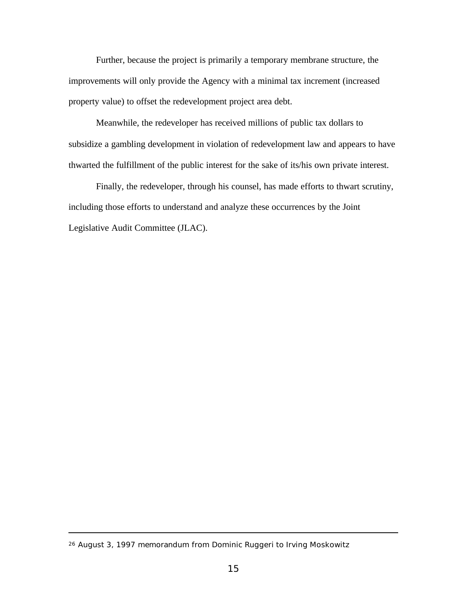Further, because the project is primarily a temporary membrane structure, the improvements will only provide the Agency with a minimal tax increment (increased property value) to offset the redevelopment project area debt.

Meanwhile, the redeveloper has received millions of public tax dollars to subsidize a gambling development in violation of redevelopment law and appears to have thwarted the fulfillment of the public interest for the sake of its/his own private interest.

Finally, the redeveloper, through his counsel, has made efforts to thwart scrutiny, including those efforts to understand and analyze these occurrences by the Joint Legislative Audit Committee (JLAC).

<sup>26</sup> August 3, 1997 memorandum from Dominic Ruggeri to Irving Moskowitz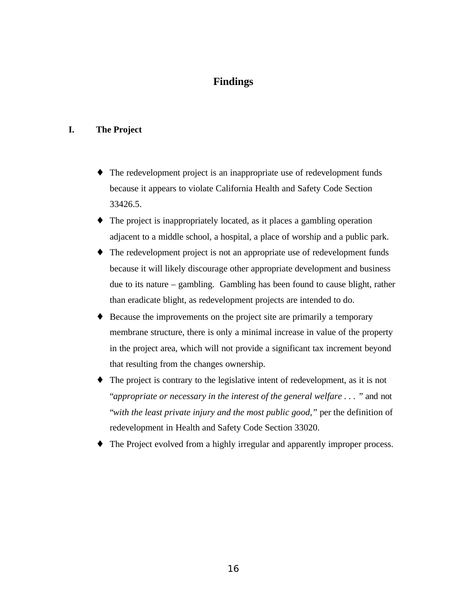## **Findings**

#### **I. The Project**

- ♦ The redevelopment project is an inappropriate use of redevelopment funds because it appears to violate California Health and Safety Code Section 33426.5.
- ♦ The project is inappropriately located, as it places a gambling operation adjacent to a middle school, a hospital, a place of worship and a public park.
- ♦ The redevelopment project is not an appropriate use of redevelopment funds because it will likely discourage other appropriate development and business due to its nature – gambling. Gambling has been found to cause blight, rather than eradicate blight, as redevelopment projects are intended to do.
- ♦ Because the improvements on the project site are primarily a temporary membrane structure, there is only a minimal increase in value of the property in the project area, which will not provide a significant tax increment beyond that resulting from the changes ownership.
- ♦ The project is contrary to the legislative intent of redevelopment, as it is not "*appropriate or necessary in the interest of the general welfare . . . "* and not "*with the least private injury and the most public good,"* per the definition of redevelopment in Health and Safety Code Section 33020.
- The Project evolved from a highly irregular and apparently improper process.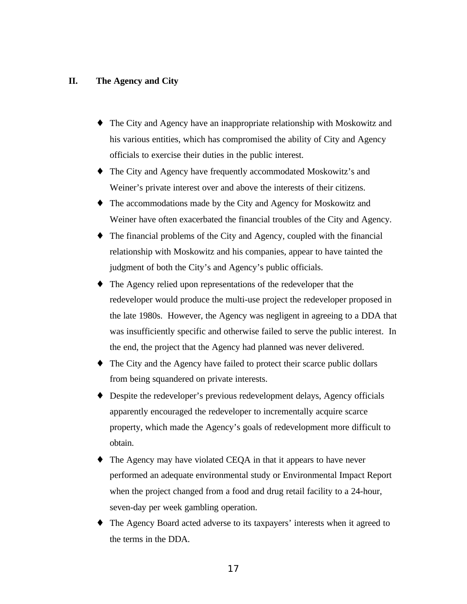#### **II. The Agency and City**

- ♦ The City and Agency have an inappropriate relationship with Moskowitz and his various entities, which has compromised the ability of City and Agency officials to exercise their duties in the public interest.
- ♦ The City and Agency have frequently accommodated Moskowitz's and Weiner's private interest over and above the interests of their citizens.
- ♦ The accommodations made by the City and Agency for Moskowitz and Weiner have often exacerbated the financial troubles of the City and Agency.
- ♦ The financial problems of the City and Agency, coupled with the financial relationship with Moskowitz and his companies, appear to have tainted the judgment of both the City's and Agency's public officials.
- ♦ The Agency relied upon representations of the redeveloper that the redeveloper would produce the multi-use project the redeveloper proposed in the late 1980s. However, the Agency was negligent in agreeing to a DDA that was insufficiently specific and otherwise failed to serve the public interest. In the end, the project that the Agency had planned was never delivered.
- ♦ The City and the Agency have failed to protect their scarce public dollars from being squandered on private interests.
- ♦ Despite the redeveloper's previous redevelopment delays, Agency officials apparently encouraged the redeveloper to incrementally acquire scarce property, which made the Agency's goals of redevelopment more difficult to obtain.
- ♦ The Agency may have violated CEQA in that it appears to have never performed an adequate environmental study or Environmental Impact Report when the project changed from a food and drug retail facility to a 24-hour, seven-day per week gambling operation.
- ♦ The Agency Board acted adverse to its taxpayers' interests when it agreed to the terms in the DDA.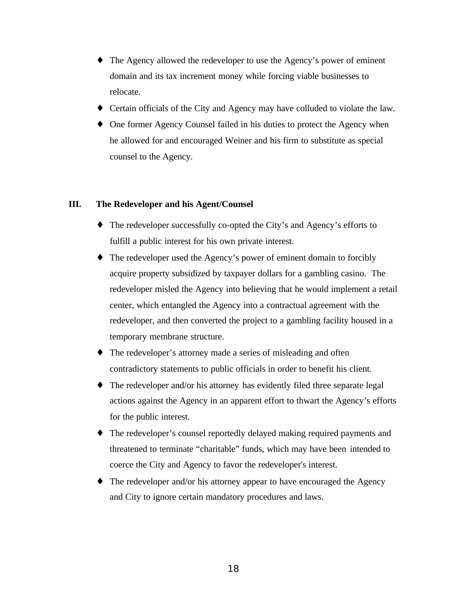- ♦ The Agency allowed the redeveloper to use the Agency's power of eminent domain and its tax increment money while forcing viable businesses to relocate.
- ♦ Certain officials of the City and Agency may have colluded to violate the law.
- One former Agency Counsel failed in his duties to protect the Agency when he allowed for and encouraged Weiner and his firm to substitute as special counsel to the Agency.

#### **III. The Redeveloper and his Agent/Counsel**

- ♦ The redeveloper successfully co-opted the City's and Agency's efforts to fulfill a public interest for his own private interest.
- ♦ The redeveloper used the Agency's power of eminent domain to forcibly acquire property subsidized by taxpayer dollars for a gambling casino. The redeveloper misled the Agency into believing that he would implement a retail center, which entangled the Agency into a contractual agreement with the redeveloper, and then converted the project to a gambling facility housed in a temporary membrane structure.
- ♦ The redeveloper's attorney made a series of misleading and often contradictory statements to public officials in order to benefit his client.
- ♦ The redeveloper and/or his attorney has evidently filed three separate legal actions against the Agency in an apparent effort to thwart the Agency's efforts for the public interest.
- ♦ The redeveloper's counsel reportedly delayed making required payments and threatened to terminate "charitable" funds, which may have been intended to coerce the City and Agency to favor the redeveloper's interest.
- The redeveloper and/or his attorney appear to have encouraged the Agency and City to ignore certain mandatory procedures and laws.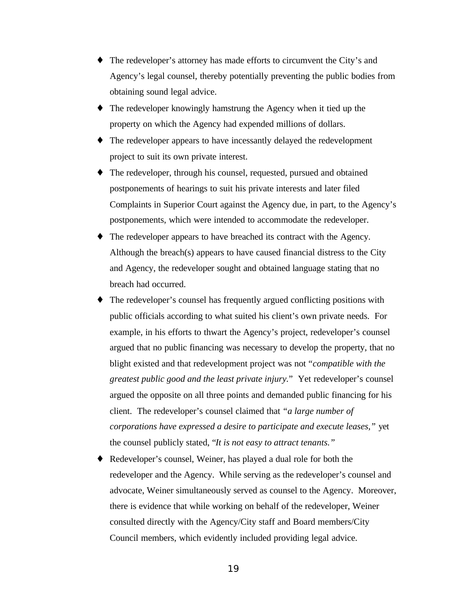- ♦ The redeveloper's attorney has made efforts to circumvent the City's and Agency's legal counsel, thereby potentially preventing the public bodies from obtaining sound legal advice.
- ♦ The redeveloper knowingly hamstrung the Agency when it tied up the property on which the Agency had expended millions of dollars.
- ♦ The redeveloper appears to have incessantly delayed the redevelopment project to suit its own private interest.
- ♦ The redeveloper, through his counsel, requested, pursued and obtained postponements of hearings to suit his private interests and later filed Complaints in Superior Court against the Agency due, in part, to the Agency's postponements, which were intended to accommodate the redeveloper.
- ♦ The redeveloper appears to have breached its contract with the Agency. Although the breach(s) appears to have caused financial distress to the City and Agency, the redeveloper sought and obtained language stating that no breach had occurred.
- The redeveloper's counsel has frequently argued conflicting positions with public officials according to what suited his client's own private needs. For example, in his efforts to thwart the Agency's project, redeveloper's counsel argued that no public financing was necessary to develop the property, that no blight existed and that redevelopment project was not *"compatible with the greatest public good and the least private injury.*" Yet redeveloper's counsel argued the opposite on all three points and demanded public financing for his client. The redeveloper's counsel claimed that *"a large number of corporations have expressed a desire to participate and execute leases,"* yet the counsel publicly stated, "*It is not easy to attract tenants."*
- ♦ Redeveloper's counsel, Weiner, has played a dual role for both the redeveloper and the Agency. While serving as the redeveloper's counsel and advocate, Weiner simultaneously served as counsel to the Agency. Moreover, there is evidence that while working on behalf of the redeveloper, Weiner consulted directly with the Agency/City staff and Board members/City Council members, which evidently included providing legal advice.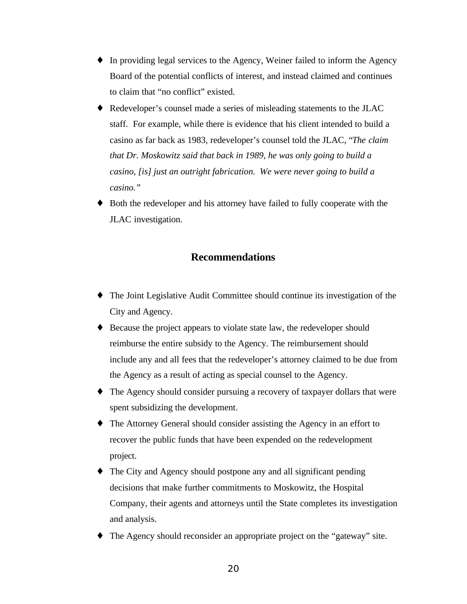- ♦ In providing legal services to the Agency, Weiner failed to inform the Agency Board of the potential conflicts of interest, and instead claimed and continues to claim that "no conflict" existed.
- ♦ Redeveloper's counsel made a series of misleading statements to the JLAC staff. For example, while there is evidence that his client intended to build a casino as far back as 1983, redeveloper's counsel told the JLAC, "*The claim that Dr. Moskowitz said that back in 1989, he was only going to build a casino, [is] just an outright fabrication. We were never going to build a casino."*
- ♦ Both the redeveloper and his attorney have failed to fully cooperate with the JLAC investigation.

## **Recommendations**

- ♦ The Joint Legislative Audit Committee should continue its investigation of the City and Agency.
- ♦ Because the project appears to violate state law, the redeveloper should reimburse the entire subsidy to the Agency. The reimbursement should include any and all fees that the redeveloper's attorney claimed to be due from the Agency as a result of acting as special counsel to the Agency.
- ♦ The Agency should consider pursuing a recovery of taxpayer dollars that were spent subsidizing the development.
- ♦ The Attorney General should consider assisting the Agency in an effort to recover the public funds that have been expended on the redevelopment project.
- ♦ The City and Agency should postpone any and all significant pending decisions that make further commitments to Moskowitz, the Hospital Company, their agents and attorneys until the State completes its investigation and analysis.
- ♦ The Agency should reconsider an appropriate project on the "gateway" site.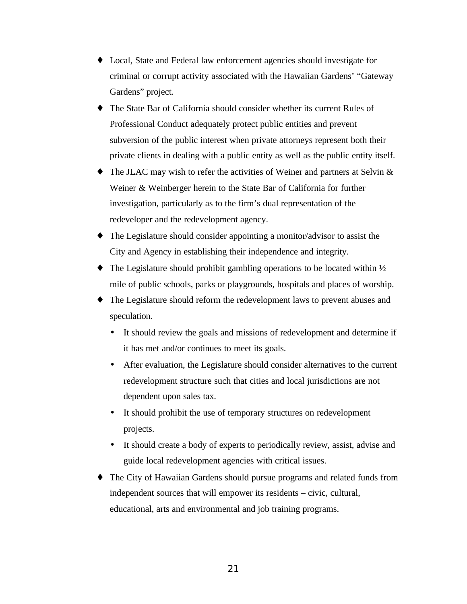- ♦ Local, State and Federal law enforcement agencies should investigate for criminal or corrupt activity associated with the Hawaiian Gardens' "Gateway Gardens" project.
- ♦ The State Bar of California should consider whether its current Rules of Professional Conduct adequately protect public entities and prevent subversion of the public interest when private attorneys represent both their private clients in dealing with a public entity as well as the public entity itself.
- ♦ The JLAC may wish to refer the activities of Weiner and partners at Selvin & Weiner & Weinberger herein to the State Bar of California for further investigation, particularly as to the firm's dual representation of the redeveloper and the redevelopment agency.
- ♦ The Legislature should consider appointing a monitor/advisor to assist the City and Agency in establishing their independence and integrity.
- $\bullet$  The Legislature should prohibit gambling operations to be located within  $\frac{1}{2}$ mile of public schools, parks or playgrounds, hospitals and places of worship.
- The Legislature should reform the redevelopment laws to prevent abuses and speculation.
	- It should review the goals and missions of redevelopment and determine if it has met and/or continues to meet its goals.
	- After evaluation, the Legislature should consider alternatives to the current redevelopment structure such that cities and local jurisdictions are not dependent upon sales tax.
	- It should prohibit the use of temporary structures on redevelopment projects.
	- It should create a body of experts to periodically review, assist, advise and guide local redevelopment agencies with critical issues.
- The City of Hawaiian Gardens should pursue programs and related funds from independent sources that will empower its residents – civic, cultural, educational, arts and environmental and job training programs.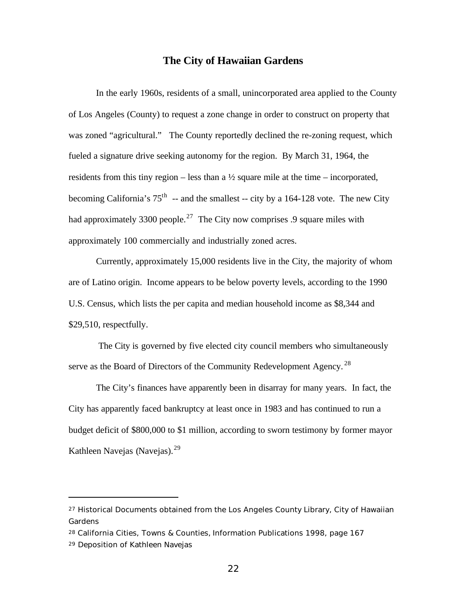#### **The City of Hawaiian Gardens**

In the early 1960s, residents of a small, unincorporated area applied to the County of Los Angeles (County) to request a zone change in order to construct on property that was zoned "agricultural." The County reportedly declined the re-zoning request, which fueled a signature drive seeking autonomy for the region. By March 31, 1964, the residents from this tiny region – less than a  $\frac{1}{2}$  square mile at the time – incorporated, becoming California's  $75<sup>th</sup>$  -- and the smallest -- city by a 164-128 vote. The new City had approximately 3300 people.<sup>27</sup> The City now comprises .9 square miles with approximately 100 commercially and industrially zoned acres.

Currently, approximately 15,000 residents live in the City, the majority of whom are of Latino origin. Income appears to be below poverty levels, according to the 1990 U.S. Census, which lists the per capita and median household income as \$8,344 and \$29,510, respectfully.

 The City is governed by five elected city council members who simultaneously serve as the Board of Directors of the Community Redevelopment Agency.<sup>28</sup>

The City's finances have apparently been in disarray for many years. In fact, the City has apparently faced bankruptcy at least once in 1983 and has continued to run a budget deficit of \$800,000 to \$1 million, according to sworn testimony by former mayor Kathleen Navejas (Navejas).<sup>29</sup>

<sup>&</sup>lt;sup>27</sup> Historical Documents obtained from the Los Angeles County Library, City of Hawaiian Gardens

<sup>28</sup> *California Cities, Towns & Counties,* Information Publications 1998, page 167

<sup>29</sup> Deposition of Kathleen Navejas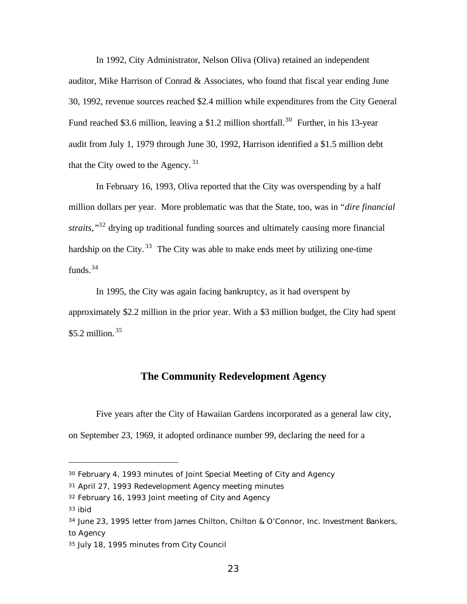In 1992, City Administrator, Nelson Oliva (Oliva) retained an independent auditor, Mike Harrison of Conrad & Associates, who found that fiscal year ending June 30, 1992, revenue sources reached \$2.4 million while expenditures from the City General Fund reached \$3.6 million, leaving a \$1.2 million shortfall.<sup>30</sup> Further, in his 13-year audit from July 1, 1979 through June 30, 1992, Harrison identified a \$1.5 million debt that the City owed to the Agency.  $31$ 

In February 16, 1993, Oliva reported that the City was overspending by a half million dollars per year. More problematic was that the State, too, was in *"dire financial straits,"*<sup>32</sup> drying up traditional funding sources and ultimately causing more financial hardship on the City.  $33$  The City was able to make ends meet by utilizing one-time funds.  $34$ 

In 1995, the City was again facing bankruptcy, as it had overspent by approximately \$2.2 million in the prior year. With a \$3 million budget, the City had spent  $$5.2$  million.<sup>35</sup>

## **The Community Redevelopment Agency**

Five years after the City of Hawaiian Gardens incorporated as a general law city, on September 23, 1969, it adopted ordinance number 99, declaring the need for a

<sup>33</sup> ibid

<sup>30</sup> February 4, 1993 minutes of Joint Special Meeting of City and Agency

<sup>31</sup> April 27, 1993 Redevelopment Agency meeting minutes

<sup>32</sup> February 16, 1993 Joint meeting of City and Agency

<sup>34</sup> June 23, 1995 letter from James Chilton, Chilton & O'Connor, Inc. Investment Bankers, to Agency

<sup>35</sup> July 18, 1995 minutes from City Council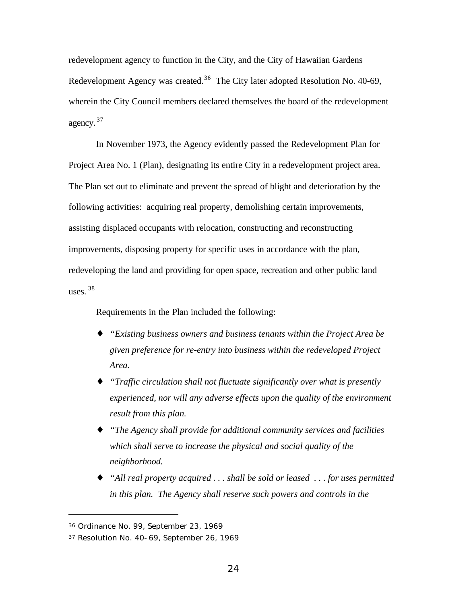redevelopment agency to function in the City, and the City of Hawaiian Gardens Redevelopment Agency was created.<sup>36</sup> The City later adopted Resolution No. 40-69, wherein the City Council members declared themselves the board of the redevelopment agency.<sup>37</sup>

In November 1973, the Agency evidently passed the Redevelopment Plan for Project Area No. 1 (Plan), designating its entire City in a redevelopment project area. The Plan set out to eliminate and prevent the spread of blight and deterioration by the following activities: acquiring real property, demolishing certain improvements, assisting displaced occupants with relocation, constructing and reconstructing improvements, disposing property for specific uses in accordance with the plan, redeveloping the land and providing for open space, recreation and other public land uses.  $38$ 

Requirements in the Plan included the following:

- ♦ *"Existing business owners and business tenants within the Project Area be given preference for re-entry into business within the redeveloped Project Area.*
- ♦ *"Traffic circulation shall not fluctuate significantly over what is presently experienced, nor will any adverse effects upon the quality of the environment result from this plan.*
- ♦ *"The Agency shall provide for additional community services and facilities which shall serve to increase the physical and social quality of the neighborhood.*
- ♦ *"All real property acquired . . . shall be sold or leased . . . for uses permitted in this plan. The Agency shall reserve such powers and controls in the*

<sup>36</sup> Ordinance No. 99, September 23, 1969

<sup>37</sup> Resolution No. 40-69, September 26, 1969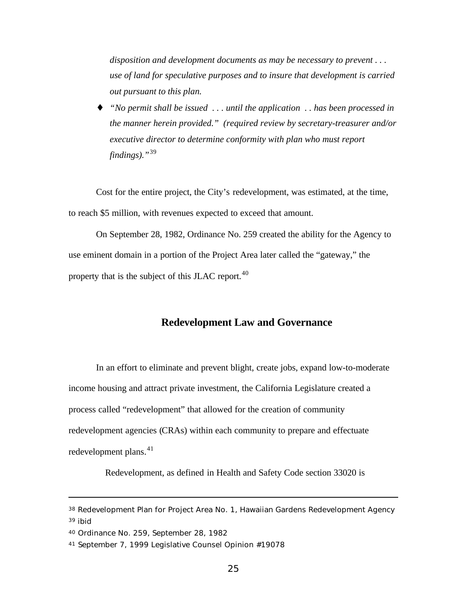*disposition and development documents as may be necessary to prevent . . . use of land for speculative purposes and to insure that development is carried out pursuant to this plan.*

♦ *"No permit shall be issued . . . until the application . . has been processed in the manner herein provided." (required review by secretary-treasurer and/or executive director to determine conformity with plan who must report findings)."*<sup>39</sup>

Cost for the entire project, the City's redevelopment, was estimated, at the time, to reach \$5 million, with revenues expected to exceed that amount.

On September 28, 1982, Ordinance No. 259 created the ability for the Agency to use eminent domain in a portion of the Project Area later called the "gateway," the property that is the subject of this JLAC report.<sup>40</sup>

#### **Redevelopment Law and Governance**

In an effort to eliminate and prevent blight, create jobs, expand low-to-moderate income housing and attract private investment, the California Legislature created a process called "redevelopment" that allowed for the creation of community redevelopment agencies (CRAs) within each community to prepare and effectuate redevelopment plans. $41$ 

Redevelopment, as defined in Health and Safety Code section 33020 is

<sup>38</sup> Redevelopment Plan for Project Area No. 1, Hawaiian Gardens Redevelopment Agency <sup>39</sup> ibid

<sup>40</sup> Ordinance No. 259, September 28, 1982

<sup>41</sup> September 7, 1999 Legislative Counsel Opinion #19078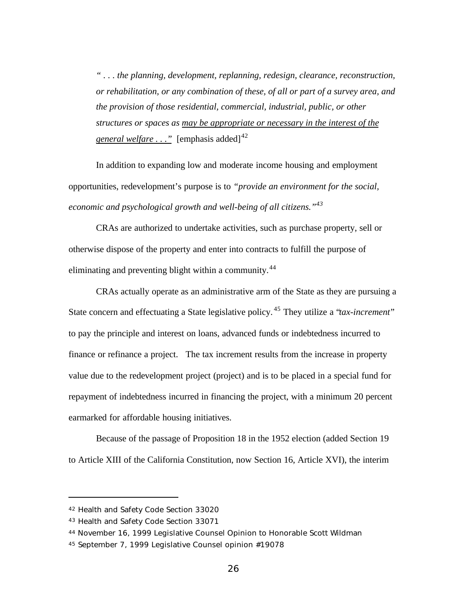*" . . . the planning, development, replanning, redesign, clearance, reconstruction, or rehabilitation, or any combination of these, of all or part of a survey area, and the provision of those residential, commercial, industrial, public, or other structures or spaces as may be appropriate or necessary in the interest of the general welfare*  $\ldots$  " [emphasis added]<sup>42</sup>

In addition to expanding low and moderate income housing and employment opportunities, redevelopment's purpose is to *"provide an environment for the social, economic and psychological growth and well-being of all citizens."<sup>43</sup>*

CRAs are authorized to undertake activities, such as purchase property, sell or otherwise dispose of the property and enter into contracts to fulfill the purpose of eliminating and preventing blight within a community.<sup>44</sup>

CRAs actually operate as an administrative arm of the State as they are pursuing a State concern and effectuating a State legislative policy. <sup>45</sup> They utilize a "*tax-increment*" to pay the principle and interest on loans, advanced funds or indebtedness incurred to finance or refinance a project. The tax increment results from the increase in property value due to the redevelopment project (project) and is to be placed in a special fund for repayment of indebtedness incurred in financing the project, with a minimum 20 percent earmarked for affordable housing initiatives.

Because of the passage of Proposition 18 in the 1952 election (added Section 19 to Article XIII of the California Constitution, now Section 16, Article XVI), the interim

<sup>42</sup> Health and Safety Code Section 33020

<sup>43</sup> Health and Safety Code Section 33071

<sup>44</sup> November 16, 1999 Legislative Counsel Opinion to Honorable Scott Wildman

<sup>45</sup> September 7, 1999 Legislative Counsel opinion #19078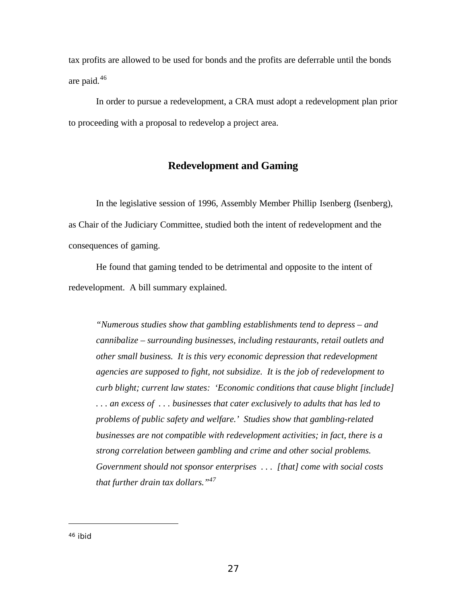tax profits are allowed to be used for bonds and the profits are deferrable until the bonds are paid.<sup>46</sup>

In order to pursue a redevelopment, a CRA must adopt a redevelopment plan prior to proceeding with a proposal to redevelop a project area.

#### **Redevelopment and Gaming**

In the legislative session of 1996, Assembly Member Phillip Isenberg (Isenberg), as Chair of the Judiciary Committee, studied both the intent of redevelopment and the consequences of gaming.

He found that gaming tended to be detrimental and opposite to the intent of redevelopment. A bill summary explained.

*"Numerous studies show that gambling establishments tend to depress – and cannibalize – surrounding businesses, including restaurants, retail outlets and other small business. It is this very economic depression that redevelopment agencies are supposed to fight, not subsidize. It is the job of redevelopment to curb blight; current law states: 'Economic conditions that cause blight [include] . . . an excess of . . . businesses that cater exclusively to adults that has led to problems of public safety and welfare.' Studies show that gambling-related businesses are not compatible with redevelopment activities; in fact, there is a strong correlation between gambling and crime and other social problems. Government should not sponsor enterprises . . . [that] come with social costs that further drain tax dollars."<sup>47</sup>*

<sup>46</sup> ibid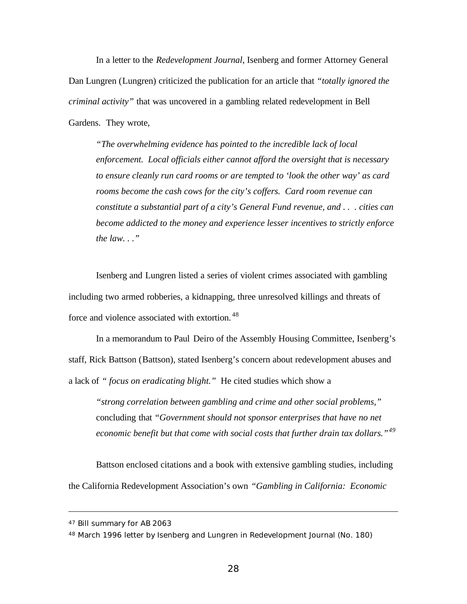In a letter to the *Redevelopment Journal*, Isenberg and former Attorney General Dan Lungren (Lungren) criticized the publication for an article that *"totally ignored the criminal activity"* that was uncovered in a gambling related redevelopment in Bell Gardens. They wrote,

*"The overwhelming evidence has pointed to the incredible lack of local enforcement. Local officials either cannot afford the oversight that is necessary to ensure cleanly run card rooms or are tempted to 'look the other way' as card rooms become the cash cows for the city's coffers. Card room revenue can constitute a substantial part of a city's General Fund revenue, and . . . cities can become addicted to the money and experience lesser incentives to strictly enforce the law. . ."*

Isenberg and Lungren listed a series of violent crimes associated with gambling including two armed robberies, a kidnapping, three unresolved killings and threats of force and violence associated with extortion.<sup>48</sup>

In a memorandum to Paul Deiro of the Assembly Housing Committee, Isenberg's staff, Rick Battson (Battson), stated Isenberg's concern about redevelopment abuses and a lack of *" focus on eradicating blight."* He cited studies which show a

*"strong correlation between gambling and crime and other social problems,"* concluding that *"Government should not sponsor enterprises that have no net economic benefit but that come with social costs that further drain tax dollars."<sup>49</sup>*

Battson enclosed citations and a book with extensive gambling studies, including the California Redevelopment Association's own *"Gambling in California: Economic*

<sup>47</sup> Bill summary for AB 2063

<sup>48</sup> March 1996 letter by Isenberg and Lungren in Redevelopment Journal (No. 180)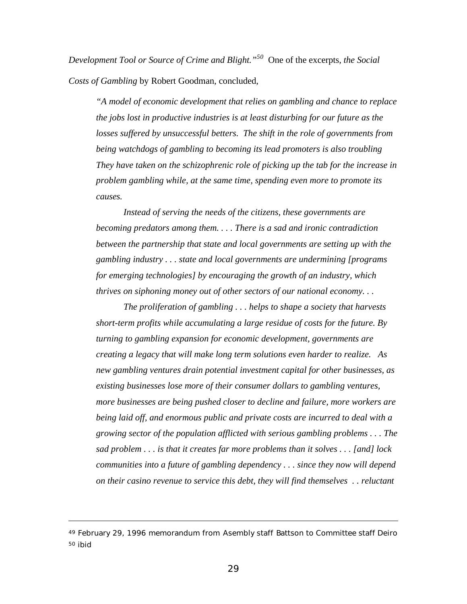*Development Tool or Source of Crime and Blight."<sup>50</sup>* One of the excerpts*, the Social Costs of Gambling* by Robert Goodman, concluded,

*"A model of economic development that relies on gambling and chance to replace the jobs lost in productive industries is at least disturbing for our future as the losses suffered by unsuccessful betters. The shift in the role of governments from being watchdogs of gambling to becoming its lead promoters is also troubling They have taken on the schizophrenic role of picking up the tab for the increase in problem gambling while, at the same time, spending even more to promote its causes.*

*Instead of serving the needs of the citizens, these governments are becoming predators among them. . . . There is a sad and ironic contradiction between the partnership that state and local governments are setting up with the gambling industry . . . state and local governments are undermining [programs for emerging technologies] by encouraging the growth of an industry, which thrives on siphoning money out of other sectors of our national economy. . .*

*The proliferation of gambling . . . helps to shape a society that harvests short-term profits while accumulating a large residue of costs for the future. By turning to gambling expansion for economic development, governments are creating a legacy that will make long term solutions even harder to realize. As new gambling ventures drain potential investment capital for other businesses, as existing businesses lose more of their consumer dollars to gambling ventures, more businesses are being pushed closer to decline and failure, more workers are being laid off, and enormous public and private costs are incurred to deal with a growing sector of the population afflicted with serious gambling problems . . . The sad problem . . . is that it creates far more problems than it solves . . . [and] lock communities into a future of gambling dependency . . . since they now will depend on their casino revenue to service this debt, they will find themselves . . reluctant*

<sup>49</sup> February 29, 1996 memorandum from Asembly staff Battson to Committee staff Deiro 50 ibid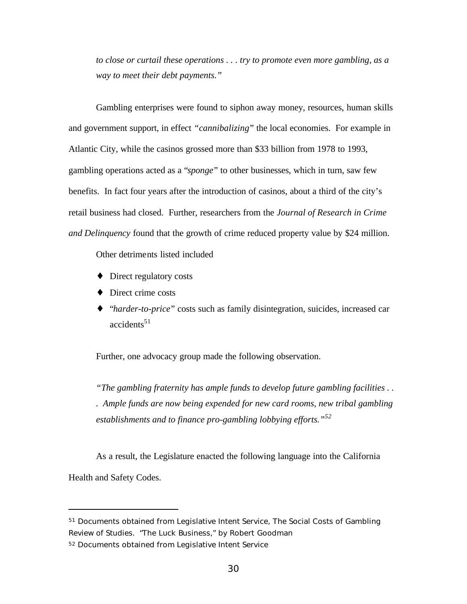*to close or curtail these operations . . . try to promote even more gambling, as a way to meet their debt payments."*

Gambling enterprises were found to siphon away money, resources, human skills and government support, in effect *"cannibalizing*" the local economies. For example in Atlantic City, while the casinos grossed more than \$33 billion from 1978 to 1993, gambling operations acted as a "*sponge*" to other businesses, which in turn, saw few benefits. In fact four years after the introduction of casinos, about a third of the city's retail business had closed. Further, researchers from the *Journal of Research in Crime and Delinquency* found that the growth of crime reduced property value by \$24 million.

Other detriments listed included

- ♦ Direct regulatory costs
- ♦ Direct crime costs
- ♦ "*harder-to-price*" costs such as family disintegration, suicides, increased car  $accidents<sup>51</sup>$

Further, one advocacy group made the following observation.

*"The gambling fraternity has ample funds to develop future gambling facilities . . . Ample funds are now being expended for new card rooms, new tribal gambling establishments and to finance pro-gambling lobbying efforts."<sup>52</sup>*

As a result, the Legislature enacted the following language into the California Health and Safety Codes.

<sup>51</sup> Documents obtained from Legislative Intent Service, The Social Costs of Gambling Review of Studies. *"The Luck Business,"* by Robert Goodman

<sup>52</sup> Documents obtained from Legislative Intent Service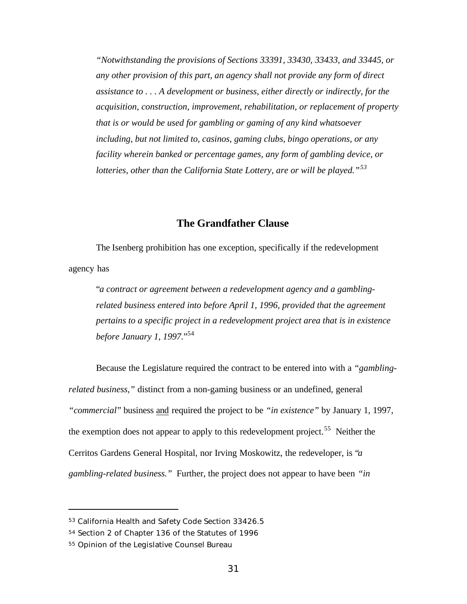*"Notwithstanding the provisions of Sections 33391, 33430, 33433, and 33445, or any other provision of this part, an agency shall not provide any form of direct assistance to . . . A development or business, either directly or indirectly, for the acquisition, construction, improvement, rehabilitation, or replacement of property that is or would be used for gambling or gaming of any kind whatsoever including, but not limited to, casinos, gaming clubs, bingo operations, or any facility wherein banked or percentage games, any form of gambling device, or lotteries, other than the California State Lottery, are or will be played."<sup>53</sup>*

#### **The Grandfather Clause**

The Isenberg prohibition has one exception, specifically if the redevelopment agency has

"*a contract or agreement between a redevelopment agency and a gamblingrelated business entered into before April 1, 1996, provided that the agreement pertains to a specific project in a redevelopment project area that is in existence before January 1, 1997.*" 54

Because the Legislature required the contract to be entered into with a *"gamblingrelated business,"* distinct from a non-gaming business or an undefined, general *"commercial*" business and required the project to be *"in existence"* by January 1, 1997, the exemption does not appear to apply to this redevelopment project.<sup>55</sup> Neither the Cerritos Gardens General Hospital, nor Irving Moskowitz, the redeveloper, is "*a gambling-related business."* Further, the project does not appear to have been *"in*

<sup>53</sup> California Health and Safety Code Section 33426.5

<sup>54</sup> Section 2 of Chapter 136 of the Statutes of 1996

<sup>55</sup> Opinion of the Legislative Counsel Bureau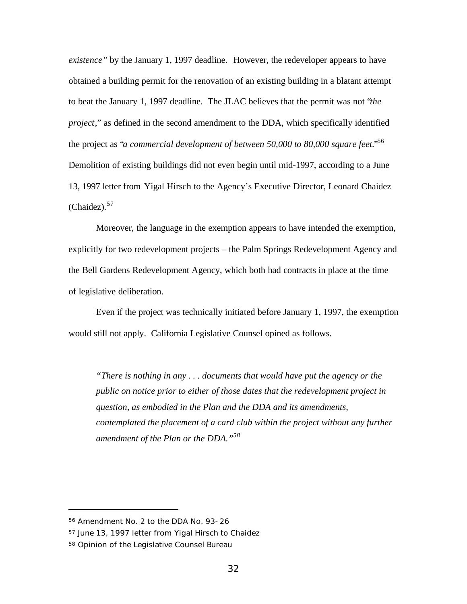*existence"* by the January 1, 1997 deadline. However, the redeveloper appears to have obtained a building permit for the renovation of an existing building in a blatant attempt to beat the January 1, 1997 deadline. The JLAC believes that the permit was not "*the project*," as defined in the second amendment to the DDA, which specifically identified the project as "*a commercial development of between 50,000 to 80,000 square feet.*" 56 Demolition of existing buildings did not even begin until mid-1997, according to a June 13, 1997 letter from Yigal Hirsch to the Agency's Executive Director, Leonard Chaidez  $(Chaidez)$ .<sup>57</sup>

Moreover, the language in the exemption appears to have intended the exemption, explicitly for two redevelopment projects – the Palm Springs Redevelopment Agency and the Bell Gardens Redevelopment Agency, which both had contracts in place at the time of legislative deliberation.

Even if the project was technically initiated before January 1, 1997, the exemption would still not apply. California Legislative Counsel opined as follows.

*"There is nothing in any . . . documents that would have put the agency or the public on notice prior to either of those dates that the redevelopment project in question, as embodied in the Plan and the DDA and its amendments, contemplated the placement of a card club within the project without any further amendment of the Plan or the DDA."<sup>58</sup>*

<sup>56</sup> Amendment No. 2 to the DDA No. 93-26

<sup>57</sup> June 13, 1997 letter from Yigal Hirsch to Chaidez

<sup>58</sup> Opinion of the Legislative Counsel Bureau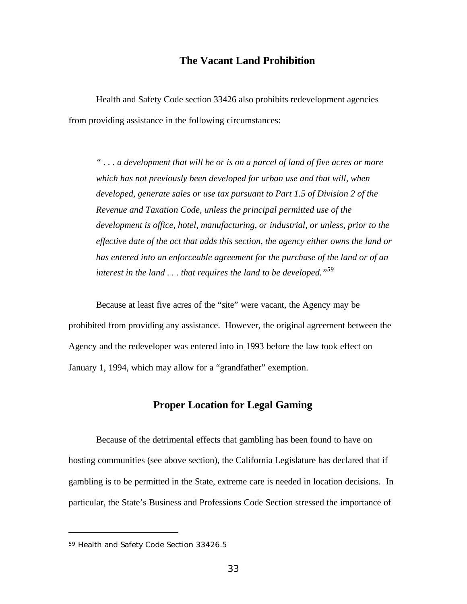## **The Vacant Land Prohibition**

Health and Safety Code section 33426 also prohibits redevelopment agencies from providing assistance in the following circumstances:

*" . . . a development that will be or is on a parcel of land of five acres or more which has not previously been developed for urban use and that will, when developed, generate sales or use tax pursuant to Part 1.5 of Division 2 of the Revenue and Taxation Code, unless the principal permitted use of the development is office, hotel, manufacturing, or industrial, or unless, prior to the effective date of the act that adds this section, the agency either owns the land or has entered into an enforceable agreement for the purchase of the land or of an interest in the land . . . that requires the land to be developed."<sup>59</sup>*

Because at least five acres of the "site" were vacant, the Agency may be prohibited from providing any assistance. However, the original agreement between the Agency and the redeveloper was entered into in 1993 before the law took effect on January 1, 1994, which may allow for a "grandfather" exemption.

#### **Proper Location for Legal Gaming**

Because of the detrimental effects that gambling has been found to have on hosting communities (see above section), the California Legislature has declared that if gambling is to be permitted in the State, extreme care is needed in location decisions. In particular, the State's Business and Professions Code Section stressed the importance of

<sup>59</sup> Health and Safety Code Section 33426.5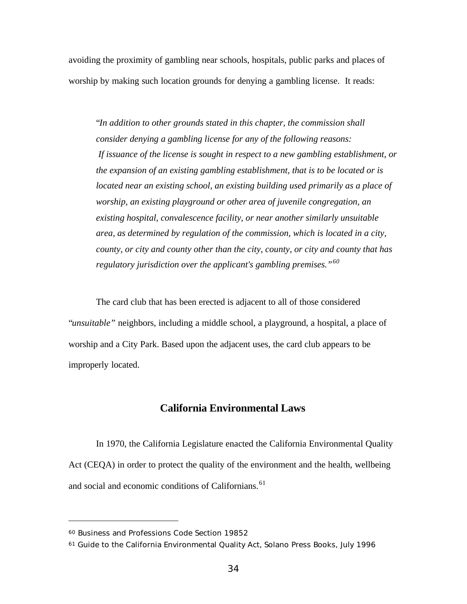avoiding the proximity of gambling near schools, hospitals, public parks and places of worship by making such location grounds for denying a gambling license. It reads:

"*In addition to other grounds stated in this chapter, the commission shall consider denying a gambling license for any of the following reasons: If issuance of the license is sought in respect to a new gambling establishment, or the expansion of an existing gambling establishment, that is to be located or is located near an existing school, an existing building used primarily as a place of worship, an existing playground or other area of juvenile congregation, an existing hospital, convalescence facility, or near another similarly unsuitable area, as determined by regulation of the commission, which is located in a city, county, or city and county other than the city, county, or city and county that has regulatory jurisdiction over the applicant's gambling premises."<sup>60</sup>*

The card club that has been erected is adjacent to all of those considered "*unsuitable"* neighbors, including a middle school, a playground, a hospital, a place of worship and a City Park. Based upon the adjacent uses, the card club appears to be improperly located.

#### **California Environmental Laws**

In 1970, the California Legislature enacted the California Environmental Quality Act (CEQA) in order to protect the quality of the environment and the health, wellbeing and social and economic conditions of Californians.<sup>61</sup>

<sup>60</sup> Business and Professions Code Section 19852

<sup>61</sup> *Guide to the California Environmental Quality Act*, Solano Press Books, July 1996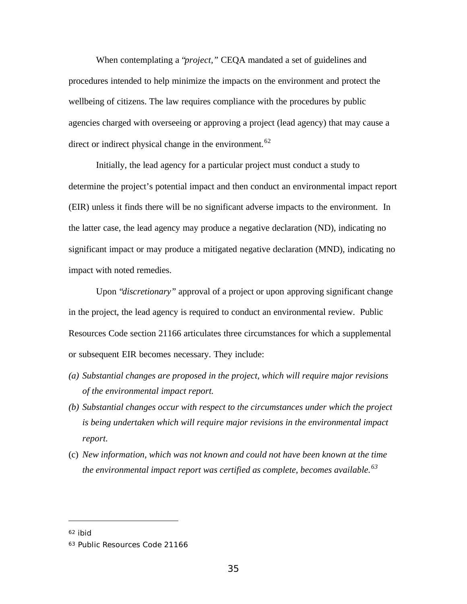When contemplating a "*project,"* CEQA mandated a set of guidelines and procedures intended to help minimize the impacts on the environment and protect the wellbeing of citizens. The law requires compliance with the procedures by public agencies charged with overseeing or approving a project (lead agency) that may cause a direct or indirect physical change in the environment.  $62$ 

Initially, the lead agency for a particular project must conduct a study to determine the project's potential impact and then conduct an environmental impact report (EIR) unless it finds there will be no significant adverse impacts to the environment. In the latter case, the lead agency may produce a negative declaration (ND), indicating no significant impact or may produce a mitigated negative declaration (MND), indicating no impact with noted remedies.

Upon "*discretionary"* approval of a project or upon approving significant change in the project, the lead agency is required to conduct an environmental review. Public Resources Code section 21166 articulates three circumstances for which a supplemental or subsequent EIR becomes necessary. They include:

- *(a) Substantial changes are proposed in the project, which will require major revisions of the environmental impact report.*
- *(b) Substantial changes occur with respect to the circumstances under which the project is being undertaken which will require major revisions in the environmental impact report.*
- (c) *New information, which was not known and could not have been known at the time the environmental impact report was certified as complete, becomes available.<sup>63</sup>*

<sup>62</sup> ibid

<sup>63</sup> Public Resources Code 21166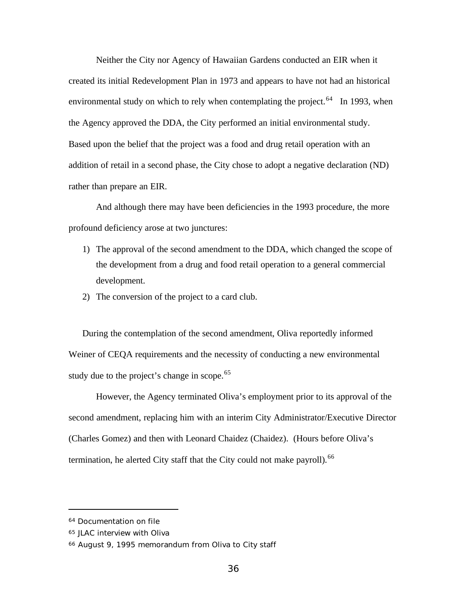Neither the City nor Agency of Hawaiian Gardens conducted an EIR when it created its initial Redevelopment Plan in 1973 and appears to have not had an historical environmental study on which to rely when contemplating the project.<sup>64</sup> In 1993, when the Agency approved the DDA, the City performed an initial environmental study. Based upon the belief that the project was a food and drug retail operation with an addition of retail in a second phase, the City chose to adopt a negative declaration (ND) rather than prepare an EIR.

And although there may have been deficiencies in the 1993 procedure, the more profound deficiency arose at two junctures:

- 1) The approval of the second amendment to the DDA, which changed the scope of the development from a drug and food retail operation to a general commercial development.
- 2) The conversion of the project to a card club.

During the contemplation of the second amendment, Oliva reportedly informed Weiner of CEQA requirements and the necessity of conducting a new environmental study due to the project's change in scope.<sup>65</sup>

However, the Agency terminated Oliva's employment prior to its approval of the second amendment, replacing him with an interim City Administrator/Executive Director (Charles Gomez) and then with Leonard Chaidez (Chaidez). (Hours before Oliva's termination, he alerted City staff that the City could not make payroll).  $66$ 

<sup>64</sup> Documentation on file

<sup>65</sup> JLAC interview with Oliva

<sup>66</sup> August 9, 1995 memorandum from Oliva to City staff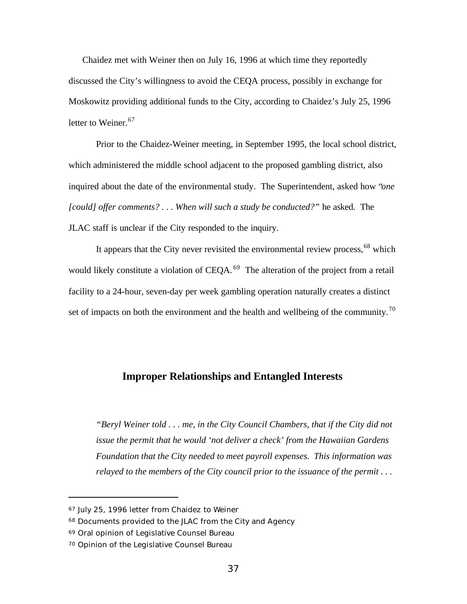Chaidez met with Weiner then on July 16, 1996 at which time they reportedly discussed the City's willingness to avoid the CEQA process, possibly in exchange for Moskowitz providing additional funds to the City, according to Chaidez's July 25, 1996 letter to Weiner.<sup>67</sup>

Prior to the Chaidez-Weiner meeting, in September 1995, the local school district, which administered the middle school adjacent to the proposed gambling district, also inquired about the date of the environmental study. The Superintendent, asked how "*one [could] offer comments? . . . When will such a study be conducted?"* he asked. The JLAC staff is unclear if the City responded to the inquiry.

It appears that the City never revisited the environmental review process,  $68$  which would likely constitute a violation of CEQA.<sup>69</sup> The alteration of the project from a retail facility to a 24-hour, seven-day per week gambling operation naturally creates a distinct set of impacts on both the environment and the health and wellbeing of the community.<sup>70</sup>

## **Improper Relationships and Entangled Interests**

*"Beryl Weiner told . . . me, in the City Council Chambers, that if the City did not issue the permit that he would 'not deliver a check' from the Hawaiian Gardens Foundation that the City needed to meet payroll expenses. This information was relayed to the members of the City council prior to the issuance of the permit . . .*

<sup>67</sup> July 25, 1996 letter from Chaidez to Weiner

<sup>68</sup> Documents provided to the JLAC from the City and Agency

<sup>69</sup> Oral opinion of Legislative Counsel Bureau

<sup>70</sup> Opinion of the Legislative Counsel Bureau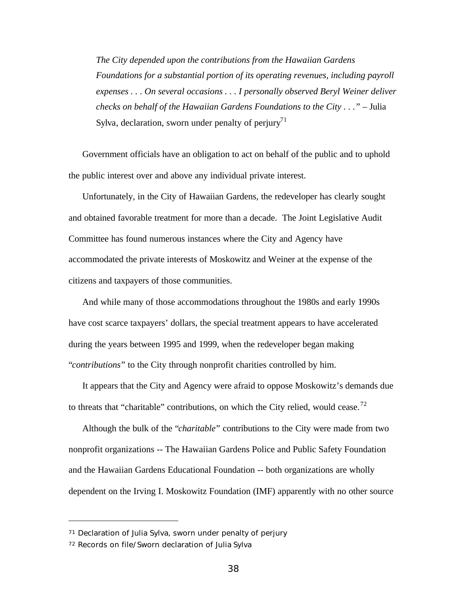*The City depended upon the contributions from the Hawaiian Gardens Foundations for a substantial portion of its operating revenues, including payroll expenses . . . On several occasions . . . I personally observed Beryl Weiner deliver checks on behalf of the Hawaiian Gardens Foundations to the City ..."* – Julia Sylva, declaration, sworn under penalty of perjury<sup>71</sup>

Government officials have an obligation to act on behalf of the public and to uphold the public interest over and above any individual private interest.

Unfortunately, in the City of Hawaiian Gardens, the redeveloper has clearly sought and obtained favorable treatment for more than a decade. The Joint Legislative Audit Committee has found numerous instances where the City and Agency have accommodated the private interests of Moskowitz and Weiner at the expense of the citizens and taxpayers of those communities.

And while many of those accommodations throughout the 1980s and early 1990s have cost scarce taxpayers' dollars, the special treatment appears to have accelerated during the years between 1995 and 1999, when the redeveloper began making "*contributions*" to the City through nonprofit charities controlled by him.

It appears that the City and Agency were afraid to oppose Moskowitz's demands due to threats that "charitable" contributions, on which the City relied, would cease.<sup>72</sup>

Although the bulk of the "*charitable*" contributions to the City were made from two nonprofit organizations -- The Hawaiian Gardens Police and Public Safety Foundation and the Hawaiian Gardens Educational Foundation -- both organizations are wholly dependent on the Irving I. Moskowitz Foundation (IMF) apparently with no other source

<sup>71</sup> Declaration of Julia Sylva, sworn under penalty of perjury

<sup>72</sup> Records on file/Sworn declaration of Julia Sylva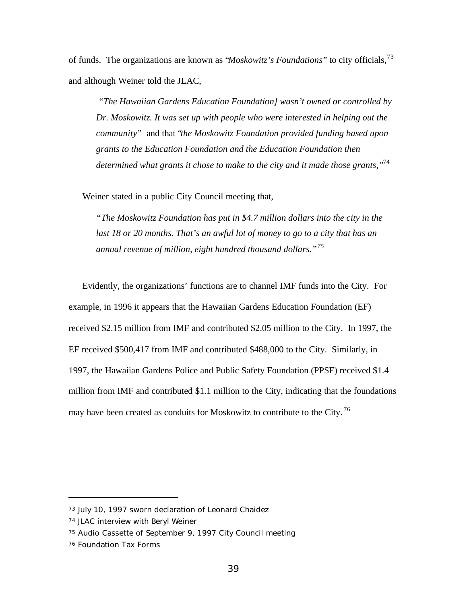of funds. The organizations are known as "*Moskowitz's Foundations*" to city officials,<sup>73</sup> and although Weiner told the JLAC,

 *"The Hawaiian Gardens Education Foundation] wasn't owned or controlled by Dr. Moskowitz. It was set up with people who were interested in helping out the community"* and that "*the Moskowitz Foundation provided funding based upon grants to the Education Foundation and the Education Foundation then determined what grants it chose to make to the city and it made those grants,"*<sup>74</sup>

Weiner stated in a public City Council meeting that,

*"The Moskowitz Foundation has put in \$4.7 million dollars into the city in the last 18 or 20 months. That's an awful lot of money to go to a city that has an annual revenue of million, eight hundred thousand dollars."<sup>75</sup>*

Evidently, the organizations' functions are to channel IMF funds into the City. For example, in 1996 it appears that the Hawaiian Gardens Education Foundation (EF) received \$2.15 million from IMF and contributed \$2.05 million to the City. In 1997, the EF received \$500,417 from IMF and contributed \$488,000 to the City. Similarly, in 1997, the Hawaiian Gardens Police and Public Safety Foundation (PPSF) received \$1.4 million from IMF and contributed \$1.1 million to the City, indicating that the foundations may have been created as conduits for Moskowitz to contribute to the City.<sup>76</sup>

<sup>73</sup> July 10, 1997 sworn declaration of Leonard Chaidez

<sup>74</sup> JLAC interview with Beryl Weiner

<sup>75</sup> Audio Cassette of September 9, 1997 City Council meeting

<sup>76</sup> Foundation Tax Forms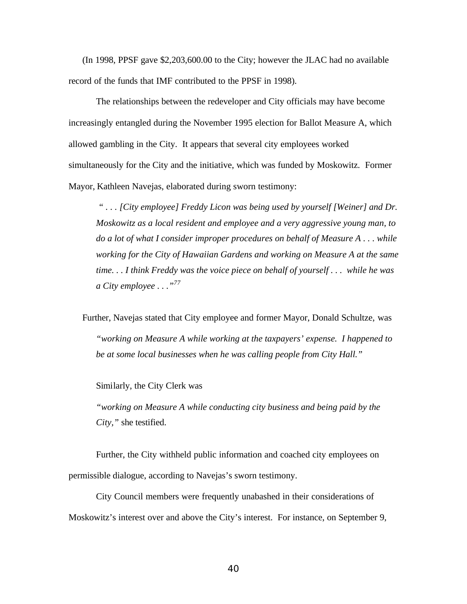(In 1998, PPSF gave \$2,203,600.00 to the City; however the JLAC had no available record of the funds that IMF contributed to the PPSF in 1998).

The relationships between the redeveloper and City officials may have become increasingly entangled during the November 1995 election for Ballot Measure A, which allowed gambling in the City. It appears that several city employees worked simultaneously for the City and the initiative, which was funded by Moskowitz. Former Mayor, Kathleen Navejas, elaborated during sworn testimony:

 *" . . . [City employee] Freddy Licon was being used by yourself [Weiner] and Dr. Moskowitz as a local resident and employee and a very aggressive young man, to do a lot of what I consider improper procedures on behalf of Measure A . . . while working for the City of Hawaiian Gardens and working on Measure A at the same time. . . I think Freddy was the voice piece on behalf of yourself . . . while he was a City employee . . ."<sup>77</sup>*

Further, Navejas stated that City employee and former Mayor, Donald Schultze, was *"working on Measure A while working at the taxpayers' expense. I happened to be at some local businesses when he was calling people from City Hall."*

Similarly, the City Clerk was

*"working on Measure A while conducting city business and being paid by the City,"* she testified.

Further, the City withheld public information and coached city employees on permissible dialogue, according to Navejas's sworn testimony.

City Council members were frequently unabashed in their considerations of Moskowitz's interest over and above the City's interest. For instance, on September 9,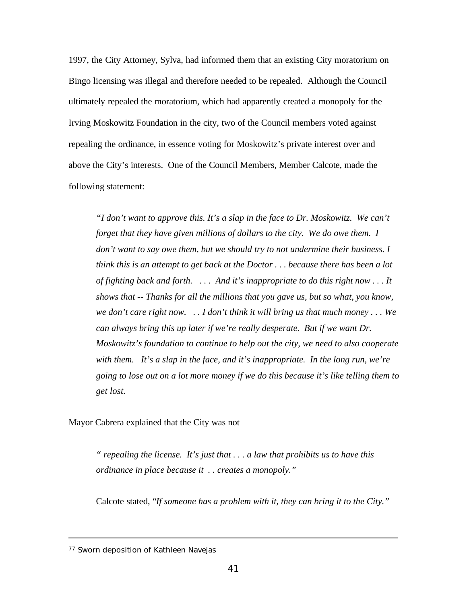1997, the City Attorney, Sylva, had informed them that an existing City moratorium on Bingo licensing was illegal and therefore needed to be repealed. Although the Council ultimately repealed the moratorium, which had apparently created a monopoly for the Irving Moskowitz Foundation in the city, two of the Council members voted against repealing the ordinance, in essence voting for Moskowitz's private interest over and above the City's interests. One of the Council Members, Member Calcote, made the following statement:

*"I don't want to approve this. It's a slap in the face to Dr. Moskowitz. We can't forget that they have given millions of dollars to the city. We do owe them. I don't want to say owe them, but we should try to not undermine their business. I think this is an attempt to get back at the Doctor . . . because there has been a lot of fighting back and forth. . . . And it's inappropriate to do this right now . . . It shows that -- Thanks for all the millions that you gave us, but so what, you know, we don't care right now. . . I don't think it will bring us that much money . . . We can always bring this up later if we're really desperate. But if we want Dr. Moskowitz's foundation to continue to help out the city, we need to also cooperate with them. It's a slap in the face, and it's inappropriate. In the long run, we're going to lose out on a lot more money if we do this because it's like telling them to get lost.*

Mayor Cabrera explained that the City was not

*" repealing the license. It's just that . . . a law that prohibits us to have this ordinance in place because it . . creates a monopoly."*

Calcote stated, "*If someone has a problem with it, they can bring it to the City."*

<sup>77</sup> Sworn deposition of Kathleen Navejas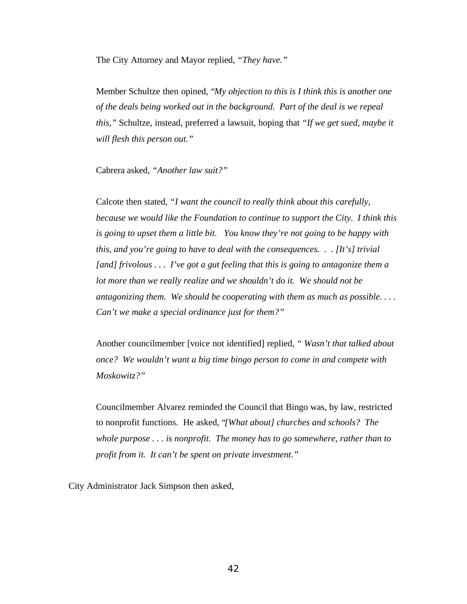The City Attorney and Mayor replied, *"They have."*

Member Schultze then opined, "*My objection to this is I think this is another one of the deals being worked out in the background. Part of the deal is we repeal this,"* Schultze, instead, preferred a lawsuit, hoping that *"If we get sued, maybe it will flesh this person out."*

Cabrera asked, *"Another law suit?"*

Calcote then stated, *"I want the council to really think about this carefully, because we would like the Foundation to continue to support the City. I think this is going to upset them a little bit. You know they're not going to be happy with this, and you're going to have to deal with the consequences. . . [It's] trivial [and] frivolous . . . I've got a gut feeling that this is going to antagonize them a lot more than we really realize and we shouldn't do it. We should not be antagonizing them. We should be cooperating with them as much as possible. . . . Can't we make a special ordinance just for them?"*

Another councilmember [voice not identified] replied, *" Wasn't that talked about once? We wouldn't want a big time bingo person to come in and compete with Moskowitz?"*

Councilmember Alvarez reminded the Council that Bingo was, by law, restricted to nonprofit functions. He asked, "*[What about] churches and schools? The whole purpose . . . is nonprofit. The money has to go somewhere, rather than to profit from it. It can't be spent on private investment."*

City Administrator Jack Simpson then asked,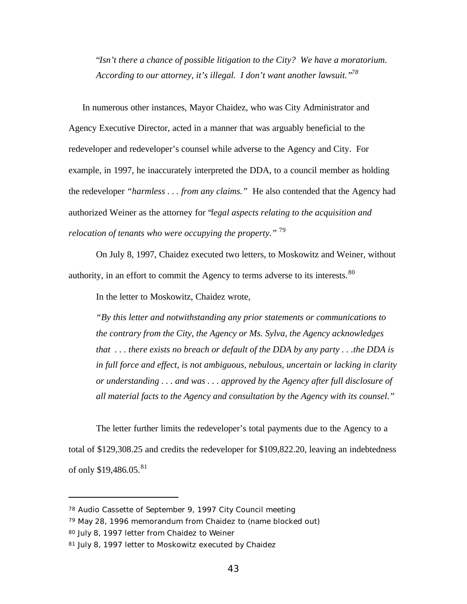"*Isn't there a chance of possible litigation to the City? We have a moratorium. According to our attorney, it's illegal. I don't want another lawsuit."<sup>78</sup>*

In numerous other instances, Mayor Chaidez, who was City Administrator and Agency Executive Director, acted in a manner that was arguably beneficial to the redeveloper and redeveloper's counsel while adverse to the Agency and City. For example, in 1997, he inaccurately interpreted the DDA, to a council member as holding the redeveloper *"harmless . . . from any claims."* He also contended that the Agency had authorized Weiner as the attorney for "*legal aspects relating to the acquisition and relocation of tenants who were occupying the property."* <sup>79</sup>

On July 8, 1997, Chaidez executed two letters, to Moskowitz and Weiner, without authority, in an effort to commit the Agency to terms adverse to its interests.<sup>80</sup>

In the letter to Moskowitz, Chaidez wrote,

*"By this letter and notwithstanding any prior statements or communications to the contrary from the City, the Agency or Ms. Sylva, the Agency acknowledges that . . . there exists no breach or default of the DDA by any party . . .the DDA is in full force and effect, is not ambiguous, nebulous, uncertain or lacking in clarity or understanding . . . and was . . . approved by the Agency after full disclosure of all material facts to the Agency and consultation by the Agency with its counsel."*

The letter further limits the redeveloper's total payments due to the Agency to a total of \$129,308.25 and credits the redeveloper for \$109,822.20, leaving an indebtedness of only \$19,486.05.<sup>81</sup>

<sup>78</sup> Audio Cassette of September 9, 1997 City Council meeting

<sup>79</sup> May 28, 1996 memorandum from Chaidez to (name blocked out)

<sup>80</sup> July 8, 1997 letter from Chaidez to Weiner

<sup>81</sup> July 8, 1997 letter to Moskowitz executed by Chaidez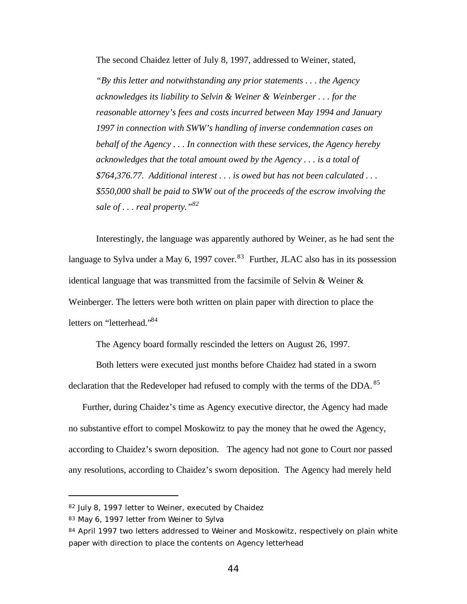The second Chaidez letter of July 8, 1997, addressed to Weiner, stated,

*"By this letter and notwithstanding any prior statements . . . the Agency acknowledges its liability to Selvin & Weiner & Weinberger . . . for the reasonable attorney's fees and costs incurred between May 1994 and January 1997 in connection with SWW's handling of inverse condemnation cases on behalf of the Agency . . . In connection with these services, the Agency hereby acknowledges that the total amount owed by the Agency . . . is a total of \$764,376.77. Additional interest . . . is owed but has not been calculated . . . \$550,000 shall be paid to SWW out of the proceeds of the escrow involving the sale of . . . real property."<sup>82</sup>*

Interestingly, the language was apparently authored by Weiner, as he had sent the language to Sylva under a May 6, 1997 cover.<sup>83</sup> Further, JLAC also has in its possession identical language that was transmitted from the facsimile of Selvin & Weiner & Weinberger. The letters were both written on plain paper with direction to place the letters on "letterhead."<sup>84</sup>

The Agency board formally rescinded the letters on August 26, 1997.

Both letters were executed just months before Chaidez had stated in a sworn declaration that the Redeveloper had refused to comply with the terms of the DDA.<sup>85</sup>

Further, during Chaidez's time as Agency executive director, the Agency had made no substantive effort to compel Moskowitz to pay the money that he owed the Agency, according to Chaidez's sworn deposition. The agency had not gone to Court nor passed any resolutions, according to Chaidez's sworn deposition. The Agency had merely held

<sup>82</sup> July 8, 1997 letter to Weiner, executed by Chaidez

<sup>83</sup> May 6, 1997 letter from Weiner to Sylva

<sup>84</sup> April 1997 two letters addressed to Weiner and Moskowitz, respectively on plain white paper with direction to place the contents on Agency letterhead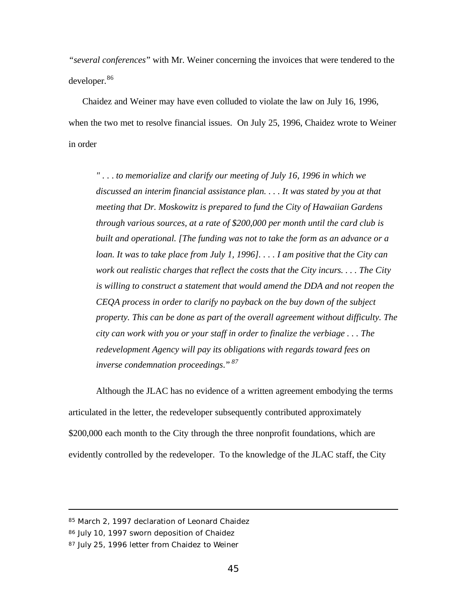*"several conferences*" with Mr. Weiner concerning the invoices that were tendered to the developer.<sup>86</sup>

Chaidez and Weiner may have even colluded to violate the law on July 16, 1996, when the two met to resolve financial issues. On July 25, 1996, Chaidez wrote to Weiner in order

*" . . . to memorialize and clarify our meeting of July 16, 1996 in which we discussed an interim financial assistance plan. . . . It was stated by you at that meeting that Dr. Moskowitz is prepared to fund the City of Hawaiian Gardens through various sources, at a rate of \$200,000 per month until the card club is built and operational. [The funding was not to take the form as an advance or a loan. It was to take place from July 1, 1996]. . . . I am positive that the City can work out realistic charges that reflect the costs that the City incurs. . . . The City is willing to construct a statement that would amend the DDA and not reopen the CEQA process in order to clarify no payback on the buy down of the subject property. This can be done as part of the overall agreement without difficulty. The city can work with you or your staff in order to finalize the verbiage . . . The redevelopment Agency will pay its obligations with regards toward fees on inverse condemnation proceedings*." *<sup>87</sup>*

Although the JLAC has no evidence of a written agreement embodying the terms articulated in the letter, the redeveloper subsequently contributed approximately \$200,000 each month to the City through the three nonprofit foundations, which are evidently controlled by the redeveloper. To the knowledge of the JLAC staff, the City

<sup>85</sup> March 2, 1997 declaration of Leonard Chaidez

<sup>86</sup> July 10, 1997 sworn deposition of Chaidez

<sup>87</sup> July 25, 1996 letter from Chaidez to Weiner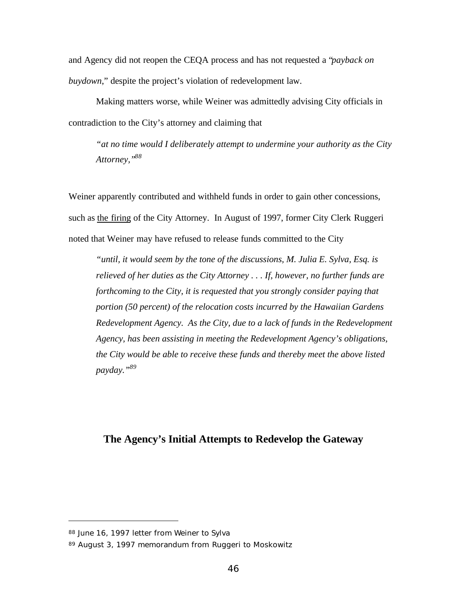and Agency did not reopen the CEQA process and has not requested a "*payback on buydown*," despite the project's violation of redevelopment law.

Making matters worse, while Weiner was admittedly advising City officials in contradiction to the City's attorney and claiming that

*"at no time would I deliberately attempt to undermine your authority as the City Attorney,"<sup>88</sup>*

Weiner apparently contributed and withheld funds in order to gain other concessions, such as the firing of the City Attorney. In August of 1997, former City Clerk Ruggeri noted that Weiner may have refused to release funds committed to the City

*"until, it would seem by the tone of the discussions, M. Julia E. Sylva, Esq. is relieved of her duties as the City Attorney . . . If, however, no further funds are forthcoming to the City, it is requested that you strongly consider paying that portion (50 percent) of the relocation costs incurred by the Hawaiian Gardens Redevelopment Agency. As the City, due to a lack of funds in the Redevelopment Agency, has been assisting in meeting the Redevelopment Agency's obligations, the City would be able to receive these funds and thereby meet the above listed payday."<sup>89</sup>*

## **The Agency's Initial Attempts to Redevelop the Gateway**

<sup>88</sup> June 16, 1997 letter from Weiner to Sylva

<sup>89</sup> August 3, 1997 memorandum from Ruggeri to Moskowitz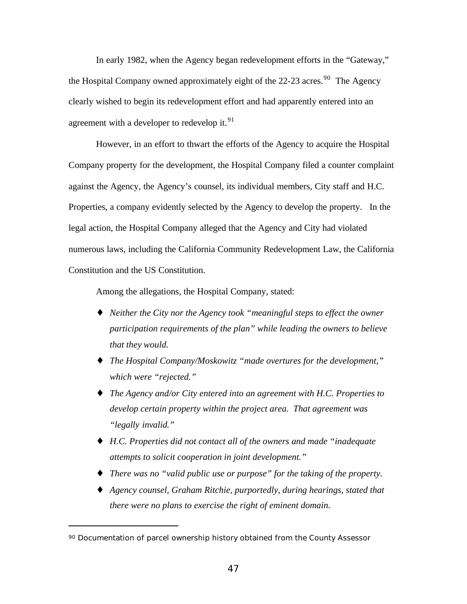In early 1982, when the Agency began redevelopment efforts in the "Gateway," the Hospital Company owned approximately eight of the 22-23 acres.<sup>90</sup> The Agency clearly wished to begin its redevelopment effort and had apparently entered into an agreement with a developer to redevelop it.  $91$ 

However, in an effort to thwart the efforts of the Agency to acquire the Hospital Company property for the development, the Hospital Company filed a counter complaint against the Agency, the Agency's counsel, its individual members, City staff and H.C. Properties, a company evidently selected by the Agency to develop the property. In the legal action, the Hospital Company alleged that the Agency and City had violated numerous laws, including the California Community Redevelopment Law, the California Constitution and the US Constitution.

Among the allegations, the Hospital Company, stated:

- ♦ *Neither the City nor the Agency took "meaningful steps to effect the owner participation requirements of the plan" while leading the owners to believe that they would.*
- ♦ *The Hospital Company/Moskowitz "made overtures for the development," which were "rejected."*
- ♦ *The Agency and/or City entered into an agreement with H.C. Properties to develop certain property within the project area. That agreement was "legally invalid."*
- ♦ *H.C. Properties did not contact all of the owners and made "inadequate attempts to solicit cooperation in joint development."*
- ♦ *There was no "valid public use or purpose" for the taking of the property.*
- ♦ *Agency counsel, Graham Ritchie, purportedly, during hearings, stated that there were no plans to exercise the right of eminent domain.*

<sup>90</sup> Documentation of parcel ownership history obtained from the County Assessor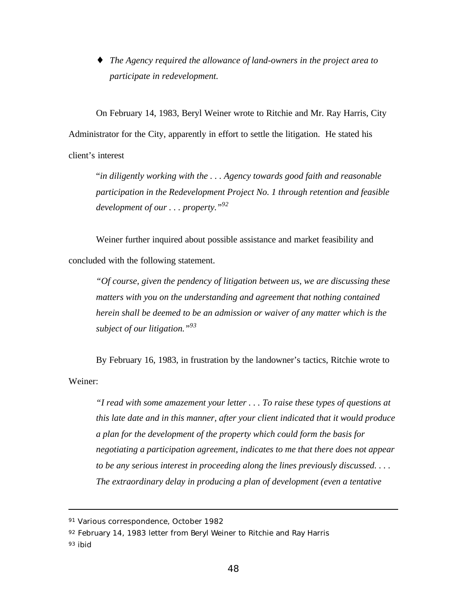♦ *The Agency required the allowance of land-owners in the project area to participate in redevelopment.*

On February 14, 1983, Beryl Weiner wrote to Ritchie and Mr. Ray Harris, City Administrator for the City, apparently in effort to settle the litigation. He stated his client's interest

"*in diligently working with the . . . Agency towards good faith and reasonable participation in the Redevelopment Project No. 1 through retention and feasible development of our . . . property."<sup>92</sup>*

Weiner further inquired about possible assistance and market feasibility and concluded with the following statement.

*"Of course, given the pendency of litigation between us, we are discussing these matters with you on the understanding and agreement that nothing contained herein shall be deemed to be an admission or waiver of any matter which is the subject of our litigation."<sup>93</sup>*

By February 16, 1983, in frustration by the landowner's tactics, Ritchie wrote to Weiner:

*"I read with some amazement your letter . . . To raise these types of questions at this late date and in this manner, after your client indicated that it would produce a plan for the development of the property which could form the basis for negotiating a participation agreement, indicates to me that there does not appear to be any serious interest in proceeding along the lines previously discussed. . . . The extraordinary delay in producing a plan of development (even a tentative*

<sup>91</sup> Various correspondence, October 1982

<sup>92</sup> February 14, 1983 letter from Beryl Weiner to Ritchie and Ray Harris

<sup>93</sup> ibid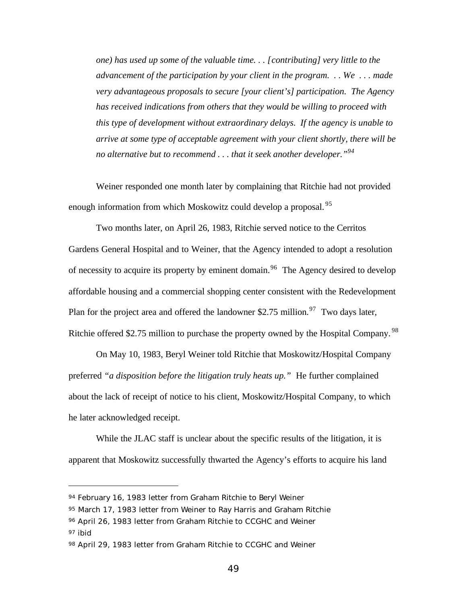*one) has used up some of the valuable time. . . [contributing] very little to the advancement of the participation by your client in the program. . . We . . . made very advantageous proposals to secure [your client's] participation. The Agency has received indications from others that they would be willing to proceed with this type of development without extraordinary delays. If the agency is unable to arrive at some type of acceptable agreement with your client shortly, there will be no alternative but to recommend . . . that it seek another developer."<sup>94</sup>*

Weiner responded one month later by complaining that Ritchie had not provided enough information from which Moskowitz could develop a proposal.<sup>95</sup>

Two months later, on April 26, 1983, Ritchie served notice to the Cerritos Gardens General Hospital and to Weiner, that the Agency intended to adopt a resolution of necessity to acquire its property by eminent domain.<sup>96</sup> The Agency desired to develop affordable housing and a commercial shopping center consistent with the Redevelopment Plan for the project area and offered the landowner \$2.75 million.<sup>97</sup> Two days later, Ritchie offered \$2.75 million to purchase the property owned by the Hospital Company.  $98$ 

On May 10, 1983, Beryl Weiner told Ritchie that Moskowitz/Hospital Company preferred *"a disposition before the litigation truly heats up."* He further complained about the lack of receipt of notice to his client, Moskowitz/Hospital Company, to which he later acknowledged receipt.

While the JLAC staff is unclear about the specific results of the litigation, it is apparent that Moskowitz successfully thwarted the Agency's efforts to acquire his land

<sup>94</sup> February 16, 1983 letter from Graham Ritchie to Beryl Weiner

<sup>95</sup> March 17, 1983 letter from Weiner to Ray Harris and Graham Ritchie

<sup>96</sup> April 26, 1983 letter from Graham Ritchie to CCGHC and Weiner

<sup>97</sup> ibid

<sup>98</sup> April 29, 1983 letter from Graham Ritchie to CCGHC and Weiner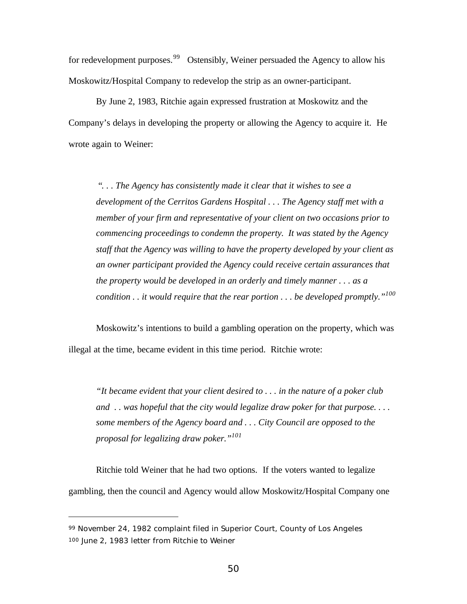for redevelopment purposes.<sup>99</sup> Ostensibly, Weiner persuaded the Agency to allow his Moskowitz/Hospital Company to redevelop the strip as an owner-participant.

By June 2, 1983, Ritchie again expressed frustration at Moskowitz and the Company's delays in developing the property or allowing the Agency to acquire it. He wrote again to Weiner:

"*. . . The Agency has consistently made it clear that it wishes to see a development of the Cerritos Gardens Hospital . . . The Agency staff met with a member of your firm and representative of your client on two occasions prior to commencing proceedings to condemn the property. It was stated by the Agency staff that the Agency was willing to have the property developed by your client as an owner participant provided the Agency could receive certain assurances that the property would be developed in an orderly and timely manner . . . as a condition . . it would require that the rear portion . . . be developed promptly."<sup>100</sup>*

Moskowitz's intentions to build a gambling operation on the property, which was illegal at the time, became evident in this time period. Ritchie wrote:

*"It became evident that your client desired to . . . in the nature of a poker club and . . was hopeful that the city would legalize draw poker for that purpose. . . . some members of the Agency board and . . . City Council are opposed to the proposal for legalizing draw poker."<sup>101</sup>*

Ritchie told Weiner that he had two options. If the voters wanted to legalize gambling, then the council and Agency would allow Moskowitz/Hospital Company one

<sup>99</sup> November 24, 1982 complaint filed in Superior Court, County of Los Angeles 100 June 2, 1983 letter from Ritchie to Weiner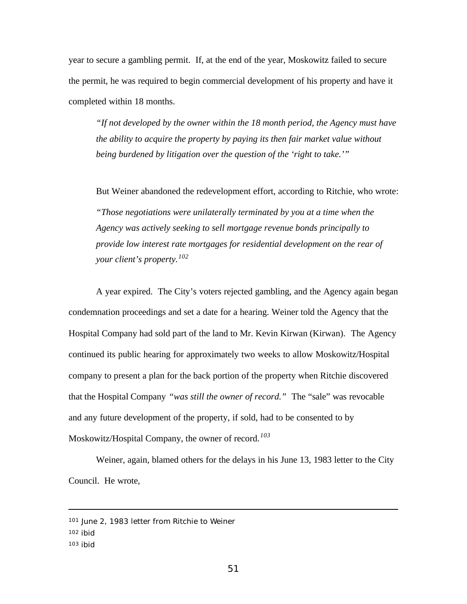year to secure a gambling permit. If, at the end of the year, Moskowitz failed to secure the permit, he was required to begin commercial development of his property and have it completed within 18 months.

*"If not developed by the owner within the 18 month period, the Agency must have the ability to acquire the property by paying its then fair market value without being burdened by litigation over the question of the 'right to take.'"*

But Weiner abandoned the redevelopment effort, according to Ritchie, who wrote: *"Those negotiations were unilaterally terminated by you at a time when the Agency was actively seeking to sell mortgage revenue bonds principally to provide low interest rate mortgages for residential development on the rear of your client's property.<sup>102</sup>*

A year expired. The City's voters rejected gambling, and the Agency again began condemnation proceedings and set a date for a hearing. Weiner told the Agency that the Hospital Company had sold part of the land to Mr. Kevin Kirwan (Kirwan). The Agency continued its public hearing for approximately two weeks to allow Moskowitz/Hospital company to present a plan for the back portion of the property when Ritchie discovered that the Hospital Company *"was still the owner of record."* The "sale" was revocable and any future development of the property, if sold, had to be consented to by Moskowitz/Hospital Company, the owner of record.*<sup>103</sup>*

Weiner, again, blamed others for the delays in his June 13, 1983 letter to the City Council. He wrote,

103 ibid

<sup>101</sup> June 2, 1983 letter from Ritchie to Weiner

<sup>102</sup> ibid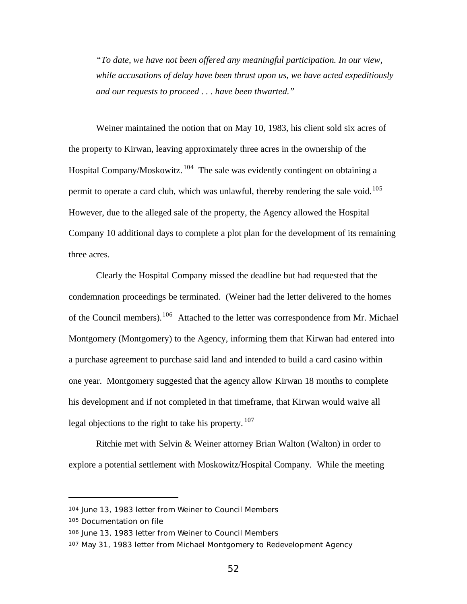*"To date, we have not been offered any meaningful participation. In our view, while accusations of delay have been thrust upon us, we have acted expeditiously and our requests to proceed . . . have been thwarted."*

Weiner maintained the notion that on May 10, 1983, his client sold six acres of the property to Kirwan, leaving approximately three acres in the ownership of the Hospital Company/Moskowitz.<sup>104</sup> The sale was evidently contingent on obtaining a permit to operate a card club, which was unlawful, thereby rendering the sale void.<sup>105</sup> However, due to the alleged sale of the property, the Agency allowed the Hospital Company 10 additional days to complete a plot plan for the development of its remaining three acres.

Clearly the Hospital Company missed the deadline but had requested that the condemnation proceedings be terminated. (Weiner had the letter delivered to the homes of the Council members).<sup>106</sup> Attached to the letter was correspondence from Mr. Michael Montgomery (Montgomery) to the Agency, informing them that Kirwan had entered into a purchase agreement to purchase said land and intended to build a card casino within one year. Montgomery suggested that the agency allow Kirwan 18 months to complete his development and if not completed in that timeframe, that Kirwan would waive all legal objections to the right to take his property.  $107$ 

Ritchie met with Selvin & Weiner attorney Brian Walton (Walton) in order to explore a potential settlement with Moskowitz/Hospital Company. While the meeting

<sup>104</sup> June 13, 1983 letter from Weiner to Council Members

<sup>105</sup> Documentation on file

<sup>106</sup> June 13, 1983 letter from Weiner to Council Members

<sup>107</sup> May 31, 1983 letter from Michael Montgomery to Redevelopment Agency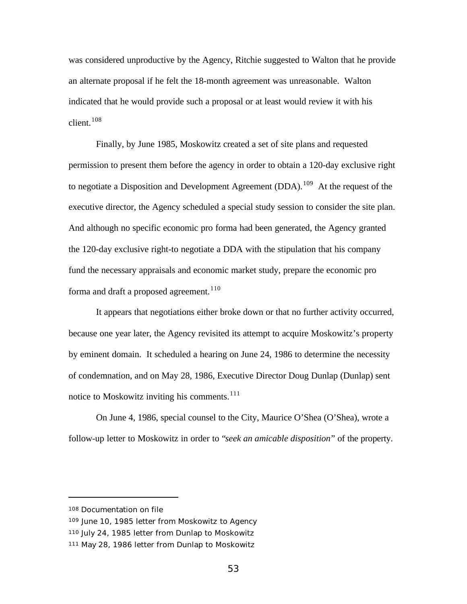was considered unproductive by the Agency, Ritchie suggested to Walton that he provide an alternate proposal if he felt the 18-month agreement was unreasonable. Walton indicated that he would provide such a proposal or at least would review it with his client.<sup>108</sup>

Finally, by June 1985, Moskowitz created a set of site plans and requested permission to present them before the agency in order to obtain a 120-day exclusive right to negotiate a Disposition and Development Agreement (DDA).<sup>109</sup> At the request of the executive director, the Agency scheduled a special study session to consider the site plan. And although no specific economic pro forma had been generated, the Agency granted the 120-day exclusive right-to negotiate a DDA with the stipulation that his company fund the necessary appraisals and economic market study, prepare the economic pro forma and draft a proposed agreement.<sup>110</sup>

It appears that negotiations either broke down or that no further activity occurred, because one year later, the Agency revisited its attempt to acquire Moskowitz's property by eminent domain. It scheduled a hearing on June 24, 1986 to determine the necessity of condemnation, and on May 28, 1986, Executive Director Doug Dunlap (Dunlap) sent notice to Moskowitz inviting his comments. $111$ 

On June 4, 1986, special counsel to the City, Maurice O'Shea (O'Shea), wrote a follow-up letter to Moskowitz in order to "*seek an amicable disposition*" of the property.

<sup>108</sup> Documentation on file

<sup>109</sup> June 10, 1985 letter from Moskowitz to Agency

<sup>110</sup> July 24, 1985 letter from Dunlap to Moskowitz

<sup>111</sup> May 28, 1986 letter from Dunlap to Moskowitz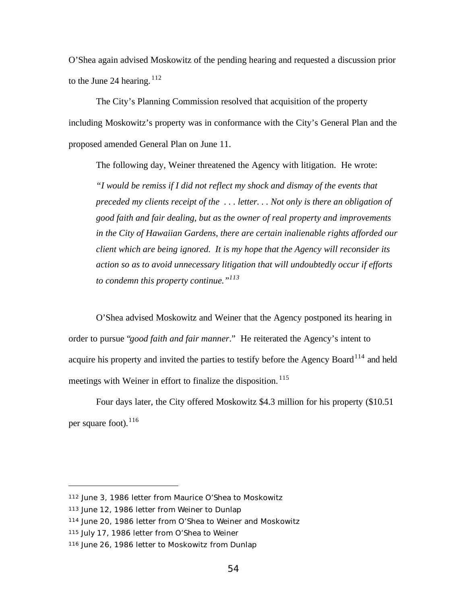O'Shea again advised Moskowitz of the pending hearing and requested a discussion prior to the June 24 hearing.  $112$ 

The City's Planning Commission resolved that acquisition of the property including Moskowitz's property was in conformance with the City's General Plan and the proposed amended General Plan on June 11.

The following day, Weiner threatened the Agency with litigation. He wrote: *"I would be remiss if I did not reflect my shock and dismay of the events that preceded my clients receipt of the . . . letter. . . Not only is there an obligation of good faith and fair dealing, but as the owner of real property and improvements in the City of Hawaiian Gardens, there are certain inalienable rights afforded our client which are being ignored. It is my hope that the Agency will reconsider its action so as to avoid unnecessary litigation that will undoubtedly occur if efforts to condemn this property continue."<sup>113</sup>*

O'Shea advised Moskowitz and Weiner that the Agency postponed its hearing in order to pursue "*good faith and fair manner*." He reiterated the Agency's intent to acquire his property and invited the parties to testify before the Agency Board<sup>114</sup> and held meetings with Weiner in effort to finalize the disposition.<sup>115</sup>

Four days later, the City offered Moskowitz \$4.3 million for his property (\$10.51 per square foot).  $116$ 

<sup>112</sup> June 3, 1986 letter from Maurice O'Shea to Moskowitz

<sup>113</sup> June 12, 1986 letter from Weiner to Dunlap

<sup>114</sup> June 20, 1986 letter from O'Shea to Weiner and Moskowitz

<sup>115</sup> July 17, 1986 letter from O'Shea to Weiner

<sup>116</sup> June 26, 1986 letter to Moskowitz from Dunlap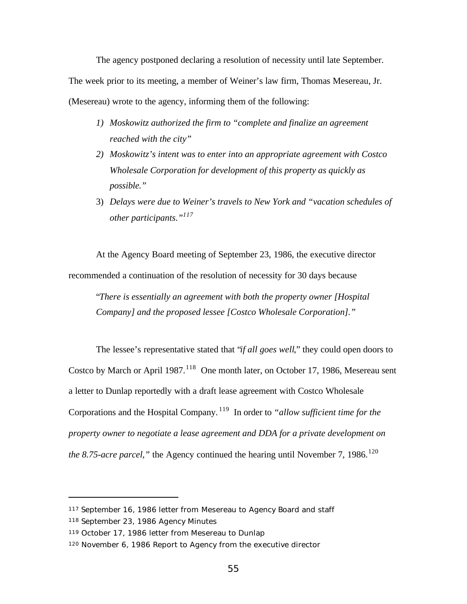The agency postponed declaring a resolution of necessity until late September. The week prior to its meeting, a member of Weiner's law firm, Thomas Mesereau, Jr. (Mesereau) wrote to the agency, informing them of the following:

- *1) Moskowitz authorized the firm to "complete and finalize an agreement reached with the city"*
- *2) Moskowitz's intent was to enter into an appropriate agreement with Costco Wholesale Corporation for development of this property as quickly as possible."*
- 3) *Delays were due to Weiner's travels to New York and "vacation schedules of other participants."<sup>117</sup>*

At the Agency Board meeting of September 23, 1986, the executive director recommended a continuation of the resolution of necessity for 30 days because

"*There is essentially an agreement with both the property owner [Hospital Company] and the proposed lessee [Costco Wholesale Corporation]."*

The lessee's representative stated that "*if all goes well*," they could open doors to Costco by March or April 1987.<sup>118</sup> One month later, on October 17, 1986, Mesereau sent a letter to Dunlap reportedly with a draft lease agreement with Costco Wholesale Corporations and the Hospital Company. <sup>119</sup> In order to *"allow sufficient time for the property owner to negotiate a lease agreement and DDA for a private development on the 8.75-acre parcel,*" the Agency continued the hearing until November 7, 1986.<sup>120</sup>

<sup>117</sup> September 16, 1986 letter from Mesereau to Agency Board and staff

<sup>118</sup> September 23, 1986 Agency Minutes

<sup>119</sup> October 17, 1986 letter from Mesereau to Dunlap

<sup>120</sup> November 6, 1986 Report to Agency from the executive director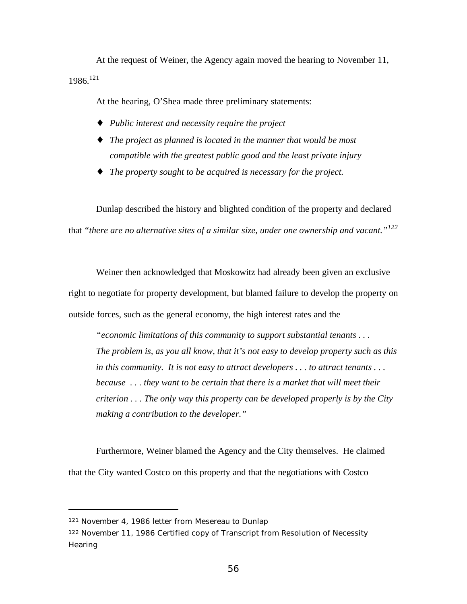At the request of Weiner, the Agency again moved the hearing to November 11, 1986.<sup>121</sup>

At the hearing, O'Shea made three preliminary statements:

- ♦ *Public interest and necessity require the project*
- ♦ *The project as planned is located in the manner that would be most compatible with the greatest public good and the least private injury*
- ♦ *The property sought to be acquired is necessary for the project.*

Dunlap described the history and blighted condition of the property and declared that *"there are no alternative sites of a similar size, under one ownership and vacant."<sup>122</sup>*

Weiner then acknowledged that Moskowitz had already been given an exclusive right to negotiate for property development, but blamed failure to develop the property on outside forces, such as the general economy, the high interest rates and the

*"economic limitations of this community to support substantial tenants . . . The problem is, as you all know, that it's not easy to develop property such as this in this community. It is not easy to attract developers . . . to attract tenants . . . because . . . they want to be certain that there is a market that will meet their criterion . . . The only way this property can be developed properly is by the City making a contribution to the developer."*

Furthermore, Weiner blamed the Agency and the City themselves. He claimed that the City wanted Costco on this property and that the negotiations with Costco

<sup>121</sup> November 4, 1986 letter from Mesereau to Dunlap

<sup>122</sup> November 11, 1986 Certified copy of Transcript from Resolution of Necessity **Hearing**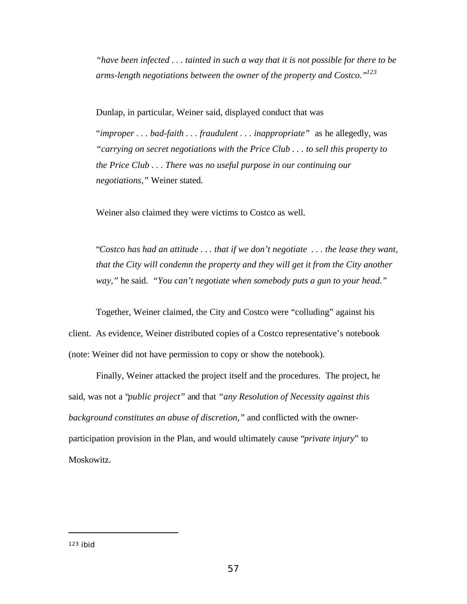*"have been infected . . . tainted in such a way that it is not possible for there to be arms-length negotiations between the owner of the property and Costco."<sup>123</sup>*

Dunlap, in particular, Weiner said, displayed conduct that was

"*improper . . . bad-faith . . . fraudulent . . . inappropriate"* as he allegedly, was *"carrying on secret negotiations with the Price Club . . . to sell this property to the Price Club . . . There was no useful purpose in our continuing our negotiations,"* Weiner stated.

Weiner also claimed they were victims to Costco as well.

"*Costco has had an attitude . . . that if we don't negotiate . . . the lease they want, that the City will condemn the property and they will get it from the City another way,"* he said. *"You can't negotiate when somebody puts a gun to your head."*

Together, Weiner claimed, the City and Costco were "colluding" against his client. As evidence, Weiner distributed copies of a Costco representative's notebook (note: Weiner did not have permission to copy or show the notebook).

Finally, Weiner attacked the project itself and the procedures. The project, he said, was not a "*public project"* and that *"any Resolution of Necessity against this background constitutes an abuse of discretion,"* and conflicted with the ownerparticipation provision in the Plan, and would ultimately cause "*private injury*" to Moskowitz.

<sup>123</sup> ibid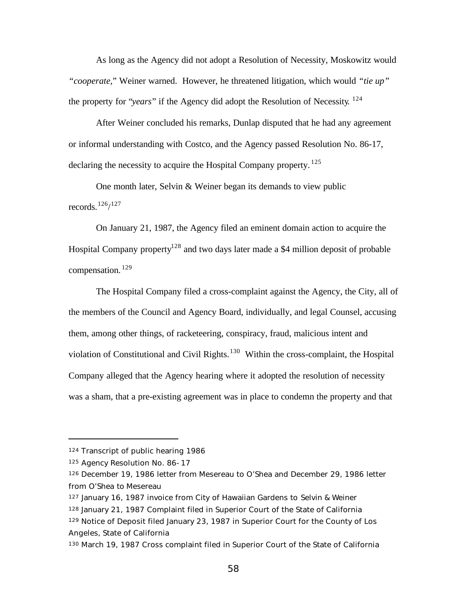As long as the Agency did not adopt a Resolution of Necessity, Moskowitz would *"cooperate,*" Weiner warned. However, he threatened litigation, which would *"tie up"* the property for "*years*" if the Agency did adopt the Resolution of Necessity*.* 124

After Weiner concluded his remarks, Dunlap disputed that he had any agreement or informal understanding with Costco, and the Agency passed Resolution No. 86-17, declaring the necessity to acquire the Hospital Company property.<sup>125</sup>

One month later, Selvin & Weiner began its demands to view public records.  $126/127$ 

On January 21, 1987, the Agency filed an eminent domain action to acquire the Hospital Company property<sup>128</sup> and two days later made a \$4 million deposit of probable compensation. <sup>129</sup>

The Hospital Company filed a cross-complaint against the Agency, the City, all of the members of the Council and Agency Board, individually, and legal Counsel, accusing them, among other things, of racketeering, conspiracy, fraud, malicious intent and violation of Constitutional and Civil Rights. $130$  Within the cross-complaint, the Hospital Company alleged that the Agency hearing where it adopted the resolution of necessity was a sham, that a pre-existing agreement was in place to condemn the property and that

<sup>124</sup> Transcript of public hearing 1986

<sup>125</sup> Agency Resolution No. 86-17

<sup>126</sup> December 19, 1986 letter from Mesereau to O'Shea and December 29, 1986 letter from O'Shea to Mesereau

<sup>127</sup> January 16, 1987 invoice from City of Hawaiian Gardens to Selvin & Weiner

<sup>128</sup> January 21, 1987 Complaint filed in Superior Court of the State of California

<sup>129</sup> Notice of Deposit filed January 23, 1987 in Superior Court for the County of Los Angeles, State of California

<sup>130</sup> March 19, 1987 Cross complaint filed in Superior Court of the State of California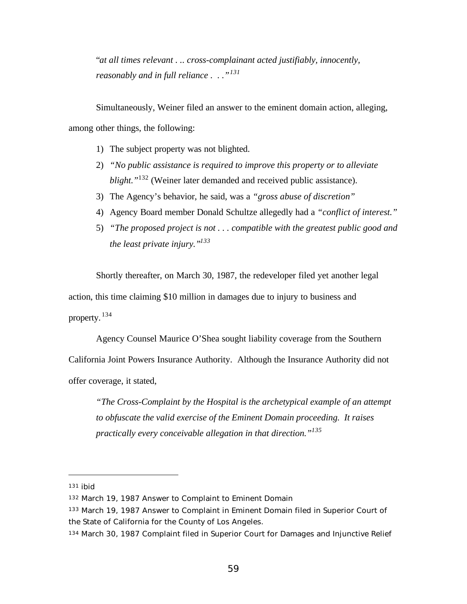"*at all times relevant . .. cross-complainant acted justifiably, innocently, reasonably and in full reliance . . ."<sup>131</sup>*

Simultaneously, Weiner filed an answer to the eminent domain action, alleging, among other things, the following:

- 1) The subject property was not blighted.
- 2) *"No public assistance is required to improve this property or to alleviate blight."*<sup>132</sup> (Weiner later demanded and received public assistance).
- 3) The Agency's behavior, he said, was a *"gross abuse of discretion"*
- 4) Agency Board member Donald Schultze allegedly had a *"conflict of interest."*
- 5) *"The proposed project is not . . . compatible with the greatest public good and the least private injury."<sup>133</sup>*

Shortly thereafter, on March 30, 1987, the redeveloper filed yet another legal action, this time claiming \$10 million in damages due to injury to business and property. <sup>134</sup>

Agency Counsel Maurice O'Shea sought liability coverage from the Southern

California Joint Powers Insurance Authority. Although the Insurance Authority did not offer coverage, it stated,

*"The Cross-Complaint by the Hospital is the archetypical example of an attempt to obfuscate the valid exercise of the Eminent Domain proceeding. It raises practically every conceivable allegation in that direction."<sup>135</sup>*

<sup>131</sup> ibid

<sup>132</sup> March 19, 1987 Answer to Complaint to Eminent Domain

<sup>133</sup> March 19, 1987 Answer to Complaint in Eminent Domain filed in Superior Court of the State of California for the County of Los Angeles.

<sup>134</sup> March 30, 1987 Complaint filed in Superior Court for Damages and Injunctive Relief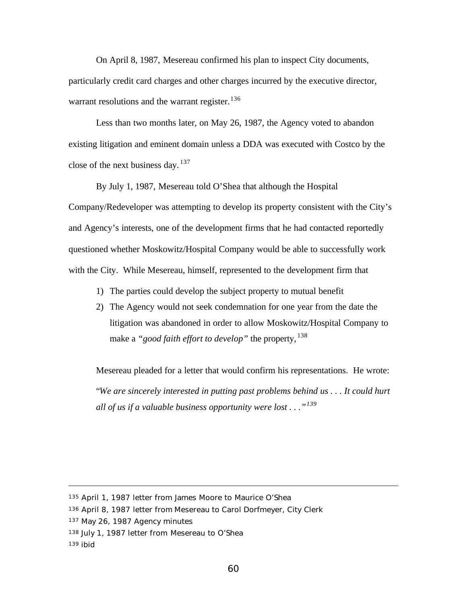On April 8, 1987, Mesereau confirmed his plan to inspect City documents, particularly credit card charges and other charges incurred by the executive director, warrant resolutions and the warrant register.<sup>136</sup>

Less than two months later, on May 26, 1987, the Agency voted to abandon existing litigation and eminent domain unless a DDA was executed with Costco by the close of the next business day.  $137$ 

By July 1, 1987, Mesereau told O'Shea that although the Hospital Company/Redeveloper was attempting to develop its property consistent with the City's and Agency's interests, one of the development firms that he had contacted reportedly questioned whether Moskowitz/Hospital Company would be able to successfully work with the City. While Mesereau, himself, represented to the development firm that

- 1) The parties could develop the subject property to mutual benefit
- 2) The Agency would not seek condemnation for one year from the date the litigation was abandoned in order to allow Moskowitz/Hospital Company to make a "*good faith effort to develop*" the property, <sup>138</sup>

Mesereau pleaded for a letter that would confirm his representations. He wrote: "*We are sincerely interested in putting past problems behind us . . . It could hurt all of us if a valuable business opportunity were lost . . ."<sup>139</sup>*

<sup>135</sup> April 1, 1987 letter from James Moore to Maurice O'Shea

<sup>136</sup> April 8, 1987 letter from Mesereau to Carol Dorfmeyer, City Clerk

<sup>137</sup> May 26, 1987 Agency minutes

<sup>138</sup> July 1, 1987 letter from Mesereau to O'Shea

<sup>139</sup> ibid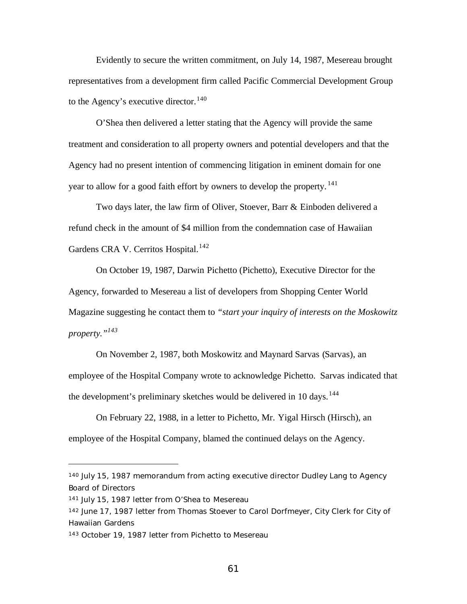Evidently to secure the written commitment, on July 14, 1987, Mesereau brought representatives from a development firm called Pacific Commercial Development Group to the Agency's executive director.<sup>140</sup>

O'Shea then delivered a letter stating that the Agency will provide the same treatment and consideration to all property owners and potential developers and that the Agency had no present intention of commencing litigation in eminent domain for one year to allow for a good faith effort by owners to develop the property.  $^{141}$ 

Two days later, the law firm of Oliver, Stoever, Barr & Einboden delivered a refund check in the amount of \$4 million from the condemnation case of Hawaiian Gardens CRA V. Cerritos Hospital.<sup>142</sup>

On October 19, 1987, Darwin Pichetto (Pichetto), Executive Director for the Agency, forwarded to Mesereau a list of developers from Shopping Center World Magazine suggesting he contact them to *"start your inquiry of interests on the Moskowitz property."<sup>143</sup>*

On November 2, 1987, both Moskowitz and Maynard Sarvas (Sarvas), an employee of the Hospital Company wrote to acknowledge Pichetto. Sarvas indicated that the development's preliminary sketches would be delivered in 10 days.<sup>144</sup>

On February 22, 1988, in a letter to Pichetto, Mr. Yigal Hirsch (Hirsch), an employee of the Hospital Company, blamed the continued delays on the Agency.

<sup>140</sup> July 15, 1987 memorandum from acting executive director Dudley Lang to Agency Board of Directors

<sup>141</sup> July 15, 1987 letter from O'Shea to Mesereau

<sup>142</sup> June 17, 1987 letter from Thomas Stoever to Carol Dorfmeyer, City Clerk for City of Hawaiian Gardens

<sup>143</sup> October 19, 1987 letter from Pichetto to Mesereau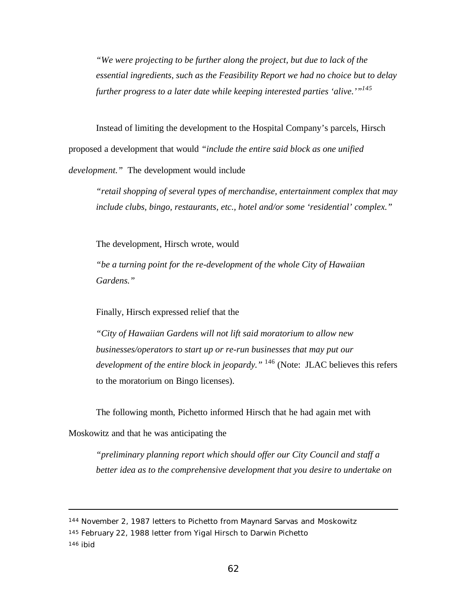*"We were projecting to be further along the project, but due to lack of the essential ingredients, such as the Feasibility Report we had no choice but to delay further progress to a later date while keeping interested parties 'alive.'"<sup>145</sup>*

Instead of limiting the development to the Hospital Company's parcels, Hirsch proposed a development that would *"include the entire said block as one unified development."* The development would include

*"retail shopping of several types of merchandise, entertainment complex that may include clubs, bingo, restaurants, etc., hotel and/or some 'residential' complex."*

The development, Hirsch wrote, would

*"be a turning point for the re-development of the whole City of Hawaiian Gardens."*

Finally, Hirsch expressed relief that the

*"City of Hawaiian Gardens will not lift said moratorium to allow new businesses/operators to start up or re-run businesses that may put our development of the entire block in jeopardy."* <sup>146</sup> (Note: JLAC believes this refers to the moratorium on Bingo licenses).

The following month, Pichetto informed Hirsch that he had again met with

Moskowitz and that he was anticipating the

*"preliminary planning report which should offer our City Council and staff a better idea as to the comprehensive development that you desire to undertake on*

<sup>144</sup> November 2, 1987 letters to Pichetto from Maynard Sarvas and Moskowitz

<sup>145</sup> February 22, 1988 letter from Yigal Hirsch to Darwin Pichetto

<sup>146</sup> ibid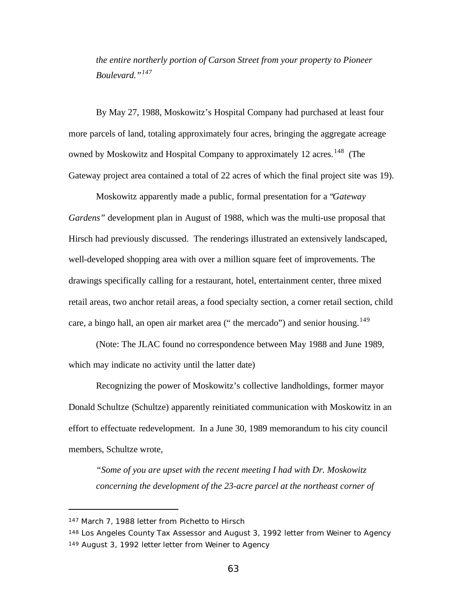*the entire northerly portion of Carson Street from your property to Pioneer Boulevard."<sup>147</sup>*

By May 27, 1988, Moskowitz's Hospital Company had purchased at least four more parcels of land, totaling approximately four acres, bringing the aggregate acreage owned by Moskowitz and Hospital Company to approximately 12 acres.<sup>148</sup> (The Gateway project area contained a total of 22 acres of which the final project site was 19).

Moskowitz apparently made a public, formal presentation for a "*Gateway Gardens"* development plan in August of 1988, which was the multi-use proposal that Hirsch had previously discussed. The renderings illustrated an extensively landscaped, well-developed shopping area with over a million square feet of improvements. The drawings specifically calling for a restaurant, hotel, entertainment center, three mixed retail areas, two anchor retail areas, a food specialty section, a corner retail section, child care, a bingo hall, an open air market area (" the mercado") and senior housing.<sup>149</sup>

(Note: The JLAC found no correspondence between May 1988 and June 1989, which may indicate no activity until the latter date)

Recognizing the power of Moskowitz's collective landholdings, former mayor Donald Schultze (Schultze) apparently reinitiated communication with Moskowitz in an effort to effectuate redevelopment. In a June 30, 1989 memorandum to his city council members, Schultze wrote,

*"Some of you are upset with the recent meeting I had with Dr. Moskowitz concerning the development of the 23-acre parcel at the northeast corner of*

<sup>147</sup> March 7, 1988 letter from Pichetto to Hirsch

<sup>148</sup> Los Angeles County Tax Assessor and August 3, 1992 letter from Weiner to Agency 149 August 3, 1992 letter letter from Weiner to Agency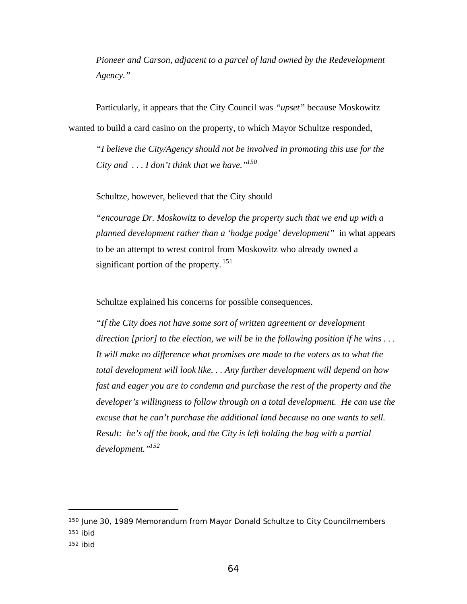*Pioneer and Carson, adjacent to a parcel of land owned by the Redevelopment Agency."*

Particularly, it appears that the City Council was *"upset* " because Moskowitz wanted to build a card casino on the property, to which Mayor Schultze responded,

*"I believe the City/Agency should not be involved in promoting this use for the City and . . . I don't think that we have."<sup>150</sup>*

Schultze, however, believed that the City should

*"encourage Dr. Moskowitz to develop the property such that we end up with a planned development rather than a 'hodge podge' development"* in what appears to be an attempt to wrest control from Moskowitz who already owned a significant portion of the property.  $151$ 

Schultze explained his concerns for possible consequences.

*"If the City does not have some sort of written agreement or development direction [prior] to the election, we will be in the following position if he wins . . . It will make no difference what promises are made to the voters as to what the total development will look like. . . Any further development will depend on how fast and eager you are to condemn and purchase the rest of the property and the developer's willingness to follow through on a total development. He can use the excuse that he can't purchase the additional land because no one wants to sell. Result: he's off the hook, and the City is left holding the bag with a partial development."<sup>152</sup>*

<sup>150</sup> June 30, 1989 Memorandum from Mayor Donald Schultze to City Councilmembers <sup>151</sup> ibid

<sup>152</sup> ibid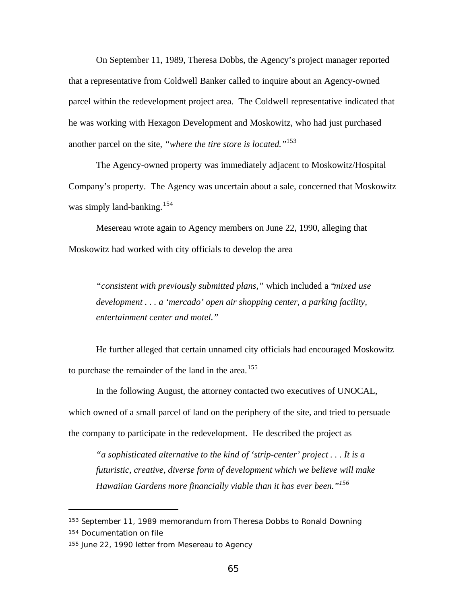On September 11, 1989, Theresa Dobbs, the Agency's project manager reported that a representative from Coldwell Banker called to inquire about an Agency-owned parcel within the redevelopment project area. The Coldwell representative indicated that he was working with Hexagon Development and Moskowitz, who had just purchased another parcel on the site, *"where the tire store is located."*<sup>153</sup>

The Agency-owned property was immediately adjacent to Moskowitz/Hospital Company's property. The Agency was uncertain about a sale, concerned that Moskowitz was simply land-banking.<sup>154</sup>

Mesereau wrote again to Agency members on June 22, 1990, alleging that Moskowitz had worked with city officials to develop the area

*"consistent with previously submitted plans,"* which included a "*mixed use development . . . a 'mercado' open air shopping center, a parking facility, entertainment center and motel."*

He further alleged that certain unnamed city officials had encouraged Moskowitz to purchase the remainder of the land in the area.<sup>155</sup>

In the following August, the attorney contacted two executives of UNOCAL, which owned of a small parcel of land on the periphery of the site, and tried to persuade the company to participate in the redevelopment. He described the project as

*"a sophisticated alternative to the kind of 'strip-center' project . . . It is a futuristic, creative, diverse form of development which we believe will make Hawaiian Gardens more financially viable than it has ever been."<sup>156</sup>*

<sup>153</sup> September 11, 1989 memorandum from Theresa Dobbs to Ronald Downing

<sup>154</sup> Documentation on file

<sup>155</sup> June 22, 1990 letter from Mesereau to Agency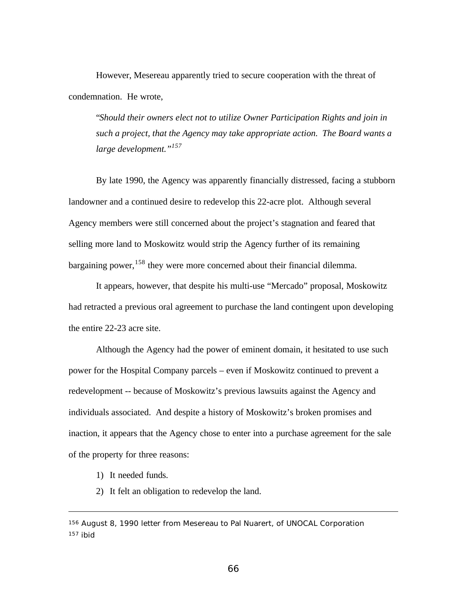However, Mesereau apparently tried to secure cooperation with the threat of condemnation. He wrote,

"*Should their owners elect not to utilize Owner Participation Rights and join in such a project, that the Agency may take appropriate action. The Board wants a large development."<sup>157</sup>*

By late 1990, the Agency was apparently financially distressed, facing a stubborn landowner and a continued desire to redevelop this 22-acre plot. Although several Agency members were still concerned about the project's stagnation and feared that selling more land to Moskowitz would strip the Agency further of its remaining bargaining power,  $158$  they were more concerned about their financial dilemma.

It appears, however, that despite his multi-use "Mercado" proposal, Moskowitz had retracted a previous oral agreement to purchase the land contingent upon developing the entire 22-23 acre site.

Although the Agency had the power of eminent domain, it hesitated to use such power for the Hospital Company parcels – even if Moskowitz continued to prevent a redevelopment -- because of Moskowitz's previous lawsuits against the Agency and individuals associated. And despite a history of Moskowitz's broken promises and inaction, it appears that the Agency chose to enter into a purchase agreement for the sale of the property for three reasons:

1) It needed funds.

2) It felt an obligation to redevelop the land.

<sup>156</sup> August 8, 1990 letter from Mesereau to Pal Nuarert, of UNOCAL Corporation 157 ibid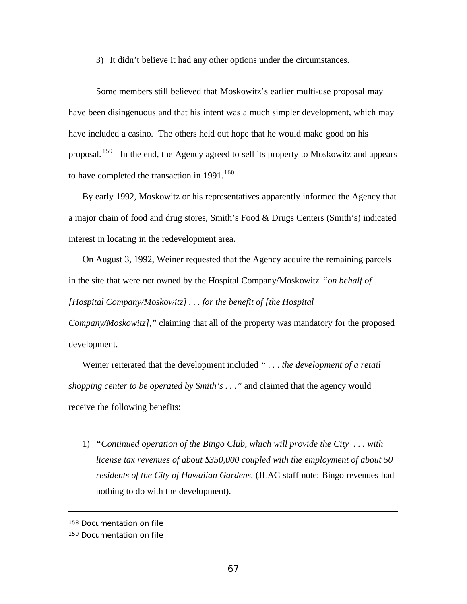3) It didn't believe it had any other options under the circumstances.

Some members still believed that Moskowitz's earlier multi-use proposal may have been disingenuous and that his intent was a much simpler development, which may have included a casino. The others held out hope that he would make good on his proposal. <sup>159</sup> In the end, the Agency agreed to sell its property to Moskowitz and appears to have completed the transaction in  $1991$ .<sup>160</sup>

By early 1992, Moskowitz or his representatives apparently informed the Agency that a major chain of food and drug stores, Smith's Food & Drugs Centers (Smith's) indicated interest in locating in the redevelopment area.

On August 3, 1992, Weiner requested that the Agency acquire the remaining parcels in the site that were not owned by the Hospital Company/Moskowitz *"on behalf of [Hospital Company/Moskowitz] . . . for the benefit of [the Hospital*

*Company/Moskowitz],"* claiming that all of the property was mandatory for the proposed development.

Weiner reiterated that the development included *" . . . the development of a retail shopping center to be operated by Smith's . . ."* and claimed that the agency would receive the following benefits:

1) *"Continued operation of the Bingo Club, which will provide the City . . . with license tax revenues of about \$350,000 coupled with the employment of about 50 residents of the City of Hawaiian Gardens.* (JLAC staff note: Bingo revenues had nothing to do with the development).

<sup>158</sup> Documentation on file

<sup>159</sup> Documentation on file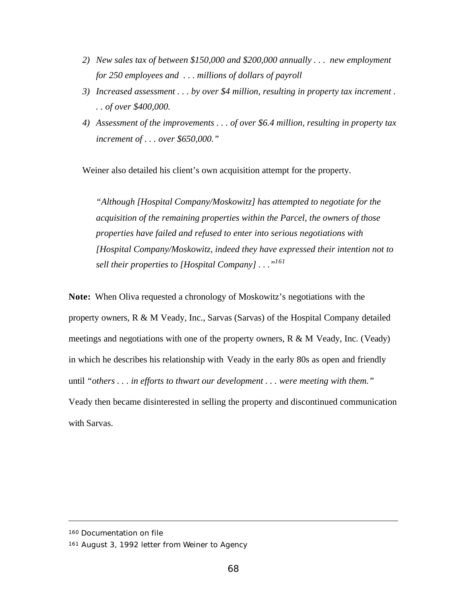- *2) New sales tax of between \$150,000 and \$200,000 annually . . . new employment for 250 employees and . . . millions of dollars of payroll*
- *3) Increased assessment . . . by over \$4 million, resulting in property tax increment . . . of over \$400,000.*
- *4) Assessment of the improvements . . . of over \$6.4 million, resulting in property tax increment of . . . over \$650,000."*

Weiner also detailed his client's own acquisition attempt for the property.

*"Although [Hospital Company/Moskowitz] has attempted to negotiate for the acquisition of the remaining properties within the Parcel, the owners of those properties have failed and refused to enter into serious negotiations with [Hospital Company/Moskowitz, indeed they have expressed their intention not to sell their properties to [Hospital Company] . . ."<sup>161</sup>*

**Note:** When Oliva requested a chronology of Moskowitz's negotiations with the property owners, R & M Veady, Inc., Sarvas (Sarvas) of the Hospital Company detailed meetings and negotiations with one of the property owners, R & M Veady, Inc. (Veady) in which he describes his relationship with Veady in the early 80s as open and friendly until *"others . . . in efforts to thwart our development . . . were meeting with them."* Veady then became disinterested in selling the property and discontinued communication with Sarvas.

<sup>160</sup> Documentation on file

<sup>161</sup> August 3, 1992 letter from Weiner to Agency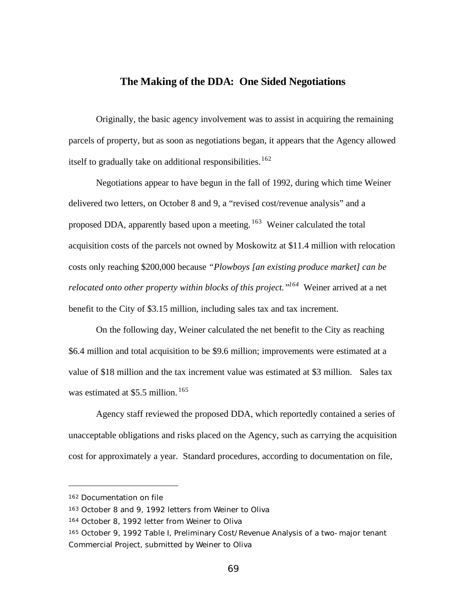## **The Making of the DDA: One Sided Negotiations**

Originally, the basic agency involvement was to assist in acquiring the remaining parcels of property, but as soon as negotiations began, it appears that the Agency allowed itself to gradually take on additional responsibilities.<sup>162</sup>

Negotiations appear to have begun in the fall of 1992, during which time Weiner delivered two letters, on October 8 and 9, a "revised cost/revenue analysis" and a proposed DDA, apparently based upon a meeting.  $163$  Weiner calculated the total acquisition costs of the parcels not owned by Moskowitz at \$11.4 million with relocation costs only reaching \$200,000 because *"Plowboys [an existing produce market] can be relocated onto other property within blocks of this project."<sup>164</sup>* Weiner arrived at a net benefit to the City of \$3.15 million, including sales tax and tax increment.

On the following day, Weiner calculated the net benefit to the City as reaching \$6.4 million and total acquisition to be \$9.6 million; improvements were estimated at a value of \$18 million and the tax increment value was estimated at \$3 million. Sales tax was estimated at \$5.5 million.<sup>165</sup>

Agency staff reviewed the proposed DDA, which reportedly contained a series of unacceptable obligations and risks placed on the Agency, such as carrying the acquisition cost for approximately a year. Standard procedures, according to documentation on file,

<sup>162</sup> Documentation on file

<sup>163</sup> October 8 and 9, 1992 letters from Weiner to Oliva

<sup>164</sup> October 8, 1992 letter from Weiner to Oliva

<sup>165</sup> October 9, 1992 Table I, Preliminary Cost/Revenue Analysis of a two-major tenant Commercial Project, submitted by Weiner to Oliva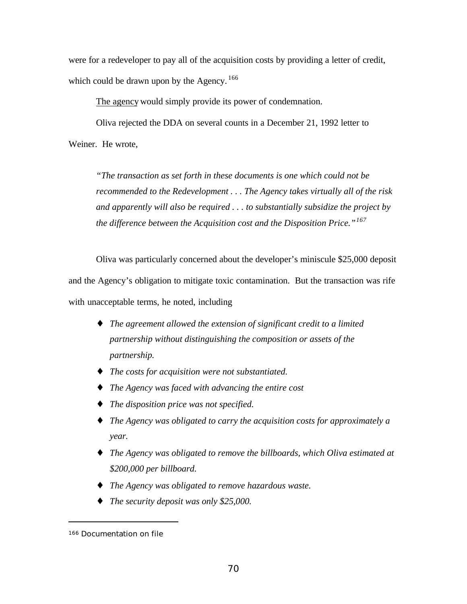were for a redeveloper to pay all of the acquisition costs by providing a letter of credit, which could be drawn upon by the Agency.<sup>166</sup>

The agency would simply provide its power of condemnation.

Oliva rejected the DDA on several counts in a December 21, 1992 letter to Weiner. He wrote,

*"The transaction as set forth in these documents is one which could not be recommended to the Redevelopment . . . The Agency takes virtually all of the risk and apparently will also be required . . . to substantially subsidize the project by the difference between the Acquisition cost and the Disposition Price."<sup>167</sup>*

Oliva was particularly concerned about the developer's miniscule \$25,000 deposit and the Agency's obligation to mitigate toxic contamination. But the transaction was rife with unacceptable terms, he noted, including

- ♦ *The agreement allowed the extension of significant credit to a limited partnership without distinguishing the composition or assets of the partnership.*
- ♦ *The costs for acquisition were not substantiated.*
- ♦ *The Agency was faced with advancing the entire cost*
- ♦ *The disposition price was not specified.*
- ♦ *The Agency was obligated to carry the acquisition costs for approximately a year.*
- ♦ *The Agency was obligated to remove the billboards, which Oliva estimated at \$200,000 per billboard.*
- ♦ *The Agency was obligated to remove hazardous waste.*
- ♦ *The security deposit was only \$25,000.*

<sup>166</sup> Documentation on file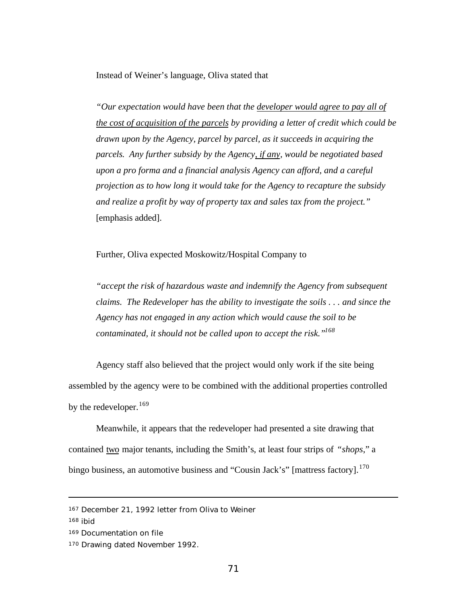Instead of Weiner's language, Oliva stated that

*"Our expectation would have been that the developer would agree to pay all of the cost of acquisition of the parcels by providing a letter of credit which could be drawn upon by the Agency, parcel by parcel, as it succeeds in acquiring the parcels. Any further subsidy by the Agency, if any, would be negotiated based upon a pro forma and a financial analysis Agency can afford, and a careful projection as to how long it would take for the Agency to recapture the subsidy and realize a profit by way of property tax and sales tax from the project."* [emphasis added].

Further, Oliva expected Moskowitz/Hospital Company to

*"accept the risk of hazardous waste and indemnify the Agency from subsequent claims. The Redeveloper has the ability to investigate the soils . . . and since the Agency has not engaged in any action which would cause the soil to be contaminated, it should not be called upon to accept the risk."<sup>168</sup>*

Agency staff also believed that the project would only work if the site being assembled by the agency were to be combined with the additional properties controlled by the redeveloper.  $169$ 

Meanwhile, it appears that the redeveloper had presented a site drawing that contained two major tenants, including the Smith's, at least four strips of *"shops*," a bingo business, an automotive business and "Cousin Jack's" [mattress factory].<sup>170</sup>

<sup>167</sup> December 21, 1992 letter from Oliva to Weiner

<sup>168</sup> ibid

<sup>169</sup> Documentation on file

<sup>170</sup> Drawing dated November 1992.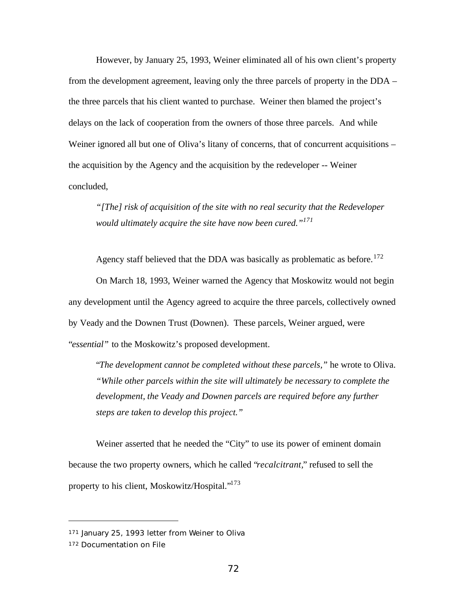However, by January 25, 1993, Weiner eliminated all of his own client's property from the development agreement, leaving only the three parcels of property in the DDA – the three parcels that his client wanted to purchase. Weiner then blamed the project's delays on the lack of cooperation from the owners of those three parcels. And while Weiner ignored all but one of Oliva's litany of concerns, that of concurrent acquisitions – the acquisition by the Agency and the acquisition by the redeveloper -- Weiner concluded,

*"[The] risk of acquisition of the site with no real security that the Redeveloper would ultimately acquire the site have now been cured."<sup>171</sup>*

Agency staff believed that the DDA was basically as problematic as before.<sup>172</sup> On March 18, 1993, Weiner warned the Agency that Moskowitz would not begin any development until the Agency agreed to acquire the three parcels, collectively owned by Veady and the Downen Trust (Downen). These parcels, Weiner argued, were "*essential"* to the Moskowitz's proposed development.

"*The development cannot be completed without these parcels,"* he wrote to Oliva. *"While other parcels within the site will ultimately be necessary to complete the development, the Veady and Downen parcels are required before any further steps are taken to develop this project."*

Weiner asserted that he needed the "City" to use its power of eminent domain because the two property owners, which he called "*recalcitrant,*" refused to sell the property to his client, Moskowitz/Hospital."<sup>173</sup>

<sup>171</sup> January 25, 1993 letter from Weiner to Oliva

<sup>172</sup> Documentation on File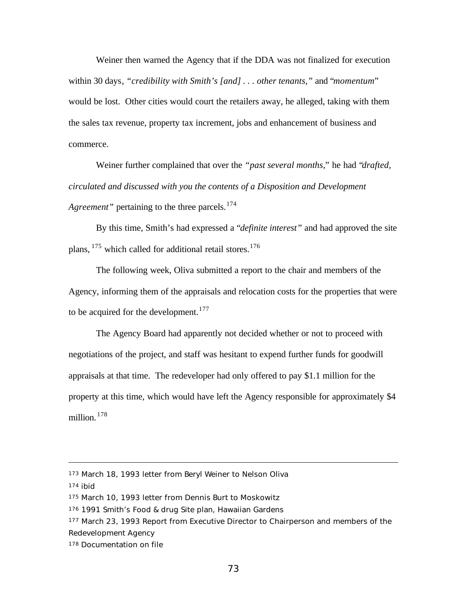Weiner then warned the Agency that if the DDA was not finalized for execution within 30 days*, "credibility with Smith's [and] . . . other tenants,"* and "*momentum*" would be lost. Other cities would court the retailers away, he alleged, taking with them the sales tax revenue, property tax increment, jobs and enhancement of business and commerce.

Weiner further complained that over the *"past several months*," he had "*drafted, circulated and discussed with you the contents of a Disposition and Development Agreement*" pertaining to the three parcels.<sup>174</sup>

By this time, Smith's had expressed a "*definite interest* " and had approved the site plans,  $175$  which called for additional retail stores.  $176$ 

The following week, Oliva submitted a report to the chair and members of the Agency, informing them of the appraisals and relocation costs for the properties that were to be acquired for the development.<sup>177</sup>

The Agency Board had apparently not decided whether or not to proceed with negotiations of the project, and staff was hesitant to expend further funds for goodwill appraisals at that time. The redeveloper had only offered to pay \$1.1 million for the property at this time, which would have left the Agency responsible for approximately \$4 million. <sup>178</sup>

<sup>173</sup> March 18, 1993 letter from Beryl Weiner to Nelson Oliva

 $174$  ibid

<sup>175</sup> March 10, 1993 letter from Dennis Burt to Moskowitz

<sup>176</sup> 1991 Smith's Food & drug Site plan, Hawaiian Gardens

<sup>177</sup> March 23, 1993 Report from Executive Director to Chairperson and members of the Redevelopment Agency

<sup>178</sup> Documentation on file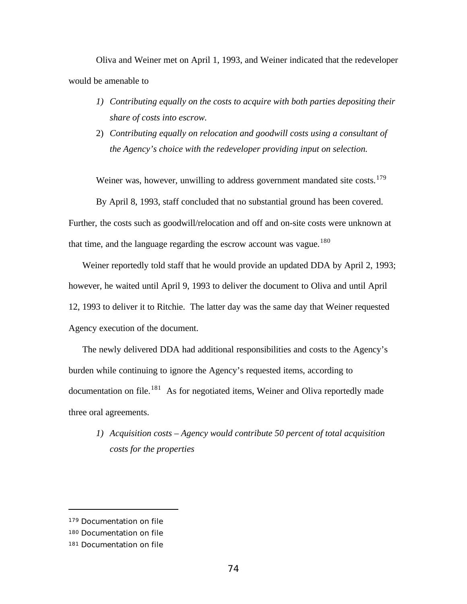Oliva and Weiner met on April 1, 1993, and Weiner indicated that the redeveloper would be amenable to

- *1) Contributing equally on the costs to acquire with both parties depositing their share of costs into escrow.*
- 2) *Contributing equally on relocation and goodwill costs using a consultant of the Agency's choice with the redeveloper providing input on selection.*

Weiner was, however, unwilling to address government mandated site costs.<sup>179</sup>

By April 8, 1993, staff concluded that no substantial ground has been covered.

Further, the costs such as goodwill/relocation and off and on-site costs were unknown at that time, and the language regarding the escrow account was vague.<sup>180</sup>

Weiner reportedly told staff that he would provide an updated DDA by April 2, 1993; however, he waited until April 9, 1993 to deliver the document to Oliva and until April 12, 1993 to deliver it to Ritchie. The latter day was the same day that Weiner requested Agency execution of the document.

The newly delivered DDA had additional responsibilities and costs to the Agency's burden while continuing to ignore the Agency's requested items, according to  $d$ ocumentation on file.<sup>181</sup> As for negotiated items, Weiner and Oliva reportedly made three oral agreements.

*1) Acquisition costs – Agency would contribute 50 percent of total acquisition costs for the properties*

<sup>179</sup> Documentation on file

<sup>180</sup> Documentation on file

<sup>181</sup> Documentation on file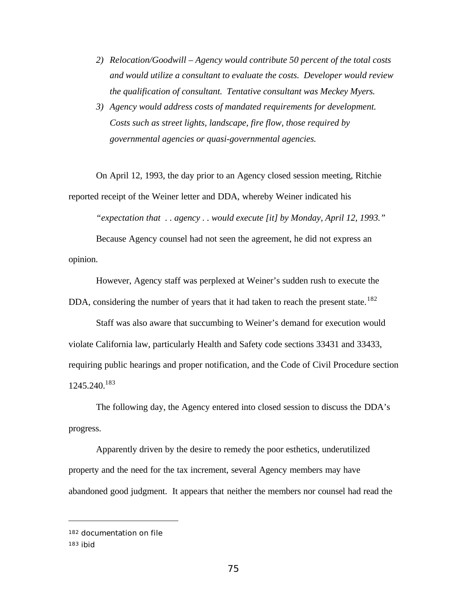- *2) Relocation/Goodwill Agency would contribute 50 percent of the total costs and would utilize a consultant to evaluate the costs. Developer would review the qualification of consultant. Tentative consultant was Meckey Myers.*
- *3) Agency would address costs of mandated requirements for development. Costs such as street lights, landscape, fire flow, those required by governmental agencies or quasi-governmental agencies.*

On April 12, 1993, the day prior to an Agency closed session meeting, Ritchie reported receipt of the Weiner letter and DDA, whereby Weiner indicated his

*"expectation that . . agency . . would execute [it] by Monday, April 12, 1993."*

Because Agency counsel had not seen the agreement, he did not express an opinion.

However, Agency staff was perplexed at Weiner's sudden rush to execute the DDA, considering the number of years that it had taken to reach the present state.<sup>182</sup>

Staff was also aware that succumbing to Weiner's demand for execution would violate California law, particularly Health and Safety code sections 33431 and 33433, requiring public hearings and proper notification, and the Code of Civil Procedure section 1245.240.<sup>183</sup>

The following day, the Agency entered into closed session to discuss the DDA's progress.

Apparently driven by the desire to remedy the poor esthetics, underutilized property and the need for the tax increment, several Agency members may have abandoned good judgment. It appears that neither the members nor counsel had read the

<sup>182</sup> documentation on file

<sup>183</sup> ibid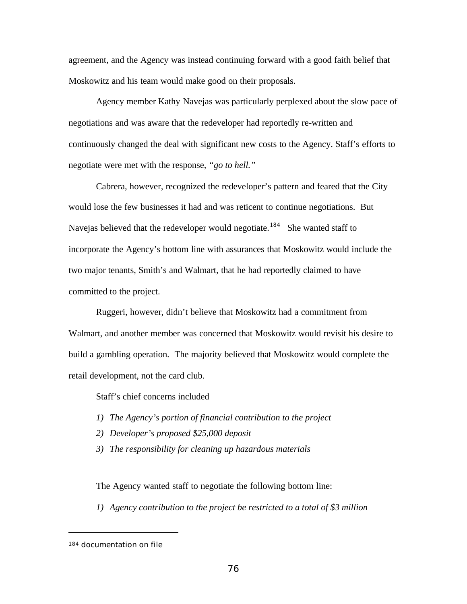agreement, and the Agency was instead continuing forward with a good faith belief that Moskowitz and his team would make good on their proposals.

Agency member Kathy Navejas was particularly perplexed about the slow pace of negotiations and was aware that the redeveloper had reportedly re-written and continuously changed the deal with significant new costs to the Agency. Staff's efforts to negotiate were met with the response, *"go to hell."*

Cabrera, however, recognized the redeveloper's pattern and feared that the City would lose the few businesses it had and was reticent to continue negotiations. But Navejas believed that the redeveloper would negotiate.<sup>184</sup> She wanted staff to incorporate the Agency's bottom line with assurances that Moskowitz would include the two major tenants, Smith's and Walmart, that he had reportedly claimed to have committed to the project.

Ruggeri, however, didn't believe that Moskowitz had a commitment from Walmart, and another member was concerned that Moskowitz would revisit his desire to build a gambling operation. The majority believed that Moskowitz would complete the retail development, not the card club.

Staff's chief concerns included

- *1) The Agency's portion of financial contribution to the project*
- *2) Developer's proposed \$25,000 deposit*
- *3) The responsibility for cleaning up hazardous materials*

The Agency wanted staff to negotiate the following bottom line:

*1) Agency contribution to the project be restricted to a total of \$3 million*

<sup>184</sup> documentation on file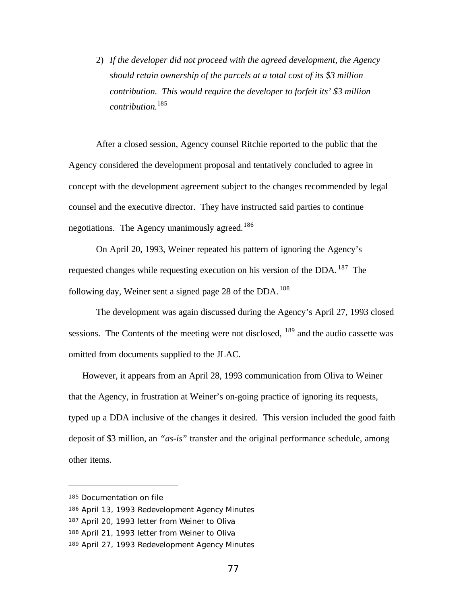2) *If the developer did not proceed with the agreed development, the Agency should retain ownership of the parcels at a total cost of its \$3 million contribution. This would require the developer to forfeit its' \$3 million contribution.*<sup>185</sup>

After a closed session, Agency counsel Ritchie reported to the public that the Agency considered the development proposal and tentatively concluded to agree in concept with the development agreement subject to the changes recommended by legal counsel and the executive director. They have instructed said parties to continue negotiations. The Agency unanimously agreed.<sup>186</sup>

On April 20, 1993, Weiner repeated his pattern of ignoring the Agency's requested changes while requesting execution on his version of the DDA.  $187$  The following day, Weiner sent a signed page 28 of the DDA.<sup>188</sup>

The development was again discussed during the Agency's April 27, 1993 closed sessions. The Contents of the meeting were not disclosed,  $189$  and the audio cassette was omitted from documents supplied to the JLAC.

However, it appears from an April 28, 1993 communication from Oliva to Weiner that the Agency, in frustration at Weiner's on-going practice of ignoring its requests, typed up a DDA inclusive of the changes it desired. This version included the good faith deposit of \$3 million, an *"as-is*" transfer and the original performance schedule, among other items.

<sup>185</sup> Documentation on file

<sup>186</sup> April 13, 1993 Redevelopment Agency Minutes

<sup>187</sup> April 20, 1993 letter from Weiner to Oliva

<sup>188</sup> April 21, 1993 letter from Weiner to Oliva

<sup>189</sup> April 27, 1993 Redevelopment Agency Minutes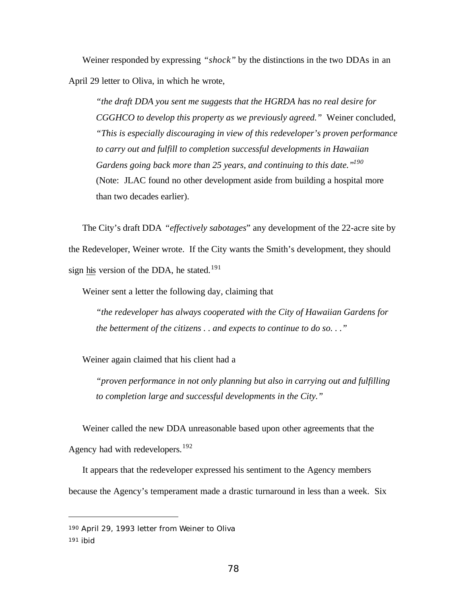Weiner responded by expressing *"shock"* by the distinctions in the two DDAs in an April 29 letter to Oliva, in which he wrote,

*"the draft DDA you sent me suggests that the HGRDA has no real desire for CGGHCO to develop this property as we previously agreed."* Weiner concluded, *"This is especially discouraging in view of this redeveloper's proven performance to carry out and fulfill to completion successful developments in Hawaiian Gardens going back more than 25 years, and continuing to this date."<sup>190</sup>* (Note: JLAC found no other development aside from building a hospital more than two decades earlier).

The City's draft DDA *"effectively sabotages*" any development of the 22-acre site by the Redeveloper, Weiner wrote. If the City wants the Smith's development, they should sign his version of the DDA, he stated.<sup>191</sup>

Weiner sent a letter the following day, claiming that

*"the redeveloper has always cooperated with the City of Hawaiian Gardens for the betterment of the citizens . . and expects to continue to do so. . ."*

Weiner again claimed that his client had a

*"proven performance in not only planning but also in carrying out and fulfilling to completion large and successful developments in the City."*

Weiner called the new DDA unreasonable based upon other agreements that the Agency had with redevelopers.<sup>192</sup>

It appears that the redeveloper expressed his sentiment to the Agency members because the Agency's temperament made a drastic turnaround in less than a week. Six

<sup>190</sup> April 29, 1993 letter from Weiner to Oliva

<sup>191</sup> ibid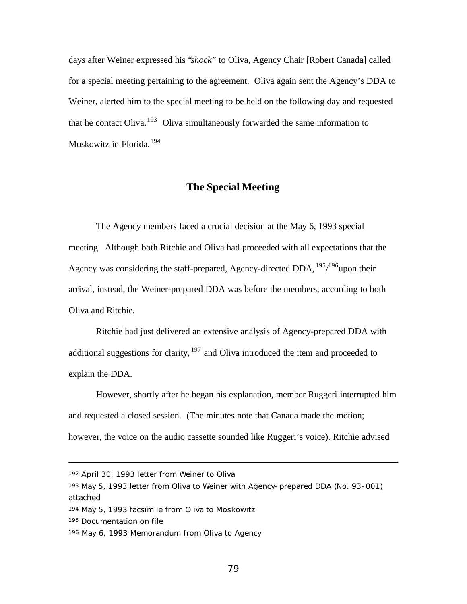days after Weiner expressed his "*shock*" to Oliva, Agency Chair [Robert Canada] called for a special meeting pertaining to the agreement. Oliva again sent the Agency's DDA to Weiner, alerted him to the special meeting to be held on the following day and requested that he contact Oliva.<sup>193</sup> Oliva simultaneously forwarded the same information to Moskowitz in Florida.<sup>194</sup>

# **The Special Meeting**

The Agency members faced a crucial decision at the May 6, 1993 special meeting. Although both Ritchie and Oliva had proceeded with all expectations that the Agency was considering the staff-prepared, Agency-directed DDA, <sup>195</sup>/<sup>196</sup>upon their arrival, instead, the Weiner-prepared DDA was before the members, according to both Oliva and Ritchie.

Ritchie had just delivered an extensive analysis of Agency-prepared DDA with additional suggestions for clarity,  $197$  and Oliva introduced the item and proceeded to explain the DDA.

However, shortly after he began his explanation, member Ruggeri interrupted him and requested a closed session. (The minutes note that Canada made the motion; however, the voice on the audio cassette sounded like Ruggeri's voice). Ritchie advised

<sup>195</sup> Documentation on file

<sup>192</sup> April 30, 1993 letter from Weiner to Oliva

<sup>193</sup> May 5, 1993 letter from Oliva to Weiner with Agency-prepared DDA (No. 93-001) attached

<sup>194</sup> May 5, 1993 facsimile from Oliva to Moskowitz

<sup>196</sup> May 6, 1993 Memorandum from Oliva to Agency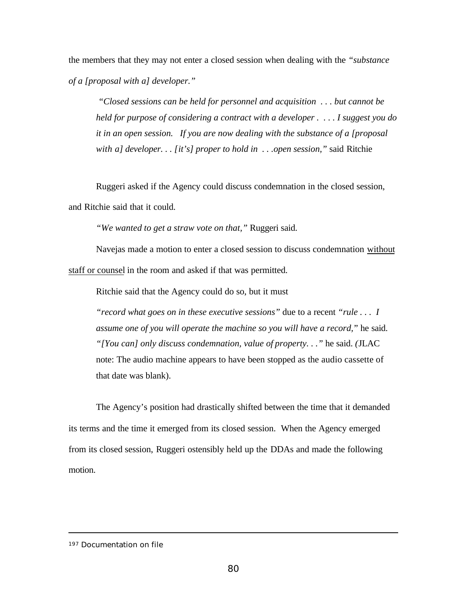the members that they may not enter a closed session when dealing with the *"substance of a [proposal with a] developer."*

 *"Closed sessions can be held for personnel and acquisition . . . but cannot be held for purpose of considering a contract with a developer . . . . I suggest you do it in an open session. If you are now dealing with the substance of a [proposal with a] developer. . . [it's] proper to hold in . . .open session,"* said Ritchie

Ruggeri asked if the Agency could discuss condemnation in the closed session,

and Ritchie said that it could.

*"We wanted to get a straw vote on that,"* Ruggeri said.

Navejas made a motion to enter a closed session to discuss condemnation without staff or counsel in the room and asked if that was permitted.

Ritchie said that the Agency could do so, but it must

*"record what goes on in these executive sessions"* due to a recent *"rule . . . I assume one of you will operate the machine so you will have a record,*" he said. *"[You can] only discuss condemnation, value of property. . ."* he said. *(*JLAC note: The audio machine appears to have been stopped as the audio cassette of that date was blank).

The Agency's position had drastically shifted between the time that it demanded its terms and the time it emerged from its closed session. When the Agency emerged from its closed session, Ruggeri ostensibly held up the DDAs and made the following motion.

<sup>197</sup> Documentation on file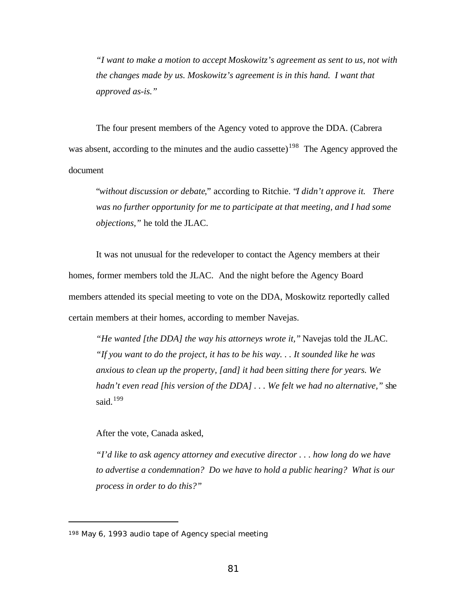*"I want to make a motion to accept Moskowitz's agreement as sent to us, not with the changes made by us. Moskowitz's agreement is in this hand. I want that approved as-is."*

The four present members of the Agency voted to approve the DDA. (Cabrera was absent, according to the minutes and the audio cassette)<sup>198</sup> The Agency approved the document

"*without discussion or debate*," according to Ritchie. "*I didn't approve it. There was no further opportunity for me to participate at that meeting, and I had some objections,"* he told the JLAC.

It was not unusual for the redeveloper to contact the Agency members at their homes, former members told the JLAC. And the night before the Agency Board members attended its special meeting to vote on the DDA, Moskowitz reportedly called certain members at their homes, according to member Navejas.

*"He wanted [the DDA] the way his attorneys wrote it,"* Navejas told the JLAC. *"If you want to do the project, it has to be his way. . . It sounded like he was anxious to clean up the property, [and] it had been sitting there for years. We hadn't even read [his version of the DDA] . . . We felt we had no alternative,"* she said.<sup>199</sup>

After the vote, Canada asked,

*"I'd like to ask agency attorney and executive director . . . how long do we have to advertise a condemnation? Do we have to hold a public hearing? What is our process in order to do this?"*

<sup>198</sup> May 6, 1993 audio tape of Agency special meeting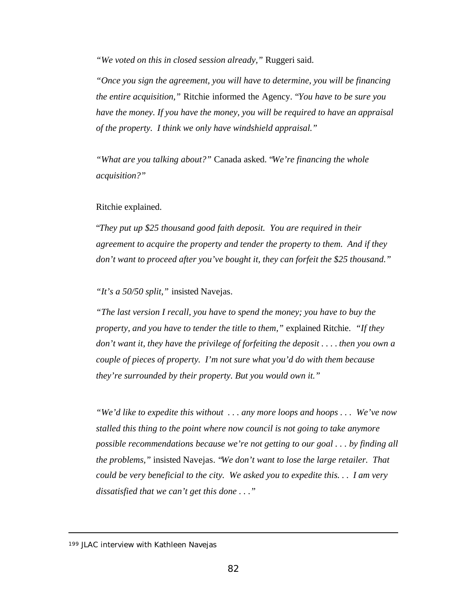*"We voted on this in closed session already,"* Ruggeri said.

*"Once you sign the agreement, you will have to determine, you will be financing the entire acquisition,"* Ritchie informed the Agency. "*You have to be sure you have the money. If you have the money, you will be required to have an appraisal of the property. I think we only have windshield appraisal."*

*"What are you talking about?"* Canada asked. "*We're financing the whole acquisition?"*

#### Ritchie explained.

"*They put up \$25 thousand good faith deposit. You are required in their agreement to acquire the property and tender the property to them. And if they don't want to proceed after you've bought it, they can forfeit the \$25 thousand."*

*"It's a 50/50 split,"* insisted Navejas.

*"The last version I recall, you have to spend the money; you have to buy the property, and you have to tender the title to them,"* explained Ritchie. *"If they don't want it, they have the privilege of forfeiting the deposit . . . . then you own a couple of pieces of property. I'm not sure what you'd do with them because they're surrounded by their property. But you would own it."*

*"We'd like to expedite this without . . . any more loops and hoops . . . We've now stalled this thing to the point where now council is not going to take anymore possible recommendations because we're not getting to our goal . . . by finding all the problems,"* insisted Navejas. "*We don't want to lose the large retailer. That could be very beneficial to the city. We asked you to expedite this. . . I am very dissatisfied that we can't get this done . . ."*

<sup>199</sup> JLAC interview with Kathleen Navejas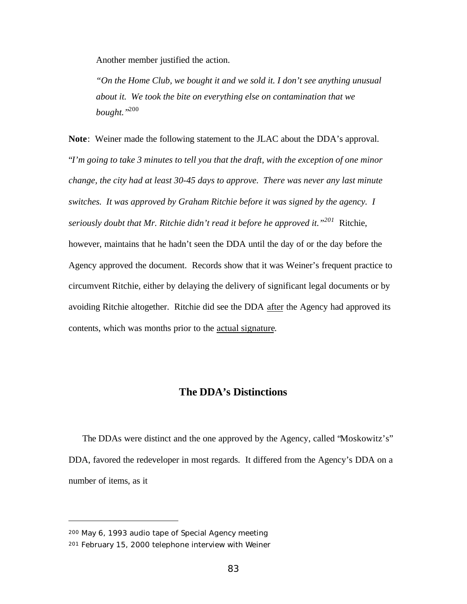Another member justified the action.

*"On the Home Club, we bought it and we sold it. I don't see anything unusual about it. We took the bite on everything else on contamination that we bought."*<sup>200</sup>

**Note**: Weiner made the following statement to the JLAC about the DDA's approval. "*I'm going to take 3 minutes to tell you that the draft, with the exception of one minor change, the city had at least 30-45 days to approve. There was never any last minute switches. It was approved by Graham Ritchie before it was signed by the agency. I seriously doubt that Mr. Ritchie didn't read it before he approved it."<sup>201</sup>* Ritchie, however, maintains that he hadn't seen the DDA until the day of or the day before the Agency approved the document. Records show that it was Weiner's frequent practice to circumvent Ritchie, either by delaying the delivery of significant legal documents or by avoiding Ritchie altogether. Ritchie did see the DDA after the Agency had approved its contents, which was months prior to the actual signature.

### **The DDA's Distinctions**

The DDAs were distinct and the one approved by the Agency, called "Moskowitz's" DDA, favored the redeveloper in most regards. It differed from the Agency's DDA on a number of items, as it

<sup>200</sup> May 6, 1993 audio tape of Special Agency meeting

<sup>201</sup> February 15, 2000 telephone interview with Weiner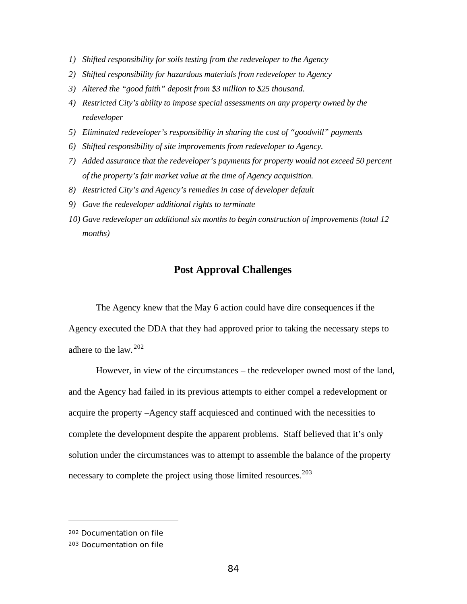- *1) Shifted responsibility for soils testing from the redeveloper to the Agency*
- *2) Shifted responsibility for hazardous materials from redeveloper to Agency*
- *3) Altered the "good faith" deposit from \$3 million to \$25 thousand.*
- *4) Restricted City's ability to impose special assessments on any property owned by the redeveloper*
- *5) Eliminated redeveloper's responsibility in sharing the cost of "goodwill" payments*
- *6) Shifted responsibility of site improvements from redeveloper to Agency.*
- *7) Added assurance that the redeveloper's payments for property would not exceed 50 percent of the property's fair market value at the time of Agency acquisition.*
- *8) Restricted City's and Agency's remedies in case of developer default*
- *9) Gave the redeveloper additional rights to terminate*
- *10) Gave redeveloper an additional six months to begin construction of improvements (total 12 months)*

# **Post Approval Challenges**

The Agency knew that the May 6 action could have dire consequences if the Agency executed the DDA that they had approved prior to taking the necessary steps to adhere to the law.  $202$ 

However, in view of the circumstances – the redeveloper owned most of the land, and the Agency had failed in its previous attempts to either compel a redevelopment or acquire the property –Agency staff acquiesced and continued with the necessities to complete the development despite the apparent problems. Staff believed that it's only solution under the circumstances was to attempt to assemble the balance of the property necessary to complete the project using those limited resources.<sup>203</sup>

<sup>202</sup> Documentation on file

<sup>203</sup> Documentation on file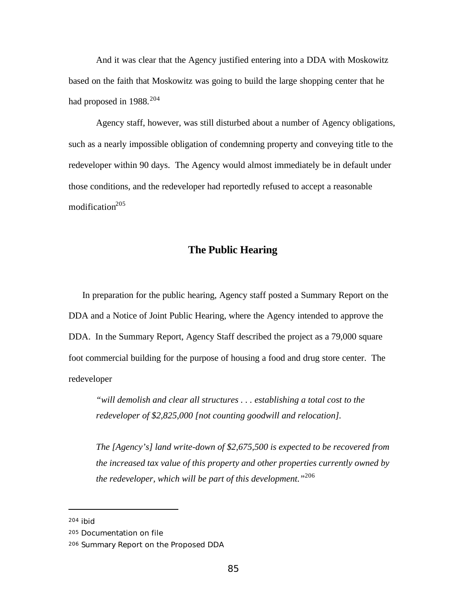And it was clear that the Agency justified entering into a DDA with Moskowitz based on the faith that Moskowitz was going to build the large shopping center that he had proposed in  $1988$ <sup>204</sup>

Agency staff, however, was still disturbed about a number of Agency obligations, such as a nearly impossible obligation of condemning property and conveying title to the redeveloper within 90 days. The Agency would almost immediately be in default under those conditions, and the redeveloper had reportedly refused to accept a reasonable modification $205$ 

## **The Public Hearing**

In preparation for the public hearing, Agency staff posted a Summary Report on the DDA and a Notice of Joint Public Hearing, where the Agency intended to approve the DDA. In the Summary Report, Agency Staff described the project as a 79,000 square foot commercial building for the purpose of housing a food and drug store center. The redeveloper

*"will demolish and clear all structures . . . establishing a total cost to the redeveloper of \$2,825,000 [not counting goodwill and relocation].*

*The [Agency's] land write-down of \$2,675,500 is expected to be recovered from the increased tax value of this property and other properties currently owned by the redeveloper, which will be part of this development."*<sup>206</sup>

<sup>204</sup> ibid

<sup>205</sup> Documentation on file

<sup>206</sup> Summary Report on the Proposed DDA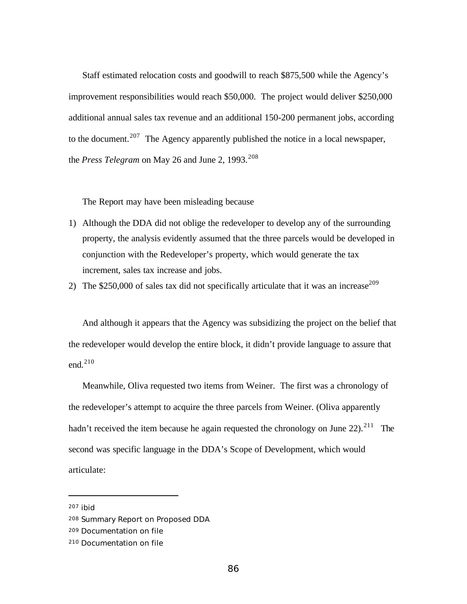Staff estimated relocation costs and goodwill to reach \$875,500 while the Agency's improvement responsibilities would reach \$50,000. The project would deliver \$250,000 additional annual sales tax revenue and an additional 150-200 permanent jobs, according to the document.<sup>207</sup> The Agency apparently published the notice in a local newspaper, the *Press Telegram* on May 26 and June 2, 1993.<sup>208</sup>

The Report may have been misleading because

- 1) Although the DDA did not oblige the redeveloper to develop any of the surrounding property, the analysis evidently assumed that the three parcels would be developed in conjunction with the Redeveloper's property, which would generate the tax increment, sales tax increase and jobs.
- 2) The \$250,000 of sales tax did not specifically articulate that it was an increase<sup>209</sup>

And although it appears that the Agency was subsidizing the project on the belief that the redeveloper would develop the entire block, it didn't provide language to assure that end.<sup>210</sup>

Meanwhile, Oliva requested two items from Weiner. The first was a chronology of the redeveloper's attempt to acquire the three parcels from Weiner. (Oliva apparently hadn't received the item because he again requested the chronology on June 22).<sup>211</sup> The second was specific language in the DDA's Scope of Development, which would articulate:

<sup>207</sup> ibid

<sup>208</sup> Summary Report on Proposed DDA

<sup>209</sup> Documentation on file

<sup>210</sup> Documentation on file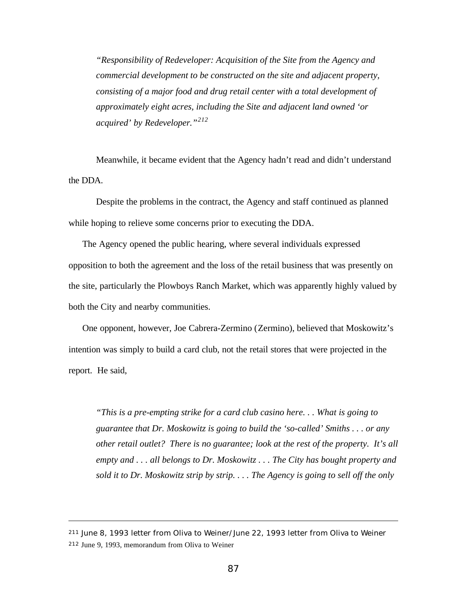*"Responsibility of Redeveloper: Acquisition of the Site from the Agency and commercial development to be constructed on the site and adjacent property, consisting of a major food and drug retail center with a total development of approximately eight acres, including the Site and adjacent land owned 'or acquired' by Redeveloper."<sup>212</sup>*

Meanwhile, it became evident that the Agency hadn't read and didn't understand the DDA.

Despite the problems in the contract, the Agency and staff continued as planned while hoping to relieve some concerns prior to executing the DDA.

The Agency opened the public hearing, where several individuals expressed opposition to both the agreement and the loss of the retail business that was presently on the site, particularly the Plowboys Ranch Market, which was apparently highly valued by both the City and nearby communities.

One opponent, however, Joe Cabrera-Zermino (Zermino), believed that Moskowitz's intention was simply to build a card club, not the retail stores that were projected in the report. He said,

*"This is a pre-empting strike for a card club casino here. . . What is going to guarantee that Dr. Moskowitz is going to build the 'so-called' Smiths . . . or any other retail outlet? There is no guarantee; look at the rest of the property. It's all empty and . . . all belongs to Dr. Moskowitz . . . The City has bought property and sold it to Dr. Moskowitz strip by strip. . . . The Agency is going to sell off the only*

<sup>211</sup> June 8, 1993 letter from Oliva to Weiner/June 22, 1993 letter from Oliva to Weiner <sup>212</sup> June 9, 1993, memorandum from Oliva to Weiner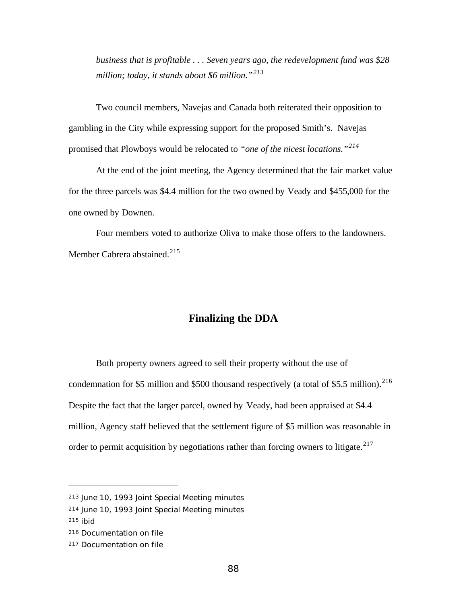*business that is profitable . . . Seven years ago, the redevelopment fund was \$28 million; today, it stands about \$6 million."<sup>213</sup>*

Two council members, Navejas and Canada both reiterated their opposition to gambling in the City while expressing support for the proposed Smith's. Navejas promised that Plowboys would be relocated to *"one of the nicest locations."<sup>214</sup>*

At the end of the joint meeting, the Agency determined that the fair market value for the three parcels was \$4.4 million for the two owned by Veady and \$455,000 for the one owned by Downen.

Four members voted to authorize Oliva to make those offers to the landowners. Member Cabrera abstained.<sup>215</sup>

#### **Finalizing the DDA**

Both property owners agreed to sell their property without the use of condemnation for \$5 million and \$500 thousand respectively (a total of \$5.5 million).<sup>216</sup> Despite the fact that the larger parcel, owned by Veady, had been appraised at \$4.4 million, Agency staff believed that the settlement figure of \$5 million was reasonable in order to permit acquisition by negotiations rather than forcing owners to litigate. $217$ 

<sup>213</sup> June 10, 1993 Joint Special Meeting minutes

<sup>214</sup> June 10, 1993 Joint Special Meeting minutes

<sup>215</sup> ibid

<sup>216</sup> Documentation on file

<sup>217</sup> Documentation on file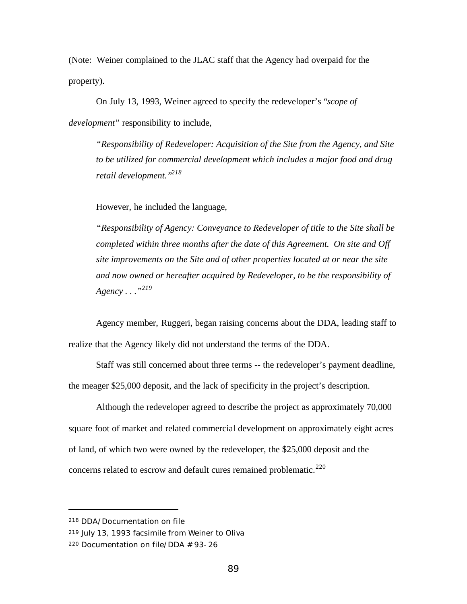(Note: Weiner complained to the JLAC staff that the Agency had overpaid for the property).

On July 13, 1993, Weiner agreed to specify the redeveloper's "*scope of development*" responsibility to include,

*"Responsibility of Redeveloper: Acquisition of the Site from the Agency, and Site to be utilized for commercial development which includes a major food and drug retail development."<sup>218</sup>*

However, he included the language,

*"Responsibility of Agency: Conveyance to Redeveloper of title to the Site shall be completed within three months after the date of this Agreement. On site and Off site improvements on the Site and of other properties located at or near the site and now owned or hereafter acquired by Redeveloper, to be the responsibility of Agency . . ."<sup>219</sup>*

Agency member, Ruggeri, began raising concerns about the DDA, leading staff to realize that the Agency likely did not understand the terms of the DDA.

Staff was still concerned about three terms -- the redeveloper's payment deadline, the meager \$25,000 deposit, and the lack of specificity in the project's description.

Although the redeveloper agreed to describe the project as approximately 70,000 square foot of market and related commercial development on approximately eight acres of land, of which two were owned by the redeveloper, the \$25,000 deposit and the concerns related to escrow and default cures remained problematic.<sup>220</sup>

<sup>218</sup> DDA/Documentation on file

<sup>219</sup> July 13, 1993 facsimile from Weiner to Oliva

<sup>220</sup> Documentation on file/DDA # 93-26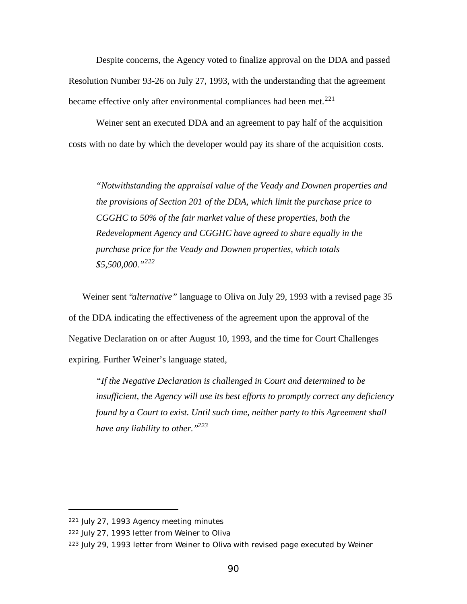Despite concerns, the Agency voted to finalize approval on the DDA and passed Resolution Number 93-26 on July 27, 1993, with the understanding that the agreement became effective only after environmental compliances had been met.<sup>221</sup>

Weiner sent an executed DDA and an agreement to pay half of the acquisition costs with no date by which the developer would pay its share of the acquisition costs.

*"Notwithstanding the appraisal value of the Veady and Downen properties and the provisions of Section 201 of the DDA, which limit the purchase price to CGGHC to 50% of the fair market value of these properties, both the Redevelopment Agency and CGGHC have agreed to share equally in the purchase price for the Veady and Downen properties, which totals \$5,500,000."<sup>222</sup>*

Weiner sent "*alternative"* language to Oliva on July 29, 1993 with a revised page 35 of the DDA indicating the effectiveness of the agreement upon the approval of the Negative Declaration on or after August 10, 1993, and the time for Court Challenges expiring. Further Weiner's language stated,

*"If the Negative Declaration is challenged in Court and determined to be insufficient, the Agency will use its best efforts to promptly correct any deficiency found by a Court to exist. Until such time, neither party to this Agreement shall have any liability to other."<sup>223</sup>*

<sup>221</sup> July 27, 1993 Agency meeting minutes

<sup>222</sup> July 27, 1993 letter from Weiner to Oliva

<sup>223</sup> July 29, 1993 letter from Weiner to Oliva with revised page executed by Weiner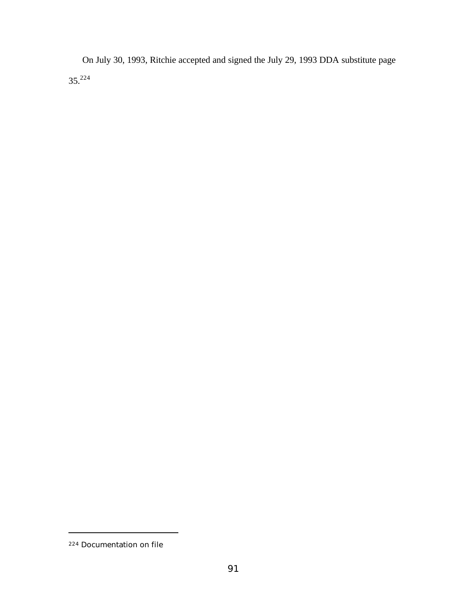On July 30, 1993, Ritchie accepted and signed the July 29, 1993 DDA substitute page 35.<sup>224</sup>

<sup>224</sup> Documentation on file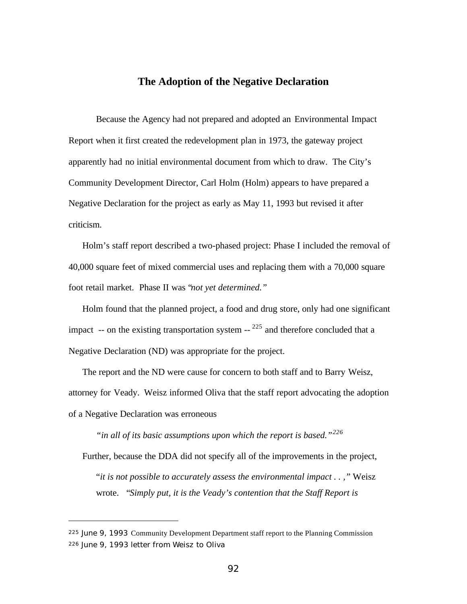## **The Adoption of the Negative Declaration**

Because the Agency had not prepared and adopted an Environmental Impact Report when it first created the redevelopment plan in 1973, the gateway project apparently had no initial environmental document from which to draw. The City's Community Development Director, Carl Holm (Holm) appears to have prepared a Negative Declaration for the project as early as May 11, 1993 but revised it after criticism.

Holm's staff report described a two-phased project: Phase I included the removal of 40,000 square feet of mixed commercial uses and replacing them with a 70,000 square foot retail market. Phase II was "*not yet determined."*

Holm found that the planned project, a food and drug store, only had one significant impact  $-$ - on the existing transportation system  $-$ <sup>225</sup> and therefore concluded that a Negative Declaration (ND) was appropriate for the project.

The report and the ND were cause for concern to both staff and to Barry Weisz, attorney for Veady. Weisz informed Oliva that the staff report advocating the adoption of a Negative Declaration was erroneous

*"in all of its basic assumptions upon which the report is based."<sup>226</sup>*

Further, because the DDA did not specify all of the improvements in the project, "*it is not possible to accurately assess the environmental impact . . ,"* Weisz wrote. "*Simply put, it is the Veady's contention that the Staff Report is*

<sup>225</sup> June 9, 1993 Community Development Department staff report to the Planning Commission 226 June 9, 1993 letter from Weisz to Oliva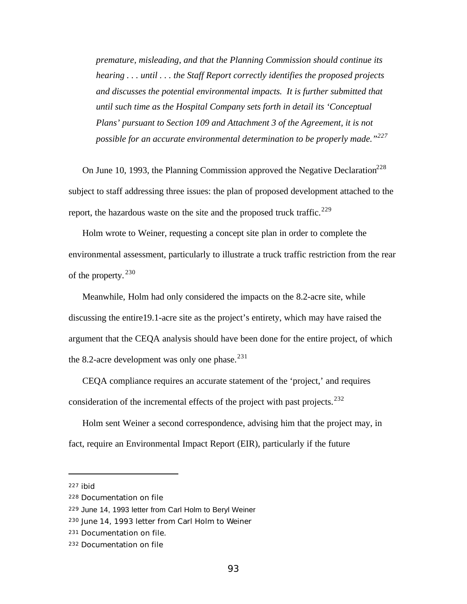*premature, misleading, and that the Planning Commission should continue its hearing . . . until . . . the Staff Report correctly identifies the proposed projects and discusses the potential environmental impacts. It is further submitted that until such time as the Hospital Company sets forth in detail its 'Conceptual Plans' pursuant to Section 109 and Attachment 3 of the Agreement, it is not possible for an accurate environmental determination to be properly made."<sup>227</sup>*

On June 10, 1993, the Planning Commission approved the Negative Declaration<sup>228</sup> subject to staff addressing three issues: the plan of proposed development attached to the report, the hazardous waste on the site and the proposed truck traffic.<sup>229</sup>

Holm wrote to Weiner, requesting a concept site plan in order to complete the environmental assessment, particularly to illustrate a truck traffic restriction from the rear of the property.<sup>230</sup>

Meanwhile, Holm had only considered the impacts on the 8.2-acre site, while discussing the entire19.1-acre site as the project's entirety, which may have raised the argument that the CEQA analysis should have been done for the entire project, of which the 8.2-acre development was only one phase. $^{231}$ 

CEQA compliance requires an accurate statement of the 'project,' and requires consideration of the incremental effects of the project with past projects.<sup>232</sup>

Holm sent Weiner a second correspondence, advising him that the project may, in fact, require an Environmental Impact Report (EIR), particularly if the future

<sup>227</sup> ibid

<sup>228</sup> Documentation on file

<sup>229</sup> June 14, 1993 letter from Carl Holm to Beryl Weiner

<sup>230</sup> June 14, 1993 letter from Carl Holm to Weiner

<sup>231</sup> Documentation on file.

<sup>232</sup> Documentation on file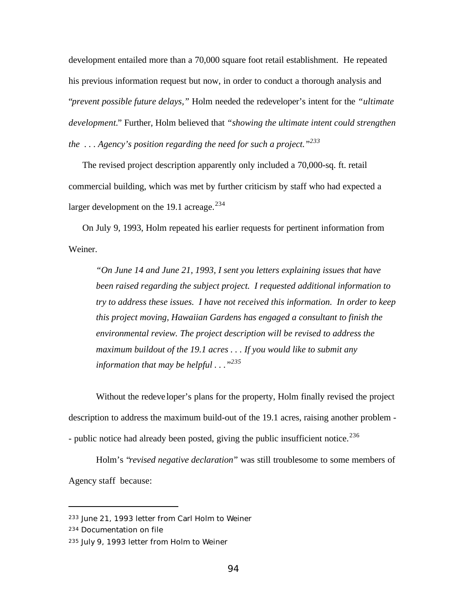development entailed more than a 70,000 square foot retail establishment. He repeated his previous information request but now, in order to conduct a thorough analysis and "*prevent possible future delays,"* Holm needed the redeveloper's intent for the *"ultimate development.*" Further, Holm believed that *"showing the ultimate intent could strengthen the . . . Agency's position regarding the need for such a project."<sup>233</sup>*

The revised project description apparently only included a 70,000-sq. ft. retail commercial building, which was met by further criticism by staff who had expected a larger development on the 19.1 acreage.<sup>234</sup>

On July 9, 1993, Holm repeated his earlier requests for pertinent information from Weiner.

*"On June 14 and June 21, 1993, I sent you letters explaining issues that have been raised regarding the subject project. I requested additional information to try to address these issues. I have not received this information. In order to keep this project moving, Hawaiian Gardens has engaged a consultant to finish the environmental review. The project description will be revised to address the maximum buildout of the 19.1 acres . . . If you would like to submit any information that may be helpful . . ."<sup>235</sup>*

Without the redeve loper's plans for the property, Holm finally revised the project description to address the maximum build-out of the 19.1 acres, raising another problem - - public notice had already been posted, giving the public insufficient notice.<sup>236</sup>

Holm's "*revised negative declaration*" was still troublesome to some members of Agency staff because:

<sup>233</sup> June 21, 1993 letter from Carl Holm to Weiner

<sup>234</sup> Documentation on file

<sup>235</sup> July 9, 1993 letter from Holm to Weiner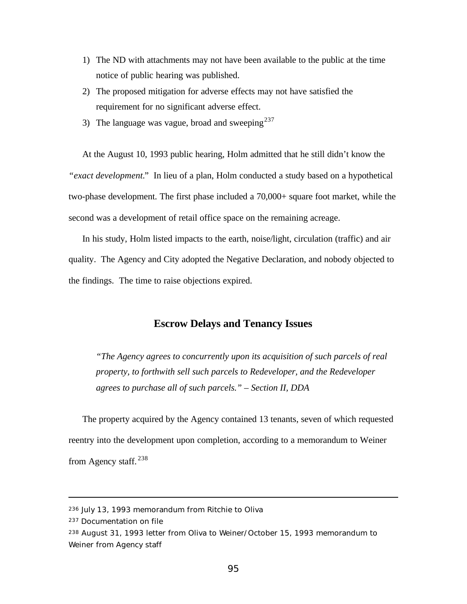- 1) The ND with attachments may not have been available to the public at the time notice of public hearing was published.
- 2) The proposed mitigation for adverse effects may not have satisfied the requirement for no significant adverse effect.
- 3) The language was vague, broad and sweeping $^{237}$

At the August 10, 1993 public hearing, Holm admitted that he still didn't know the *"exact development.*" In lieu of a plan, Holm conducted a study based on a hypothetical two-phase development. The first phase included a 70,000+ square foot market, while the second was a development of retail office space on the remaining acreage.

In his study, Holm listed impacts to the earth, noise/light, circulation (traffic) and air quality. The Agency and City adopted the Negative Declaration, and nobody objected to the findings. The time to raise objections expired.

## **Escrow Delays and Tenancy Issues**

*"The Agency agrees to concurrently upon its acquisition of such parcels of real property, to forthwith sell such parcels to Redeveloper, and the Redeveloper agrees to purchase all of such parcels." – Section II, DDA*

The property acquired by the Agency contained 13 tenants, seven of which requested reentry into the development upon completion, according to a memorandum to Weiner from Agency staff.<sup>238</sup>

<sup>236</sup> July 13, 1993 memorandum from Ritchie to Oliva

<sup>237</sup> Documentation on file

<sup>238</sup> August 31, 1993 letter from Oliva to Weiner/October 15, 1993 memorandum to Weiner from Agency staff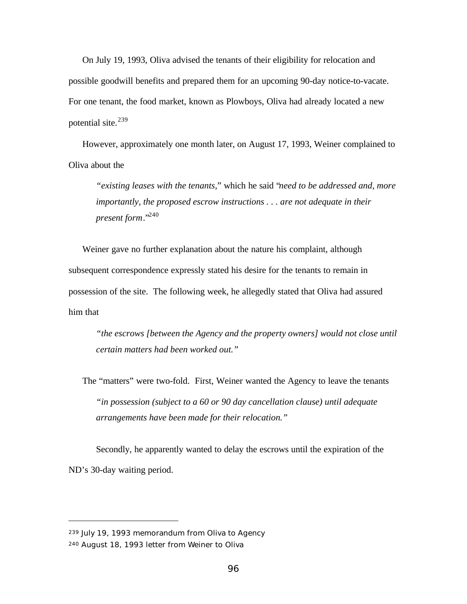On July 19, 1993, Oliva advised the tenants of their eligibility for relocation and possible goodwill benefits and prepared them for an upcoming 90-day notice-to-vacate. For one tenant, the food market, known as Plowboys, Oliva had already located a new potential site. $^{239}$ 

However, approximately one month later, on August 17, 1993, Weiner complained to Oliva about the

*"existing leases with the tenants,*" which he said "*need to be addressed and, more importantly, the proposed escrow instructions . . . are not adequate in their present form*."<sup>240</sup>

Weiner gave no further explanation about the nature his complaint, although subsequent correspondence expressly stated his desire for the tenants to remain in possession of the site. The following week, he allegedly stated that Oliva had assured him that

*"the escrows [between the Agency and the property owners] would not close until certain matters had been worked out."*

The "matters" were two-fold. First, Weiner wanted the Agency to leave the tenants *"in possession (subject to a 60 or 90 day cancellation clause) until adequate arrangements have been made for their relocation."*

Secondly, he apparently wanted to delay the escrows until the expiration of the ND's 30-day waiting period.

<sup>239</sup> July 19, 1993 memorandum from Oliva to Agency 240 August 18, 1993 letter from Weiner to Oliva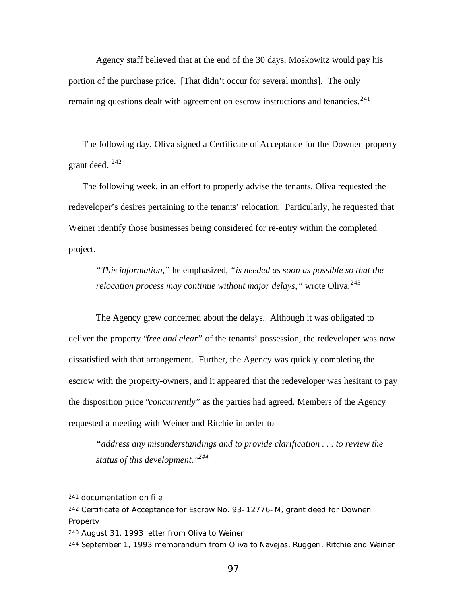Agency staff believed that at the end of the 30 days, Moskowitz would pay his portion of the purchase price. [That didn't occur for several months]. The only remaining questions dealt with agreement on escrow instructions and tenancies.<sup>241</sup>

The following day, Oliva signed a Certificate of Acceptance for the Downen property grant deed. <sup>242</sup>

The following week, in an effort to properly advise the tenants, Oliva requested the redeveloper's desires pertaining to the tenants' relocation. Particularly, he requested that Weiner identify those businesses being considered for re-entry within the completed project.

*"This information,"* he emphasized, *"is needed as soon as possible so that the relocation process may continue without major delays,*" wrote Oliva.<sup>243</sup>

The Agency grew concerned about the delays. Although it was obligated to deliver the property "*free and clear*" of the tenants' possession, the redeveloper was now dissatisfied with that arrangement. Further, the Agency was quickly completing the escrow with the property-owners, and it appeared that the redeveloper was hesitant to pay the disposition price "*concurrently*" as the parties had agreed. Members of the Agency requested a meeting with Weiner and Ritchie in order to

*"address any misunderstandings and to provide clarification . . . to review the status of this development."<sup>244</sup>*

<sup>241</sup> documentation on file

<sup>242</sup> Certificate of Acceptance for Escrow No. 93-12776-M, grant deed for Downen Property

<sup>243</sup> August 31, 1993 letter from Oliva to Weiner

<sup>244</sup> September 1, 1993 memorandum from Oliva to Navejas, Ruggeri, Ritchie and Weiner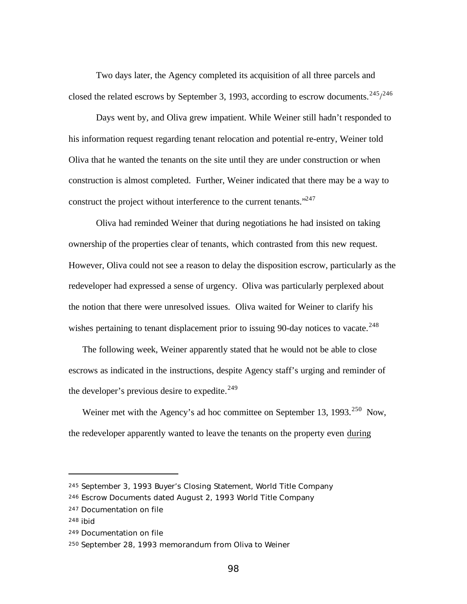Two days later, the Agency completed its acquisition of all three parcels and closed the related escrows by September 3, 1993, according to escrow documents.  $245/246$ 

Days went by, and Oliva grew impatient. While Weiner still hadn't responded to his information request regarding tenant relocation and potential re-entry, Weiner told Oliva that he wanted the tenants on the site until they are under construction or when construction is almost completed. Further, Weiner indicated that there may be a way to construct the project without interference to the current tenants."<sup>247</sup>

Oliva had reminded Weiner that during negotiations he had insisted on taking ownership of the properties clear of tenants, which contrasted from this new request. However, Oliva could not see a reason to delay the disposition escrow, particularly as the redeveloper had expressed a sense of urgency. Oliva was particularly perplexed about the notion that there were unresolved issues. Oliva waited for Weiner to clarify his wishes pertaining to tenant displacement prior to issuing 90-day notices to vacate.<sup>248</sup>

The following week, Weiner apparently stated that he would not be able to close escrows as indicated in the instructions, despite Agency staff's urging and reminder of the developer's previous desire to expedite. $249$ 

Weiner met with the Agency's ad hoc committee on September 13, 1993.<sup>250</sup> Now, the redeveloper apparently wanted to leave the tenants on the property even during

<sup>245</sup> September 3, 1993 Buyer's Closing Statement, World Title Company

<sup>246</sup> Escrow Documents dated August 2, 1993 World Title Company

<sup>247</sup> Documentation on file

<sup>248</sup> ibid

<sup>249</sup> Documentation on file

<sup>250</sup> September 28, 1993 memorandum from Oliva to Weiner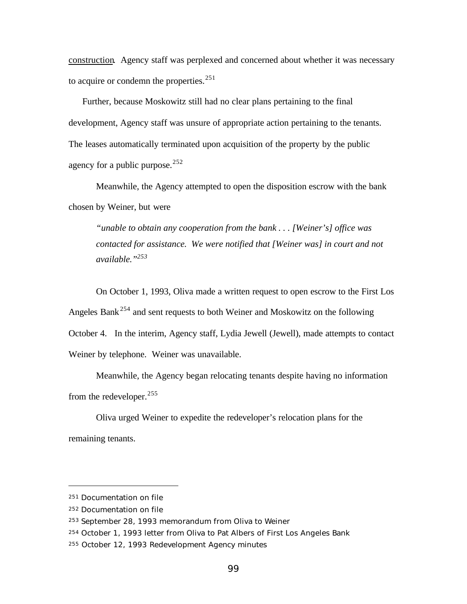construction. Agency staff was perplexed and concerned about whether it was necessary to acquire or condemn the properties. $251$ 

Further, because Moskowitz still had no clear plans pertaining to the final development, Agency staff was unsure of appropriate action pertaining to the tenants. The leases automatically terminated upon acquisition of the property by the public agency for a public purpose.  $252$ 

Meanwhile, the Agency attempted to open the disposition escrow with the bank chosen by Weiner, but were

*"unable to obtain any cooperation from the bank . . . [Weiner's] office was contacted for assistance. We were notified that [Weiner was] in court and not available."<sup>253</sup>*

On October 1, 1993, Oliva made a written request to open escrow to the First Los Angeles Bank<sup>254</sup> and sent requests to both Weiner and Moskowitz on the following October 4. In the interim, Agency staff, Lydia Jewell (Jewell), made attempts to contact Weiner by telephone. Weiner was unavailable.

Meanwhile, the Agency began relocating tenants despite having no information from the redeveloper.<sup>255</sup>

Oliva urged Weiner to expedite the redeveloper's relocation plans for the remaining tenants.

<sup>251</sup> Documentation on file

<sup>252</sup> Documentation on file

<sup>253</sup> September 28, 1993 memorandum from Oliva to Weiner

<sup>254</sup> October 1, 1993 letter from Oliva to Pat Albers of First Los Angeles Bank

<sup>255</sup> October 12, 1993 Redevelopment Agency minutes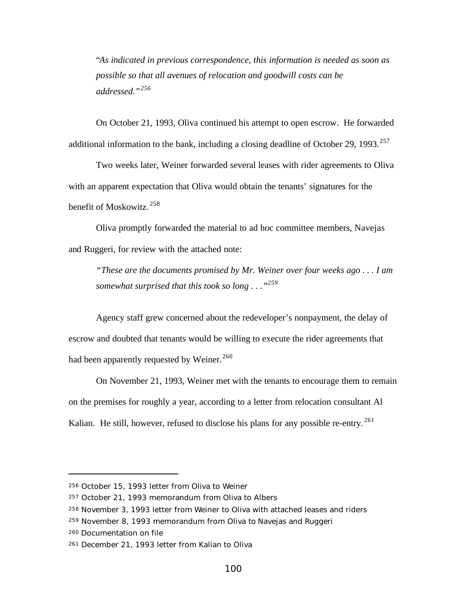"*As indicated in previous correspondence, this information is needed as soon as possible so that all avenues of relocation and goodwill costs can be addressed."<sup>256</sup>*

On October 21, 1993, Oliva continued his attempt to open escrow. He forwarded additional information to the bank, including a closing deadline of October 29, 1993.<sup>257</sup>

Two weeks later, Weiner forwarded several leases with rider agreements to Oliva with an apparent expectation that Oliva would obtain the tenants' signatures for the benefit of Moskowitz. <sup>258</sup>

Oliva promptly forwarded the material to ad hoc committee members, Navejas and Ruggeri, for review with the attached note:

*"These are the documents promised by Mr. Weiner over four weeks ago . . . I am somewhat surprised that this took so long . . ."<sup>259</sup>*

Agency staff grew concerned about the redeveloper's nonpayment, the delay of escrow and doubted that tenants would be willing to execute the rider agreements that had been apparently requested by Weiner.<sup>260</sup>

On November 21, 1993, Weiner met with the tenants to encourage them to remain on the premises for roughly a year, according to a letter from relocation consultant Al Kalian. He still, however, refused to disclose his plans for any possible re-entry.  $^{261}$ 

<sup>256</sup> October 15, 1993 letter from Oliva to Weiner

<sup>257</sup> October 21, 1993 memorandum from Oliva to Albers

<sup>258</sup> November 3, 1993 letter from Weiner to Oliva with attached leases and riders

<sup>259</sup> November 8, 1993 memorandum from Oliva to Navejas and Ruggeri

<sup>260</sup> Documentation on file

<sup>261</sup> December 21, 1993 letter from Kalian to Oliva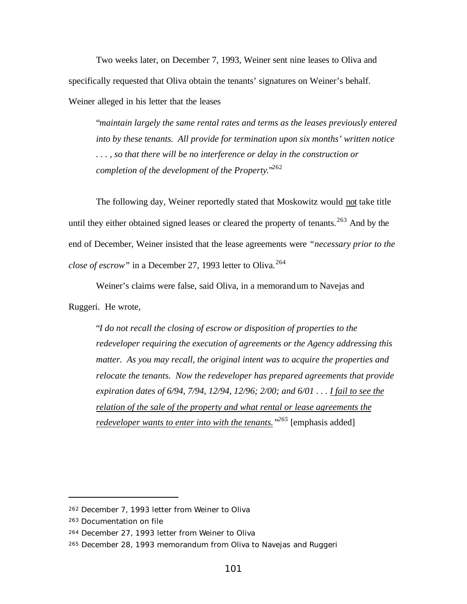Two weeks later, on December 7, 1993, Weiner sent nine leases to Oliva and specifically requested that Oliva obtain the tenants' signatures on Weiner's behalf. Weiner alleged in his letter that the leases

"*maintain largely the same rental rates and terms as the leases previously entered into by these tenants. All provide for termination upon six months' written notice . . . , so that there will be no interference or delay in the construction or completion of the development of the Property*."<sup>262</sup>

The following day, Weiner reportedly stated that Moskowitz would not take title until they either obtained signed leases or cleared the property of tenants.<sup>263</sup> And by the end of December, Weiner insisted that the lease agreements were *"necessary prior to the close of escrow"* in a December 27, 1993 letter to Oliva.<sup>264</sup>

Weiner's claims were false, said Oliva, in a memorandum to Navejas and

Ruggeri. He wrote,

"*I do not recall the closing of escrow or disposition of properties to the redeveloper requiring the execution of agreements or the Agency addressing this matter. As you may recall, the original intent was to acquire the properties and relocate the tenants. Now the redeveloper has prepared agreements that provide expiration dates of 6/94, 7/94, 12/94, 12/96; 2/00; and 6/01 . . . I fail to see the relation of the sale of the property and what rental or lease agreements the redeveloper wants to enter into with the tenants." <sup>265</sup>* [emphasis added]

<sup>262</sup> December 7, 1993 letter from Weiner to Oliva

<sup>263</sup> Documentation on file

<sup>264</sup> December 27, 1993 letter from Weiner to Oliva

<sup>265</sup> December 28, 1993 memorandum from Oliva to Navejas and Ruggeri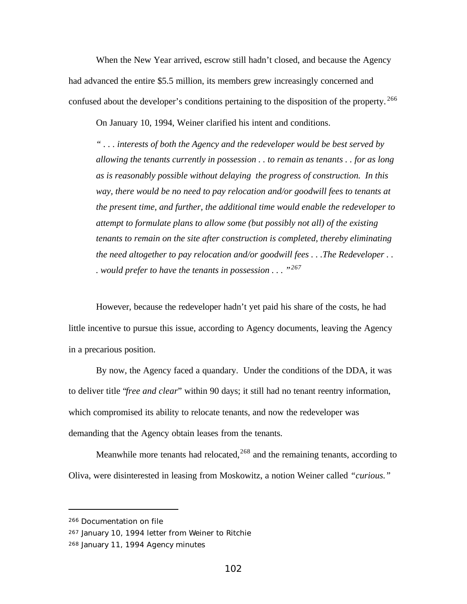When the New Year arrived, escrow still hadn't closed, and because the Agency had advanced the entire \$5.5 million, its members grew increasingly concerned and confused about the developer's conditions pertaining to the disposition of the property.<sup>266</sup>

On January 10, 1994, Weiner clarified his intent and conditions.

*" . . . interests of both the Agency and the redeveloper would be best served by allowing the tenants currently in possession . . to remain as tenants . . for as long as is reasonably possible without delaying the progress of construction. In this way, there would be no need to pay relocation and/or goodwill fees to tenants at the present time, and further, the additional time would enable the redeveloper to attempt to formulate plans to allow some (but possibly not all) of the existing tenants to remain on the site after construction is completed, thereby eliminating the need altogether to pay relocation and/or goodwill fees . . .The Redeveloper . . . would prefer to have the tenants in possession . . . "<sup>267</sup>*

However, because the redeveloper hadn't yet paid his share of the costs, he had little incentive to pursue this issue, according to Agency documents, leaving the Agency in a precarious position.

By now, the Agency faced a quandary. Under the conditions of the DDA, it was to deliver title "*free and clear*" within 90 days; it still had no tenant reentry information, which compromised its ability to relocate tenants, and now the redeveloper was demanding that the Agency obtain leases from the tenants.

Meanwhile more tenants had relocated, $268$  and the remaining tenants, according to Oliva, were disinterested in leasing from Moskowitz, a notion Weiner called *"curious."*

<sup>266</sup> Documentation on file

<sup>267</sup> January 10, 1994 letter from Weiner to Ritchie

<sup>268</sup> January 11, 1994 Agency minutes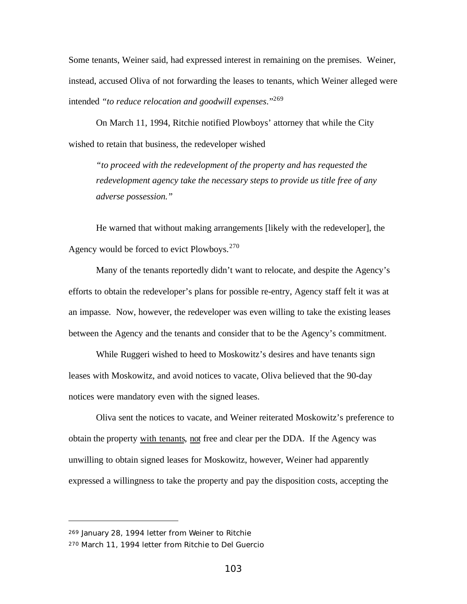Some tenants, Weiner said, had expressed interest in remaining on the premises. Weiner, instead, accused Oliva of not forwarding the leases to tenants, which Weiner alleged were intended *"to reduce relocation and goodwill expenses*."<sup>269</sup>

On March 11, 1994, Ritchie notified Plowboys' attorney that while the City wished to retain that business, the redeveloper wished

*"to proceed with the redevelopment of the property and has requested the redevelopment agency take the necessary steps to provide us title free of any adverse possession."*

He warned that without making arrangements [likely with the redeveloper], the Agency would be forced to evict Plowboys.  $270$ 

Many of the tenants reportedly didn't want to relocate, and despite the Agency's efforts to obtain the redeveloper's plans for possible re-entry, Agency staff felt it was at an impasse. Now, however, the redeveloper was even willing to take the existing leases between the Agency and the tenants and consider that to be the Agency's commitment.

While Ruggeri wished to heed to Moskowitz's desires and have tenants sign leases with Moskowitz, and avoid notices to vacate, Oliva believed that the 90-day notices were mandatory even with the signed leases.

Oliva sent the notices to vacate, and Weiner reiterated Moskowitz's preference to obtain the property with tenants, not free and clear per the DDA. If the Agency was unwilling to obtain signed leases for Moskowitz, however, Weiner had apparently expressed a willingness to take the property and pay the disposition costs, accepting the

<sup>269</sup> January 28, 1994 letter from Weiner to Ritchie

<sup>270</sup> March 11, 1994 letter from Ritchie to Del Guercio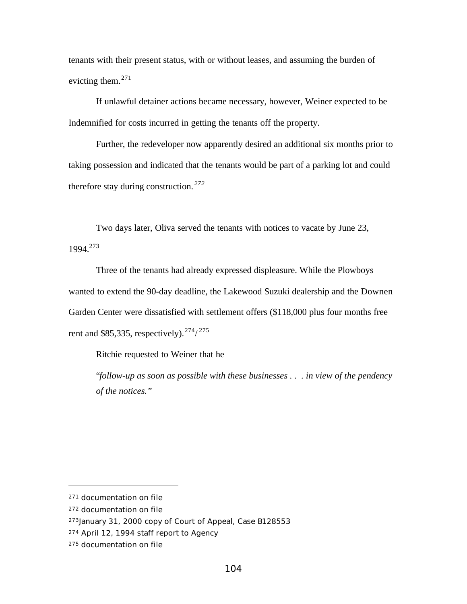tenants with their present status, with or without leases, and assuming the burden of evicting them. $271$ 

If unlawful detainer actions became necessary, however, Weiner expected to be Indemnified for costs incurred in getting the tenants off the property.

Further, the redeveloper now apparently desired an additional six months prior to taking possession and indicated that the tenants would be part of a parking lot and could therefore stay during construction. *<sup>272</sup>*

Two days later, Oliva served the tenants with notices to vacate by June 23, 1994.<sup>273</sup>

Three of the tenants had already expressed displeasure. While the Plowboys wanted to extend the 90-day deadline, the Lakewood Suzuki dealership and the Downen Garden Center were dissatisfied with settlement offers (\$118,000 plus four months free rent and \$85,335, respectively).  $274/275$ 

Ritchie requested to Weiner that he

"*follow-up as soon as possible with these businesses . . . in view of the pendency of the notices."*

<sup>271</sup> documentation on file

<sup>272</sup> documentation on file

<sup>273</sup>January 31, 2000 copy of Court of Appeal, Case B128553

<sup>274</sup> April 12, 1994 staff report to Agency

<sup>275</sup> documentation on file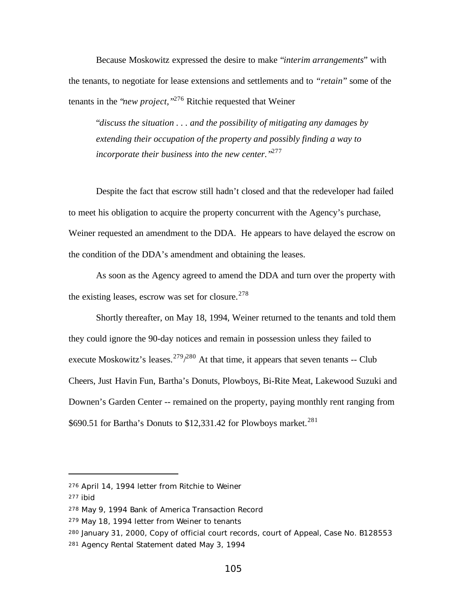Because Moskowitz expressed the desire to make "*interim arrangements*" with the tenants, to negotiate for lease extensions and settlements and to *"retain*" some of the tenants in the "*new project,"*<sup>276</sup> Ritchie requested that Weiner

"*discuss the situation . . . and the possibility of mitigating any damages by extending their occupation of the property and possibly finding a way to incorporate their business into the new center."*<sup>277</sup>

Despite the fact that escrow still hadn't closed and that the redeveloper had failed to meet his obligation to acquire the property concurrent with the Agency's purchase, Weiner requested an amendment to the DDA. He appears to have delayed the escrow on the condition of the DDA's amendment and obtaining the leases.

As soon as the Agency agreed to amend the DDA and turn over the property with the existing leases, escrow was set for closure.  $278$ 

Shortly thereafter, on May 18, 1994, Weiner returned to the tenants and told them they could ignore the 90-day notices and remain in possession unless they failed to execute Moskowitz's leases.  $279/280$  At that time, it appears that seven tenants -- Club Cheers, Just Havin Fun, Bartha's Donuts, Plowboys, Bi-Rite Meat, Lakewood Suzuki and Downen's Garden Center -- remained on the property, paying monthly rent ranging from \$690.51 for Bartha's Donuts to  $$12,331.42$  for Plowboys market.<sup>281</sup>

<sup>276</sup> April 14, 1994 letter from Ritchie to Weiner

<sup>277</sup> ibid

<sup>278</sup> May 9, 1994 Bank of America Transaction Record

<sup>279</sup> May 18, 1994 letter from Weiner to tenants

<sup>280</sup> January 31, 2000, Copy of official court records, court of Appeal, Case No. B128553 281 Agency Rental Statement dated May 3, 1994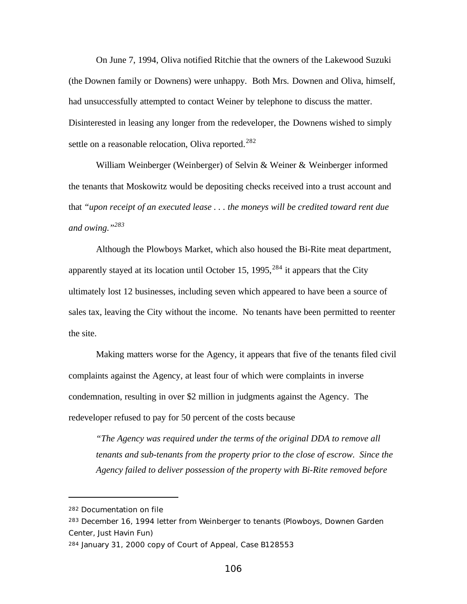On June 7, 1994, Oliva notified Ritchie that the owners of the Lakewood Suzuki (the Downen family or Downens) were unhappy. Both Mrs. Downen and Oliva, himself, had unsuccessfully attempted to contact Weiner by telephone to discuss the matter. Disinterested in leasing any longer from the redeveloper, the Downens wished to simply settle on a reasonable relocation, Oliva reported.<sup>282</sup>

William Weinberger (Weinberger) of Selvin & Weiner & Weinberger informed the tenants that Moskowitz would be depositing checks received into a trust account and that *"upon receipt of an executed lease . . . the moneys will be credited toward rent due and owing."<sup>283</sup>*

Although the Plowboys Market, which also housed the Bi-Rite meat department, apparently stayed at its location until October 15, 1995,  $284$  it appears that the City ultimately lost 12 businesses, including seven which appeared to have been a source of sales tax, leaving the City without the income. No tenants have been permitted to reenter the site.

Making matters worse for the Agency, it appears that five of the tenants filed civil complaints against the Agency, at least four of which were complaints in inverse condemnation, resulting in over \$2 million in judgments against the Agency. The redeveloper refused to pay for 50 percent of the costs because

*"The Agency was required under the terms of the original DDA to remove all tenants and sub-tenants from the property prior to the close of escrow. Since the Agency failed to deliver possession of the property with Bi-Rite removed before*

<sup>282</sup> Documentation on file

<sup>283</sup> December 16, 1994 letter from Weinberger to tenants (Plowboys, Downen Garden Center, Just Havin Fun)

<sup>284</sup> January 31, 2000 copy of Court of Appeal, Case B128553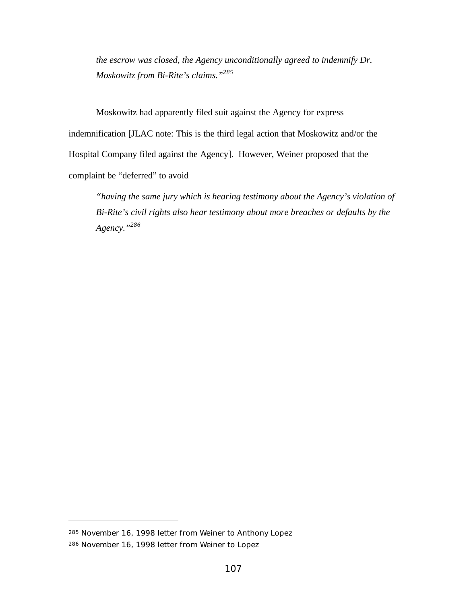*the escrow was closed, the Agency unconditionally agreed to indemnify Dr. Moskowitz from Bi-Rite's claims."<sup>285</sup>*

Moskowitz had apparently filed suit against the Agency for express indemnification [JLAC note: This is the third legal action that Moskowitz and/or the Hospital Company filed against the Agency]. However, Weiner proposed that the complaint be "deferred" to avoid

*"having the same jury which is hearing testimony about the Agency's violation of Bi-Rite's civil rights also hear testimony about more breaches or defaults by the Agency."<sup>286</sup>*

<sup>285</sup> November 16, 1998 letter from Weiner to Anthony Lopez 286 November 16, 1998 letter from Weiner to Lopez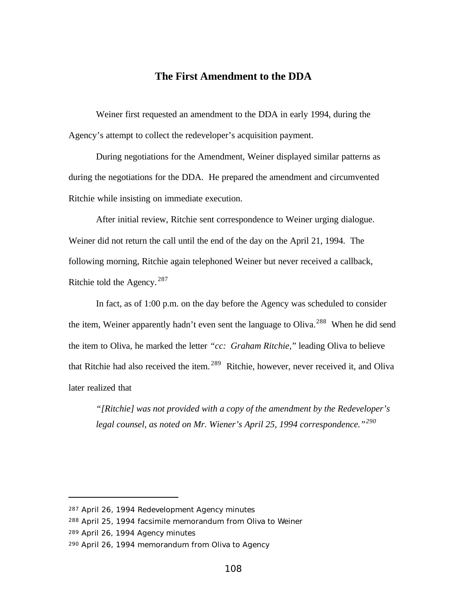#### **The First Amendment to the DDA**

Weiner first requested an amendment to the DDA in early 1994, during the Agency's attempt to collect the redeveloper's acquisition payment.

During negotiations for the Amendment, Weiner displayed similar patterns as during the negotiations for the DDA. He prepared the amendment and circumvented Ritchie while insisting on immediate execution.

After initial review, Ritchie sent correspondence to Weiner urging dialogue. Weiner did not return the call until the end of the day on the April 21, 1994. The following morning, Ritchie again telephoned Weiner but never received a callback, Ritchie told the Agency. <sup>287</sup>

In fact, as of 1:00 p.m. on the day before the Agency was scheduled to consider the item, Weiner apparently hadn't even sent the language to Oliva.<sup>288</sup> When he did send the item to Oliva, he marked the letter *"cc: Graham Ritchie,*" leading Oliva to believe that Ritchie had also received the item. <sup>289</sup> Ritchie, however, never received it, and Oliva later realized that

*"[Ritchie] was not provided with a copy of the amendment by the Redeveloper's legal counsel, as noted on Mr. Wiener's April 25, 1994 correspondence."<sup>290</sup>*

<sup>287</sup> April 26, 1994 Redevelopment Agency minutes

<sup>288</sup> April 25, 1994 facsimile memorandum from Oliva to Weiner

<sup>289</sup> April 26, 1994 Agency minutes

<sup>290</sup> April 26, 1994 memorandum from Oliva to Agency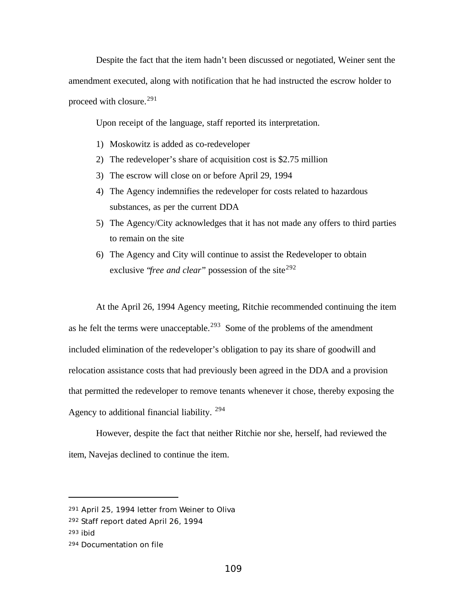Despite the fact that the item hadn't been discussed or negotiated, Weiner sent the amendment executed, along with notification that he had instructed the escrow holder to proceed with closure.<sup>291</sup>

Upon receipt of the language, staff reported its interpretation.

- 1) Moskowitz is added as co-redeveloper
- 2) The redeveloper's share of acquisition cost is \$2.75 million
- 3) The escrow will close on or before April 29, 1994
- 4) The Agency indemnifies the redeveloper for costs related to hazardous substances, as per the current DDA
- 5) The Agency/City acknowledges that it has not made any offers to third parties to remain on the site
- 6) The Agency and City will continue to assist the Redeveloper to obtain exclusive "*free and clear*" possession of the site<sup>292</sup>

At the April 26, 1994 Agency meeting, Ritchie recommended continuing the item as he felt the terms were unacceptable.<sup>293</sup> Some of the problems of the amendment included elimination of the redeveloper's obligation to pay its share of goodwill and relocation assistance costs that had previously been agreed in the DDA and a provision that permitted the redeveloper to remove tenants whenever it chose, thereby exposing the Agency to additional financial liability. <sup>294</sup>

However, despite the fact that neither Ritchie nor she, herself, had reviewed the item, Navejas declined to continue the item.

<sup>291</sup> April 25, 1994 letter from Weiner to Oliva

<sup>292</sup> Staff report dated April 26, 1994

<sup>293</sup> ibid

<sup>294</sup> Documentation on file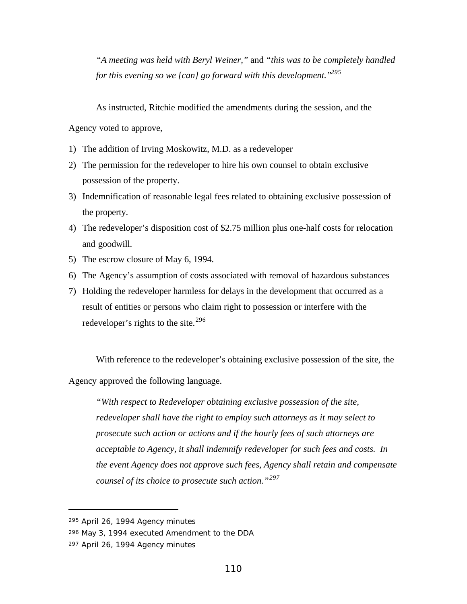*"A meeting was held with Beryl Weiner,"* and *"this was to be completely handled for this evening so we [can] go forward with this development."<sup>295</sup>*

As instructed, Ritchie modified the amendments during the session, and the

Agency voted to approve,

- 1) The addition of Irving Moskowitz, M.D. as a redeveloper
- 2) The permission for the redeveloper to hire his own counsel to obtain exclusive possession of the property.
- 3) Indemnification of reasonable legal fees related to obtaining exclusive possession of the property.
- 4) The redeveloper's disposition cost of \$2.75 million plus one-half costs for relocation and goodwill.
- 5) The escrow closure of May 6, 1994.
- 6) The Agency's assumption of costs associated with removal of hazardous substances
- 7) Holding the redeveloper harmless for delays in the development that occurred as a result of entities or persons who claim right to possession or interfere with the redeveloper's rights to the site. $^{296}$

With reference to the redeveloper's obtaining exclusive possession of the site, the Agency approved the following language.

*"With respect to Redeveloper obtaining exclusive possession of the site, redeveloper shall have the right to employ such attorneys as it may select to prosecute such action or actions and if the hourly fees of such attorneys are acceptable to Agency, it shall indemnify redeveloper for such fees and costs. In the event Agency does not approve such fees, Agency shall retain and compensate counsel of its choice to prosecute such action."<sup>297</sup>*

<sup>295</sup> April 26, 1994 Agency minutes

<sup>296</sup> May 3, 1994 executed Amendment to the DDA

<sup>297</sup> April 26, 1994 Agency minutes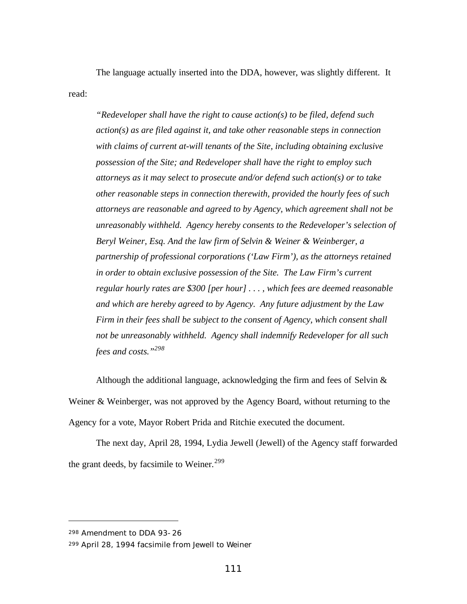The language actually inserted into the DDA, however, was slightly different. It read:

*"Redeveloper shall have the right to cause action(s) to be filed, defend such action(s) as are filed against it, and take other reasonable steps in connection with claims of current at-will tenants of the Site, including obtaining exclusive possession of the Site; and Redeveloper shall have the right to employ such attorneys as it may select to prosecute and/or defend such action(s) or to take other reasonable steps in connection therewith, provided the hourly fees of such attorneys are reasonable and agreed to by Agency, which agreement shall not be unreasonably withheld. Agency hereby consents to the Redeveloper's selection of Beryl Weiner, Esq. And the law firm of Selvin & Weiner & Weinberger, a partnership of professional corporations ('Law Firm'), as the attorneys retained in order to obtain exclusive possession of the Site. The Law Firm's current regular hourly rates are \$300 [per hour] . . . , which fees are deemed reasonable and which are hereby agreed to by Agency. Any future adjustment by the Law Firm in their fees shall be subject to the consent of Agency, which consent shall not be unreasonably withheld. Agency shall indemnify Redeveloper for all such fees and costs."<sup>298</sup>*

Although the additional language, acknowledging the firm and fees of Selvin  $\&$ Weiner & Weinberger, was not approved by the Agency Board, without returning to the Agency for a vote, Mayor Robert Prida and Ritchie executed the document.

The next day, April 28, 1994, Lydia Jewell (Jewell) of the Agency staff forwarded the grant deeds, by facsimile to Weiner.<sup>299</sup>

<sup>298</sup> Amendment to DDA 93-26

<sup>299</sup> April 28, 1994 facsimile from Jewell to Weiner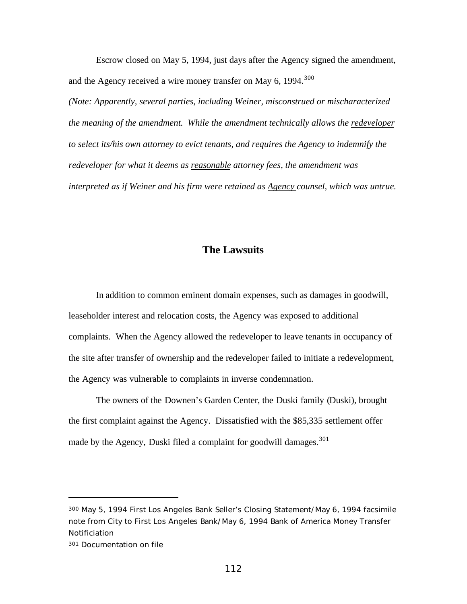Escrow closed on May 5, 1994, just days after the Agency signed the amendment, and the Agency received a wire money transfer on May 6, 1994.<sup>300</sup>

*(Note: Apparently, several parties, including Weiner, misconstrued or mischaracterized the meaning of the amendment. While the amendment technically allows the redeveloper to select its/his own attorney to evict tenants, and requires the Agency to indemnify the redeveloper for what it deems as reasonable attorney fees, the amendment was interpreted as if Weiner and his firm were retained as Agency counsel, which was untrue.*

# **The Lawsuits**

In addition to common eminent domain expenses, such as damages in goodwill, leaseholder interest and relocation costs, the Agency was exposed to additional complaints. When the Agency allowed the redeveloper to leave tenants in occupancy of the site after transfer of ownership and the redeveloper failed to initiate a redevelopment, the Agency was vulnerable to complaints in inverse condemnation.

The owners of the Downen's Garden Center, the Duski family (Duski), brought the first complaint against the Agency. Dissatisfied with the \$85,335 settlement offer made by the Agency, Duski filed a complaint for goodwill damages.<sup>301</sup>

<sup>300</sup> May 5, 1994 First Los Angeles Bank Seller's Closing Statement/May 6, 1994 facsimile note from City to First Los Angeles Bank/May 6, 1994 Bank of America Money Transfer Notificiation

<sup>301</sup> Documentation on file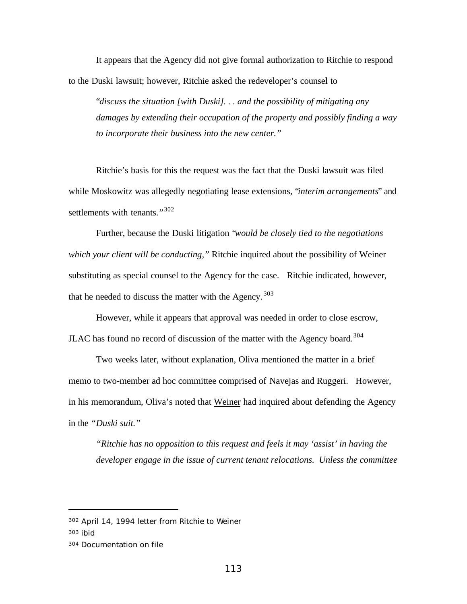It appears that the Agency did not give formal authorization to Ritchie to respond to the Duski lawsuit; however, Ritchie asked the redeveloper's counsel to

"*discuss the situation [with Duski]. . . and the possibility of mitigating any damages by extending their occupation of the property and possibly finding a way to incorporate their business into the new center."*

Ritchie's basis for this the request was the fact that the Duski lawsuit was filed while Moskowitz was allegedly negotiating lease extensions, "*interim arrangements*" and settlements with tenants.*"* 302

Further, because the Duski litigation "*would be closely tied to the negotiations which your client will be conducting,"* Ritchie inquired about the possibility of Weiner substituting as special counsel to the Agency for the case. Ritchie indicated, however, that he needed to discuss the matter with the Agency.  $303$ 

However, while it appears that approval was needed in order to close escrow, JLAC has found no record of discussion of the matter with the Agency board.<sup>304</sup>

Two weeks later, without explanation, Oliva mentioned the matter in a brief memo to two-member ad hoc committee comprised of Navejas and Ruggeri. However, in his memorandum, Oliva's noted that Weiner had inquired about defending the Agency in the *"Duski suit."*

*"Ritchie has no opposition to this request and feels it may 'assist' in having the developer engage in the issue of current tenant relocations. Unless the committee*

<sup>302</sup> April 14, 1994 letter from Ritchie to Weiner

<sup>303</sup> ibid

<sup>304</sup> Documentation on file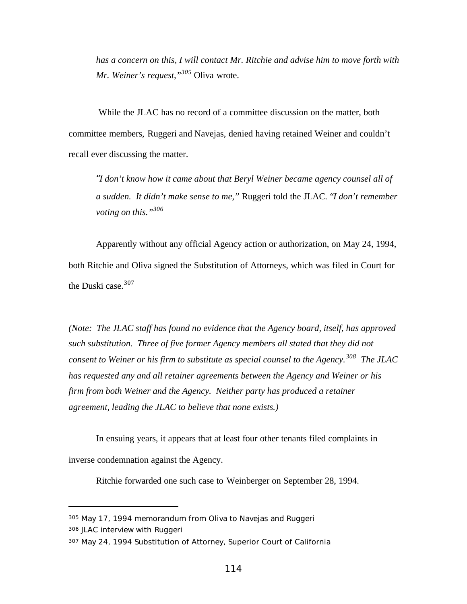*has a concern on this, I will contact Mr. Ritchie and advise him to move forth with Mr. Weiner's request,"<sup>305</sup>* Oliva wrote.

 While the JLAC has no record of a committee discussion on the matter, both committee members, Ruggeri and Navejas, denied having retained Weiner and couldn't recall ever discussing the matter.

*"I don't know how it came about that Beryl Weiner became agency counsel all of a sudden. It didn't make sense to me,"* Ruggeri told the JLAC. "*I don't remember voting on this."<sup>306</sup>*

Apparently without any official Agency action or authorization, on May 24, 1994, both Ritchie and Oliva signed the Substitution of Attorneys, which was filed in Court for the Duski case. $307$ 

*(Note: The JLAC staff has found no evidence that the Agency board, itself, has approved such substitution. Three of five former Agency members all stated that they did not consent to Weiner or his firm to substitute as special counsel to the Agency.<sup>308</sup> The JLAC has requested any and all retainer agreements between the Agency and Weiner or his firm from both Weiner and the Agency. Neither party has produced a retainer agreement, leading the JLAC to believe that none exists.)*

In ensuing years, it appears that at least four other tenants filed complaints in inverse condemnation against the Agency.

Ritchie forwarded one such case to Weinberger on September 28, 1994.

<sup>305</sup> May 17, 1994 memorandum from Oliva to Navejas and Ruggeri

<sup>306</sup> JLAC interview with Ruggeri

<sup>307</sup> May 24, 1994 Substitution of Attorney, Superior Court of California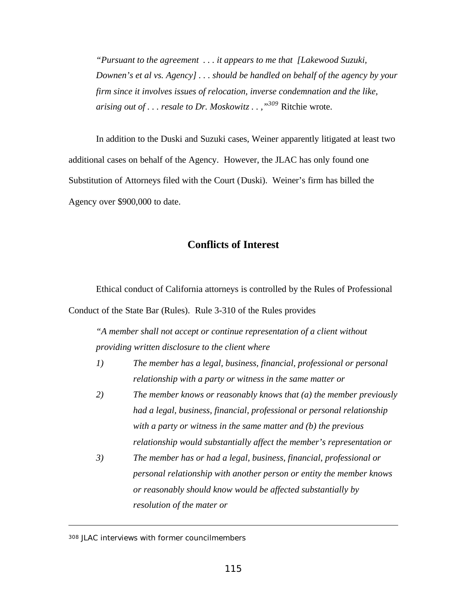*"Pursuant to the agreement . . . it appears to me that [Lakewood Suzuki, Downen's et al vs. Agency] . . . should be handled on behalf of the agency by your firm since it involves issues of relocation, inverse condemnation and the like, arising out of . . . resale to Dr. Moskowitz . . ,"<sup>309</sup>* Ritchie wrote.

In addition to the Duski and Suzuki cases, Weiner apparently litigated at least two additional cases on behalf of the Agency. However, the JLAC has only found one Substitution of Attorneys filed with the Court (Duski). Weiner's firm has billed the Agency over \$900,000 to date.

# **Conflicts of Interest**

Ethical conduct of California attorneys is controlled by the Rules of Professional Conduct of the State Bar (Rules). Rule 3-310 of the Rules provides

*"A member shall not accept or continue representation of a client without providing written disclosure to the client where*

- *1) The member has a legal, business, financial, professional or personal relationship with a party or witness in the same matter or*
- *2) The member knows or reasonably knows that (a) the member previously had a legal, business, financial, professional or personal relationship with a party or witness in the same matter and (b) the previous relationship would substantially affect the member's representation or*
- *3) The member has or had a legal, business, financial, professional or personal relationship with another person or entity the member knows or reasonably should know would be affected substantially by resolution of the mater or*

<sup>308</sup> JLAC interviews with former councilmembers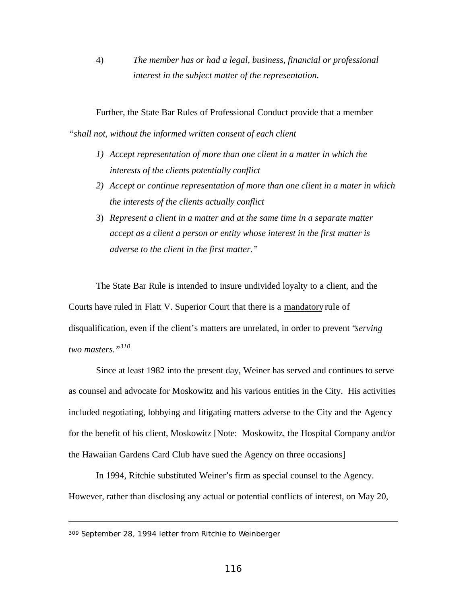4) *The member has or had a legal, business, financial or professional interest in the subject matter of the representation.*

Further, the State Bar Rules of Professional Conduct provide that a member

*"shall not, without the informed written consent of each client*

- *1) Accept representation of more than one client in a matter in which the interests of the clients potentially conflict*
- *2) Accept or continue representation of more than one client in a mater in which the interests of the clients actually conflict*
- 3) *Represent a client in a matter and at the same time in a separate matter accept as a client a person or entity whose interest in the first matter is adverse to the client in the first matter."*

The State Bar Rule is intended to insure undivided loyalty to a client, and the Courts have ruled in Flatt V. Superior Court that there is a mandatory rule of disqualification, even if the client's matters are unrelated, in order to prevent "*serving two masters."<sup>310</sup>*

Since at least 1982 into the present day, Weiner has served and continues to serve as counsel and advocate for Moskowitz and his various entities in the City. His activities included negotiating, lobbying and litigating matters adverse to the City and the Agency for the benefit of his client, Moskowitz [Note: Moskowitz, the Hospital Company and/or the Hawaiian Gardens Card Club have sued the Agency on three occasions]

In 1994, Ritchie substituted Weiner's firm as special counsel to the Agency. However, rather than disclosing any actual or potential conflicts of interest, on May 20,

309 September 28, 1994 letter from Ritchie to Weinberger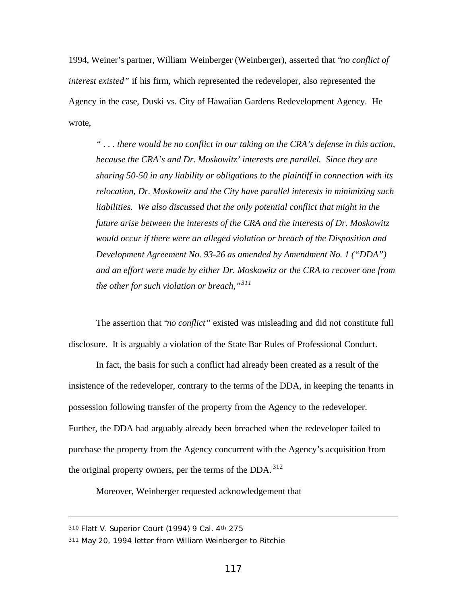1994, Weiner's partner, William Weinberger (Weinberger), asserted that "*no conflict of interest existed"* if his firm, which represented the redeveloper, also represented the Agency in the case, Duski vs. City of Hawaiian Gardens Redevelopment Agency. He wrote,

*" . . . there would be no conflict in our taking on the CRA's defense in this action, because the CRA's and Dr. Moskowitz' interests are parallel. Since they are sharing 50-50 in any liability or obligations to the plaintiff in connection with its relocation, Dr. Moskowitz and the City have parallel interests in minimizing such liabilities. We also discussed that the only potential conflict that might in the future arise between the interests of the CRA and the interests of Dr. Moskowitz would occur if there were an alleged violation or breach of the Disposition and Development Agreement No. 93-26 as amended by Amendment No. 1 ("DDA") and an effort were made by either Dr. Moskowitz or the CRA to recover one from the other for such violation or breach,"<sup>311</sup>*

The assertion that "*no conflict*" existed was misleading and did not constitute full disclosure. It is arguably a violation of the State Bar Rules of Professional Conduct.

In fact, the basis for such a conflict had already been created as a result of the insistence of the redeveloper, contrary to the terms of the DDA, in keeping the tenants in possession following transfer of the property from the Agency to the redeveloper. Further, the DDA had arguably already been breached when the redeveloper failed to purchase the property from the Agency concurrent with the Agency's acquisition from the original property owners, per the terms of the DDA.  $312$ 

Moreover, Weinberger requested acknowledgement that

<sup>310</sup> Flatt V. Superior Court (1994) 9 Cal. 4th 275

<sup>311</sup> May 20, 1994 letter from William Weinberger to Ritchie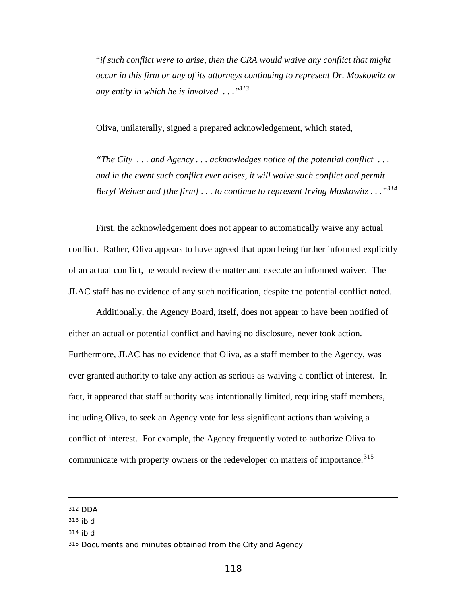"*if such conflict were to arise, then the CRA would waive any conflict that might occur in this firm or any of its attorneys continuing to represent Dr. Moskowitz or any entity in which he is involved . . ."<sup>313</sup>*

Oliva, unilaterally, signed a prepared acknowledgement, which stated,

*"The City . . . and Agency . . . acknowledges notice of the potential conflict . . . and in the event such conflict ever arises, it will waive such conflict and permit Beryl Weiner and [the firm] . . . to continue to represent Irving Moskowitz . . ."<sup>314</sup>*

First, the acknowledgement does not appear to automatically waive any actual conflict. Rather, Oliva appears to have agreed that upon being further informed explicitly of an actual conflict, he would review the matter and execute an informed waiver. The JLAC staff has no evidence of any such notification, despite the potential conflict noted.

Additionally, the Agency Board, itself, does not appear to have been notified of either an actual or potential conflict and having no disclosure, never took action. Furthermore, JLAC has no evidence that Oliva, as a staff member to the Agency, was ever granted authority to take any action as serious as waiving a conflict of interest. In fact, it appeared that staff authority was intentionally limited, requiring staff members, including Oliva, to seek an Agency vote for less significant actions than waiving a conflict of interest. For example, the Agency frequently voted to authorize Oliva to communicate with property owners or the redeveloper on matters of importance.<sup>315</sup>

<sup>314</sup> ibid

<sup>312</sup> DDA

<sup>313</sup> ibid

<sup>315</sup> Documents and minutes obtained from the City and Agency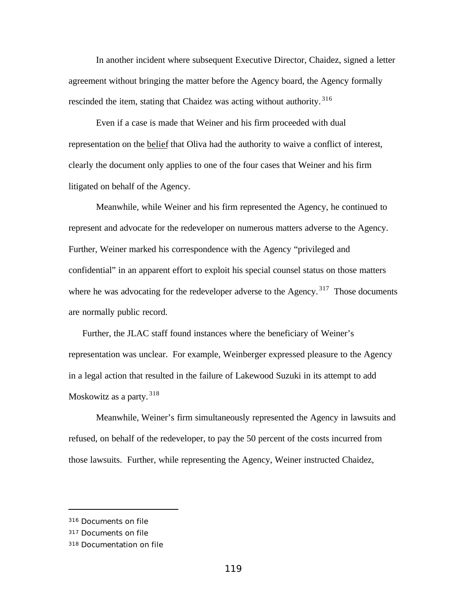In another incident where subsequent Executive Director, Chaidez, signed a letter agreement without bringing the matter before the Agency board, the Agency formally rescinded the item, stating that Chaidez was acting without authority.<sup>316</sup>

Even if a case is made that Weiner and his firm proceeded with dual representation on the belief that Oliva had the authority to waive a conflict of interest, clearly the document only applies to one of the four cases that Weiner and his firm litigated on behalf of the Agency.

Meanwhile, while Weiner and his firm represented the Agency, he continued to represent and advocate for the redeveloper on numerous matters adverse to the Agency. Further, Weiner marked his correspondence with the Agency "privileged and confidential" in an apparent effort to exploit his special counsel status on those matters where he was advocating for the redeveloper adverse to the Agency.<sup>317</sup> Those documents are normally public record.

Further, the JLAC staff found instances where the beneficiary of Weiner's representation was unclear. For example, Weinberger expressed pleasure to the Agency in a legal action that resulted in the failure of Lakewood Suzuki in its attempt to add Moskowitz as a party.<sup>318</sup>

Meanwhile, Weiner's firm simultaneously represented the Agency in lawsuits and refused, on behalf of the redeveloper, to pay the 50 percent of the costs incurred from those lawsuits. Further, while representing the Agency, Weiner instructed Chaidez,

<sup>316</sup> Documents on file

<sup>317</sup> Documents on file

<sup>318</sup> Documentation on file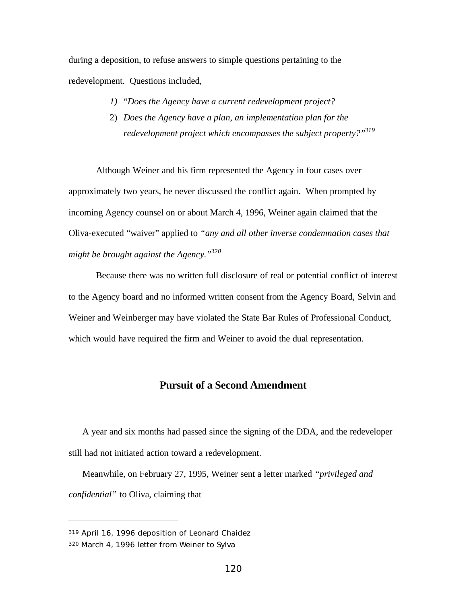during a deposition, to refuse answers to simple questions pertaining to the redevelopment. Questions included,

- *1)* "*Does the Agency have a current redevelopment project?*
- 2) *Does the Agency have a plan, an implementation plan for the redevelopment project which encompasses the subject property?"<sup>319</sup>*

Although Weiner and his firm represented the Agency in four cases over approximately two years, he never discussed the conflict again. When prompted by incoming Agency counsel on or about March 4, 1996, Weiner again claimed that the Oliva-executed "waiver" applied to *"any and all other inverse condemnation cases that might be brought against the Agency."<sup>320</sup>*

Because there was no written full disclosure of real or potential conflict of interest to the Agency board and no informed written consent from the Agency Board, Selvin and Weiner and Weinberger may have violated the State Bar Rules of Professional Conduct, which would have required the firm and Weiner to avoid the dual representation.

## **Pursuit of a Second Amendment**

A year and six months had passed since the signing of the DDA, and the redeveloper still had not initiated action toward a redevelopment.

Meanwhile, on February 27, 1995, Weiner sent a letter marked *"privileged and confidential"* to Oliva, claiming that

<sup>319</sup> April 16, 1996 deposition of Leonard Chaidez

<sup>320</sup> March 4, 1996 letter from Weiner to Sylva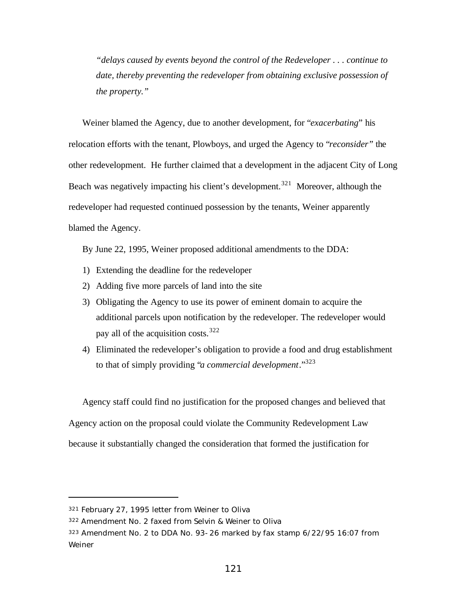*"delays caused by events beyond the control of the Redeveloper . . . continue to date, thereby preventing the redeveloper from obtaining exclusive possession of the property."*

Weiner blamed the Agency, due to another development, for "*exacerbating*" his relocation efforts with the tenant, Plowboys, and urged the Agency to "*reconsider"* the other redevelopment. He further claimed that a development in the adjacent City of Long Beach was negatively impacting his client's development.<sup>321</sup> Moreover, although the redeveloper had requested continued possession by the tenants, Weiner apparently blamed the Agency.

By June 22, 1995, Weiner proposed additional amendments to the DDA:

- 1) Extending the deadline for the redeveloper
- 2) Adding five more parcels of land into the site
- 3) Obligating the Agency to use its power of eminent domain to acquire the additional parcels upon notification by the redeveloper. The redeveloper would pay all of the acquisition costs.  $322$
- 4) Eliminated the redeveloper's obligation to provide a food and drug establishment to that of simply providing "*a commercial development*."<sup>323</sup>

Agency staff could find no justification for the proposed changes and believed that Agency action on the proposal could violate the Community Redevelopment Law because it substantially changed the consideration that formed the justification for

<sup>321</sup> February 27, 1995 letter from Weiner to Oliva

<sup>322</sup> Amendment No. 2 faxed from Selvin & Weiner to Oliva

<sup>323</sup> Amendment No. 2 to DDA No. 93-26 marked by fax stamp 6/22/95 16:07 from Weiner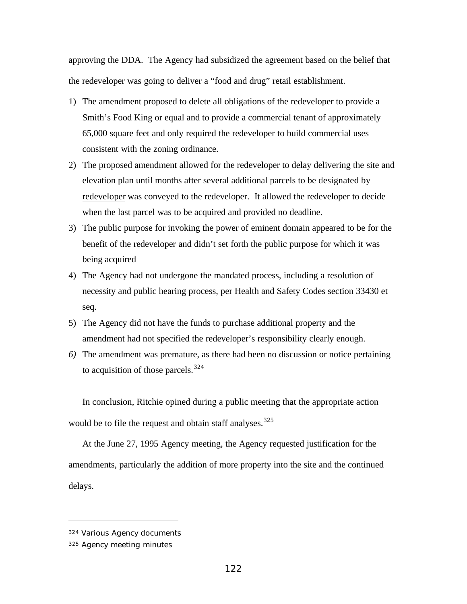approving the DDA. The Agency had subsidized the agreement based on the belief that the redeveloper was going to deliver a "food and drug" retail establishment.

- 1) The amendment proposed to delete all obligations of the redeveloper to provide a Smith's Food King or equal and to provide a commercial tenant of approximately 65,000 square feet and only required the redeveloper to build commercial uses consistent with the zoning ordinance.
- 2) The proposed amendment allowed for the redeveloper to delay delivering the site and elevation plan until months after several additional parcels to be designated by redeveloper was conveyed to the redeveloper. It allowed the redeveloper to decide when the last parcel was to be acquired and provided no deadline.
- 3) The public purpose for invoking the power of eminent domain appeared to be for the benefit of the redeveloper and didn't set forth the public purpose for which it was being acquired
- 4) The Agency had not undergone the mandated process, including a resolution of necessity and public hearing process, per Health and Safety Codes section 33430 et seq.
- 5) The Agency did not have the funds to purchase additional property and the amendment had not specified the redeveloper's responsibility clearly enough.
- *6)* The amendment was premature, as there had been no discussion or notice pertaining to acquisition of those parcels.<sup>324</sup>

In conclusion, Ritchie opined during a public meeting that the appropriate action would be to file the request and obtain staff analyses.<sup>325</sup>

At the June 27, 1995 Agency meeting, the Agency requested justification for the amendments, particularly the addition of more property into the site and the continued delays.

<sup>324</sup> Various Agency documents

<sup>325</sup> Agency meeting minutes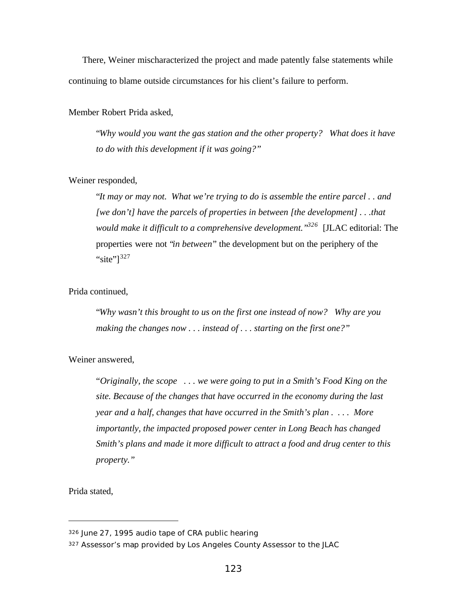There, Weiner mischaracterized the project and made patently false statements while continuing to blame outside circumstances for his client's failure to perform.

Member Robert Prida asked,

"*Why would you want the gas station and the other property? What does it have to do with this development if it was going?"*

### Weiner responded,

"*It may or may not. What we're trying to do is assemble the entire parcel . . and [we don't] have the parcels of properties in between [the development] . . .that would make it difficult to a comprehensive development."<sup>326</sup>* [JLAC editorial: The properties were not "*in between*" the development but on the periphery of the "site" $]$ <sup>327</sup>

## Prida continued,

"*Why wasn't this brought to us on the first one instead of now? Why are you making the changes now . . . instead of . . . starting on the first one?"*

Weiner answered,

"*Originally, the scope . . . we were going to put in a Smith's Food King on the site. Because of the changes that have occurred in the economy during the last year and a half, changes that have occurred in the Smith's plan . . . . More importantly, the impacted proposed power center in Long Beach has changed Smith's plans and made it more difficult to attract a food and drug center to this property."*

Prida stated,

<sup>326</sup> June 27, 1995 audio tape of CRA public hearing

<sup>327</sup> Assessor's map provided by Los Angeles County Assessor to the JLAC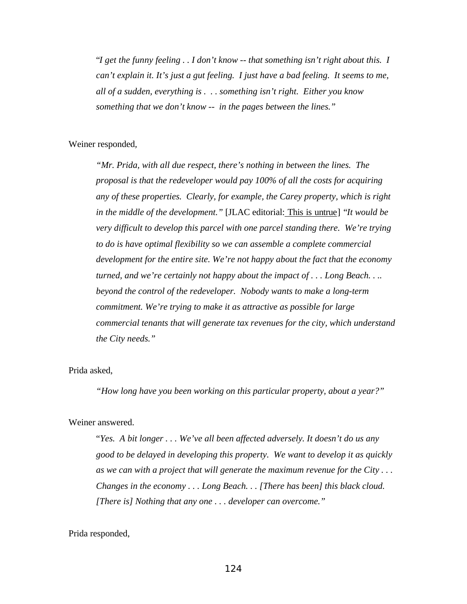"*I get the funny feeling . . I don't know -- that something isn't right about this. I can't explain it. It's just a gut feeling. I just have a bad feeling. It seems to me, all of a sudden, everything is . . . something isn't right. Either you know something that we don't know -- in the pages between the lines."*

#### Weiner responded*,*

*"Mr. Prida, with all due respect, there's nothing in between the lines. The proposal is that the redeveloper would pay 100% of all the costs for acquiring any of these properties. Clearly, for example, the Carey property, which is right in the middle of the development."* [JLAC editorial: This is untrue] "*It would be very difficult to develop this parcel with one parcel standing there. We're trying to do is have optimal flexibility so we can assemble a complete commercial development for the entire site. We're not happy about the fact that the economy turned, and we're certainly not happy about the impact of . . . Long Beach. . .. beyond the control of the redeveloper. Nobody wants to make a long-term commitment. We're trying to make it as attractive as possible for large commercial tenants that will generate tax revenues for the city, which understand the City needs."*

### Prida asked,

*"How long have you been working on this particular property, about a year?"*

#### Weiner answered.

"*Yes. A bit longer . . . We've all been affected adversely. It doesn't do us any good to be delayed in developing this property. We want to develop it as quickly as we can with a project that will generate the maximum revenue for the City . . . Changes in the economy . . . Long Beach. . . [There has been] this black cloud. [There is] Nothing that any one . . . developer can overcome."*

#### Prida responded,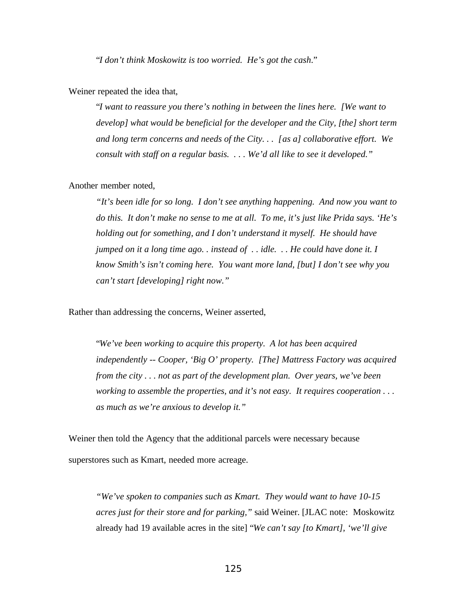"*I don't think Moskowitz is too worried. He's got the cash*."

Weiner repeated the idea that,

"*I want to reassure you there's nothing in between the lines here. [We want to develop] what would be beneficial for the developer and the City, [the] short term and long term concerns and needs of the City. . . [as a] collaborative effort. We consult with staff on a regular basis. . . . We'd all like to see it developed."*

#### Another member noted,

*"It's been idle for so long. I don't see anything happening. And now you want to do this. It don't make no sense to me at all. To me, it's just like Prida says. 'He's holding out for something, and I don't understand it myself. He should have jumped on it a long time ago. . instead of . . idle. . . He could have done it. I know Smith's isn't coming here. You want more land, [but] I don't see why you can't start [developing] right now."*

Rather than addressing the concerns, Weiner asserted,

"*We've been working to acquire this property. A lot has been acquired independently -- Cooper, 'Big O' property. [The] Mattress Factory was acquired from the city . . . not as part of the development plan. Over years, we've been working to assemble the properties, and it's not easy. It requires cooperation . . . as much as we're anxious to develop it."*

Weiner then told the Agency that the additional parcels were necessary because superstores such as Kmart, needed more acreage.

*"We've spoken to companies such as Kmart. They would want to have 10-15 acres just for their store and for parking,"* said Weiner. [JLAC note: Moskowitz already had 19 available acres in the site] "*We can't say [to Kmart], 'we'll give*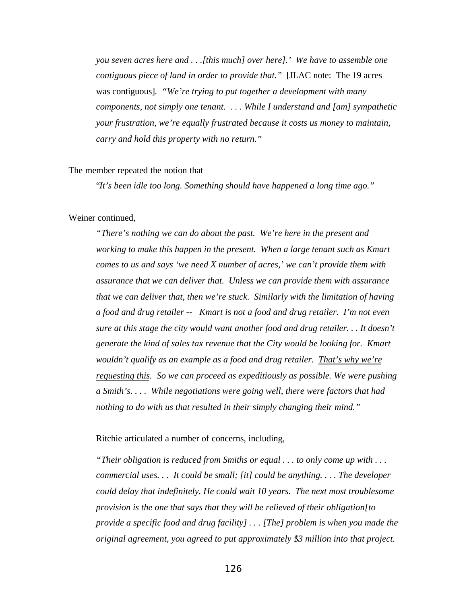*you seven acres here and . . .[this much] over here].' We have to assemble one contiguous piece of land in order to provide that."* [JLAC note: The 19 acres was contiguous]*. "We're trying to put together a development with many components, not simply one tenant. . . . While I understand and [am] sympathetic your frustration, we're equally frustrated because it costs us money to maintain, carry and hold this property with no return."*

#### The member repeated the notion that

"*It's been idle too long. Something should have happened a long time ago."*

#### Weiner continued,

*"There's nothing we can do about the past. We're here in the present and working to make this happen in the present. When a large tenant such as Kmart comes to us and says 'we need X number of acres,' we can't provide them with assurance that we can deliver that. Unless we can provide them with assurance that we can deliver that, then we're stuck. Similarly with the limitation of having a food and drug retailer -- Kmart is not a food and drug retailer. I'm not even sure at this stage the city would want another food and drug retailer. . . It doesn't generate the kind of sales tax revenue that the City would be looking for. Kmart wouldn't qualify as an example as a food and drug retailer. That's why we're requesting this. So we can proceed as expeditiously as possible. We were pushing a Smith's. . . . While negotiations were going well, there were factors that had nothing to do with us that resulted in their simply changing their mind."*

Ritchie articulated a number of concerns, including,

*"Their obligation is reduced from Smiths or equal . . . to only come up with . . . commercial uses. . . It could be small; [it] could be anything. . . . The developer could delay that indefinitely. He could wait 10 years. The next most troublesome provision is the one that says that they will be relieved of their obligation[to provide a specific food and drug facility] . . . [The] problem is when you made the original agreement, you agreed to put approximately \$3 million into that project.*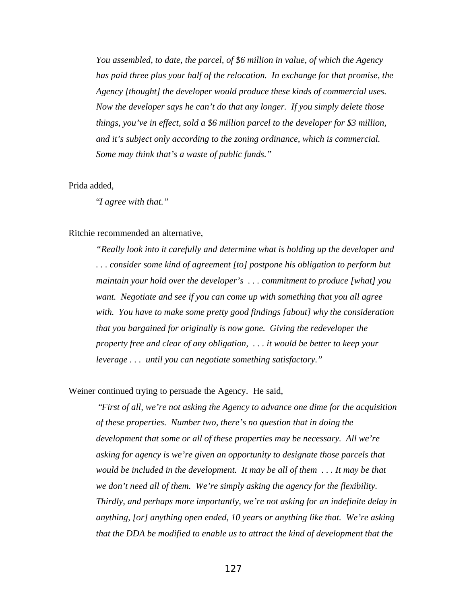*You assembled, to date, the parcel, of \$6 million in value, of which the Agency has paid three plus your half of the relocation. In exchange for that promise, the Agency [thought] the developer would produce these kinds of commercial uses. Now the developer says he can't do that any longer. If you simply delete those things, you've in effect, sold a \$6 million parcel to the developer for \$3 million, and it's subject only according to the zoning ordinance, which is commercial. Some may think that's a waste of public funds."*

#### Prida added,

"*I agree with that."*

#### Ritchie recommended an alternative,

*"Really look into it carefully and determine what is holding up the developer and . . . consider some kind of agreement [to] postpone his obligation to perform but maintain your hold over the developer's . . . commitment to produce [what] you want. Negotiate and see if you can come up with something that you all agree with. You have to make some pretty good findings [about] why the consideration that you bargained for originally is now gone. Giving the redeveloper the property free and clear of any obligation, . . . it would be better to keep your leverage . . . until you can negotiate something satisfactory."*

Weiner continued trying to persuade the Agency. He said,

 "*First of all, we're not asking the Agency to advance one dime for the acquisition of these properties. Number two, there's no question that in doing the development that some or all of these properties may be necessary. All we're asking for agency is we're given an opportunity to designate those parcels that would be included in the development. It may be all of them . . . It may be that we don't need all of them. We're simply asking the agency for the flexibility. Thirdly, and perhaps more importantly, we're not asking for an indefinite delay in anything, [or] anything open ended, 10 years or anything like that. We're asking that the DDA be modified to enable us to attract the kind of development that the*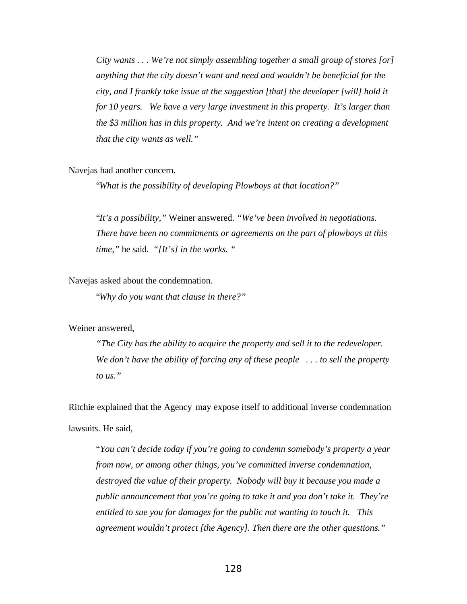*City wants . . . We're not simply assembling together a small group of stores [or] anything that the city doesn't want and need and wouldn't be beneficial for the city, and I frankly take issue at the suggestion [that] the developer [will] hold it for 10 years. We have a very large investment in this property. It's larger than the \$3 million has in this property. And we're intent on creating a development that the city wants as well."*

Navejas had another concern.

"*What is the possibility of developing Plowboys at that location?"*

"*It's a possibility,"* Weiner answered. *"We've been involved in negotiations. There have been no commitments or agreements on the part of plowboys at this time,"* he said. *"[It's] in the works. "*

Navejas asked about the condemnation.

"*Why do you want that clause in there?"*

Weiner answered,

*"The City has the ability to acquire the property and sell it to the redeveloper. We don't have the ability of forcing any of these people . . . to sell the property to us."*

Ritchie explained that the Agency may expose itself to additional inverse condemnation lawsuits. He said,

"*You can't decide today if you're going to condemn somebody's property a year from now, or among other things, you've committed inverse condemnation, destroyed the value of their property. Nobody will buy it because you made a public announcement that you're going to take it and you don't take it. They're entitled to sue you for damages for the public not wanting to touch it. This agreement wouldn't protect [the Agency]. Then there are the other questions."*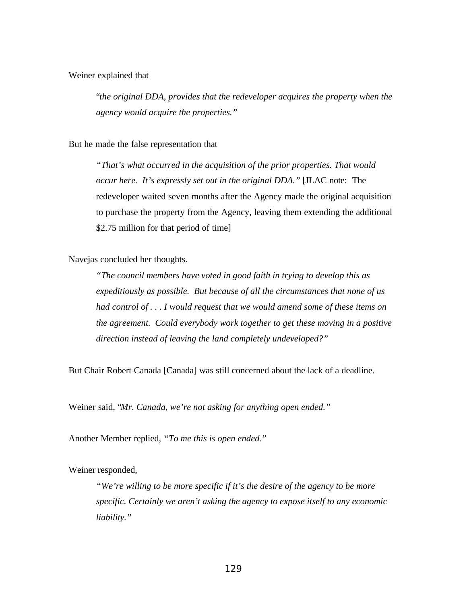## Weiner explained that

"*the original DDA, provides that the redeveloper acquires the property when the agency would acquire the properties."*

### But he made the false representation that

*"That's what occurred in the acquisition of the prior properties. That would occur here. It's expressly set out in the original DDA."* [JLAC note: The redeveloper waited seven months after the Agency made the original acquisition to purchase the property from the Agency, leaving them extending the additional \$2.75 million for that period of time

Navejas concluded her thoughts.

*"The council members have voted in good faith in trying to develop this as expeditiously as possible. But because of all the circumstances that none of us had control of . . . I would request that we would amend some of these items on the agreement. Could everybody work together to get these moving in a positive direction instead of leaving the land completely undeveloped?"*

But Chair Robert Canada [Canada] was still concerned about the lack of a deadline.

Weiner said, "*Mr. Canada, we're not asking for anything open ended."*

Another Member replied, *"To me this is open ended*."

Weiner responded,

*"We're willing to be more specific if it's the desire of the agency to be more specific. Certainly we aren't asking the agency to expose itself to any economic liability."*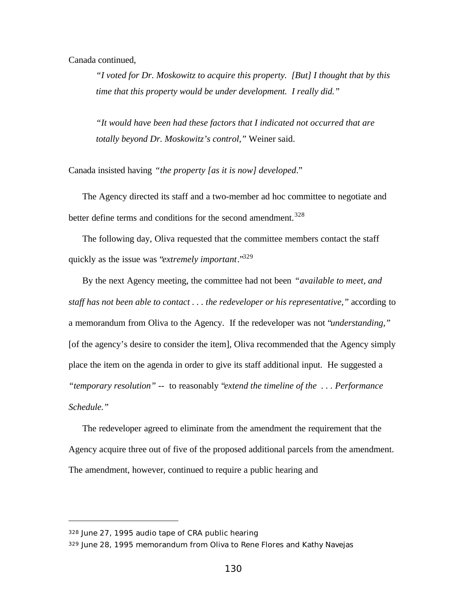Canada continued,

*"I voted for Dr. Moskowitz to acquire this property. [But] I thought that by this time that this property would be under development. I really did."*

*"It would have been had these factors that I indicated not occurred that are totally beyond Dr. Moskowitz's control,"* Weiner said.

Canada insisted having *"the property [as it is now] developed*."

The Agency directed its staff and a two-member ad hoc committee to negotiate and better define terms and conditions for the second amendment.<sup>328</sup>

The following day, Oliva requested that the committee members contact the staff quickly as the issue was "*extremely important*."<sup>329</sup>

By the next Agency meeting, the committee had not been *"available to meet, and staff has not been able to contact . . . the redeveloper or his representative,"* according to a memorandum from Oliva to the Agency. If the redeveloper was not "*understanding,"* [of the agency's desire to consider the item], Oliva recommended that the Agency simply place the item on the agenda in order to give its staff additional input. He suggested a *"temporary resolution" --* to reasonably "*extend the timeline of the . . . Performance Schedule."*

The redeveloper agreed to eliminate from the amendment the requirement that the Agency acquire three out of five of the proposed additional parcels from the amendment. The amendment, however, continued to require a public hearing and

<sup>328</sup> June 27, 1995 audio tape of CRA public hearing

<sup>329</sup> June 28, 1995 memorandum from Oliva to Rene Flores and Kathy Navejas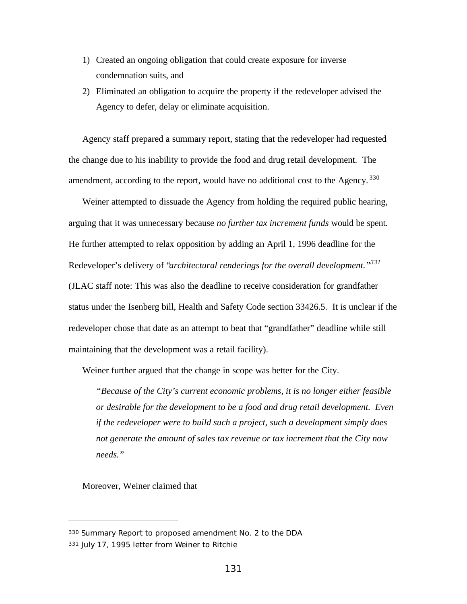- 1) Created an ongoing obligation that could create exposure for inverse condemnation suits, and
- 2) Eliminated an obligation to acquire the property if the redeveloper advised the Agency to defer, delay or eliminate acquisition.

Agency staff prepared a summary report, stating that the redeveloper had requested the change due to his inability to provide the food and drug retail development. The amendment, according to the report, would have no additional cost to the Agency.<sup>330</sup>

Weiner attempted to dissuade the Agency from holding the required public hearing, arguing that it was unnecessary because *no further tax increment funds* would be spent. He further attempted to relax opposition by adding an April 1, 1996 deadline for the Redeveloper's delivery of "*architectural renderings for the overall development."<sup>331</sup>* (JLAC staff note: This was also the deadline to receive consideration for grandfather status under the Isenberg bill, Health and Safety Code section 33426.5. It is unclear if the redeveloper chose that date as an attempt to beat that "grandfather" deadline while still maintaining that the development was a retail facility).

Weiner further argued that the change in scope was better for the City.

*"Because of the City's current economic problems, it is no longer either feasible or desirable for the development to be a food and drug retail development. Even if the redeveloper were to build such a project, such a development simply does not generate the amount of sales tax revenue or tax increment that the City now needs."*

Moreover, Weiner claimed that

<sup>330</sup> Summary Report to proposed amendment No. 2 to the DDA

<sup>331</sup> July 17, 1995 letter from Weiner to Ritchie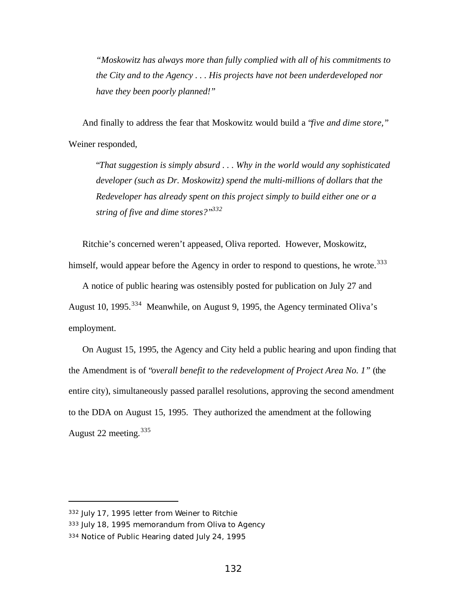*"Moskowitz has always more than fully complied with all of his commitments to the City and to the Agency . . . His projects have not been underdeveloped nor have they been poorly planned!"*

And finally to address the fear that Moskowitz would build a "*five and dime store,"* Weiner responded,

"*That suggestion is simply absurd . . . Why in the world would any sophisticated developer (such as Dr. Moskowitz) spend the multi-millions of dollars that the Redeveloper has already spent on this project simply to build either one or a string of five and dime stores?"<sup>332</sup>*

Ritchie's concerned weren't appeased, Oliva reported. However, Moskowitz, himself, would appear before the Agency in order to respond to questions, he wrote.<sup>333</sup>

A notice of public hearing was ostensibly posted for publication on July 27 and August 10, 1995.<sup>334</sup> Meanwhile, on August 9, 1995, the Agency terminated Oliva's employment.

On August 15, 1995, the Agency and City held a public hearing and upon finding that the Amendment is of "*overall benefit to the redevelopment of Project Area No. 1"* (the entire city), simultaneously passed parallel resolutions, approving the second amendment to the DDA on August 15, 1995. They authorized the amendment at the following August 22 meeting.  $335$ 

<sup>332</sup> July 17, 1995 letter from Weiner to Ritchie

<sup>333</sup> July 18, 1995 memorandum from Oliva to Agency

<sup>334</sup> Notice of Public Hearing dated July 24, 1995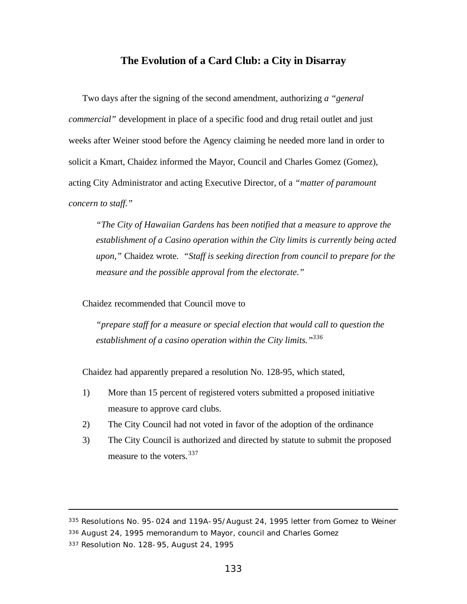# **The Evolution of a Card Club: a City in Disarray**

Two days after the signing of the second amendment, authorizing *a "general commercial"* development in place of a specific food and drug retail outlet and just weeks after Weiner stood before the Agency claiming he needed more land in order to solicit a Kmart, Chaidez informed the Mayor, Council and Charles Gomez (Gomez), acting City Administrator and acting Executive Director, of a *"matter of paramount concern to staff."*

*"The City of Hawaiian Gardens has been notified that a measure to approve the establishment of a Casino operation within the City limits is currently being acted upon,"* Chaidez wrote. *"Staff is seeking direction from council to prepare for the measure and the possible approval from the electorate."*

Chaidez recommended that Council move to

*"prepare staff for a measure or special election that would call to question the establishment of a casino operation within the City limits."<sup>336</sup>*

Chaidez had apparently prepared a resolution No. 128-95, which stated,

- 1) More than 15 percent of registered voters submitted a proposed initiative measure to approve card clubs.
- 2) The City Council had not voted in favor of the adoption of the ordinance
- 3) The City Council is authorized and directed by statute to submit the proposed measure to the voters.<sup>337</sup>

<sup>335</sup> Resolutions No. 95-024 and 119A-95/August 24, 1995 letter from Gomez to Weiner

<sup>336</sup> August 24, 1995 memorandum to Mayor, council and Charles Gomez

<sup>337</sup> Resolution No. 128-95, August 24, 1995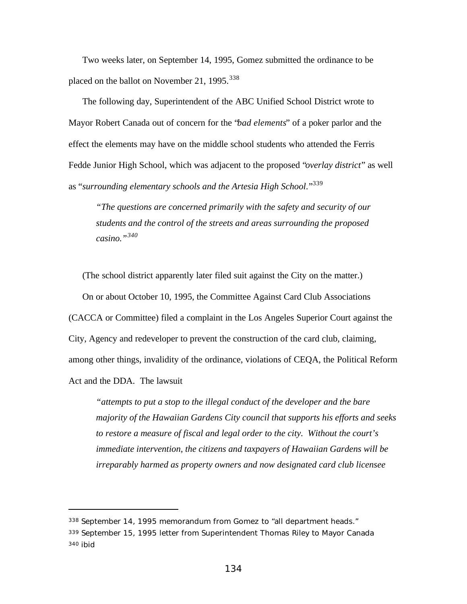Two weeks later, on September 14, 1995, Gomez submitted the ordinance to be placed on the ballot on November 21, 1995. $338$ 

The following day, Superintendent of the ABC Unified School District wrote to Mayor Robert Canada out of concern for the "*bad elements*" of a poker parlor and the effect the elements may have on the middle school students who attended the Ferris Fedde Junior High School, which was adjacent to the proposed "*overlay district*" as well as "*surrounding elementary schools and the Artesia High School*."<sup>339</sup>

*"The questions are concerned primarily with the safety and security of our students and the control of the streets and areas surrounding the proposed casino."<sup>340</sup>*

(The school district apparently later filed suit against the City on the matter.) On or about October 10, 1995, the Committee Against Card Club Associations (CACCA or Committee) filed a complaint in the Los Angeles Superior Court against the City, Agency and redeveloper to prevent the construction of the card club, claiming, among other things, invalidity of the ordinance, violations of CEQA, the Political Reform Act and the DDA. The lawsuit

*"attempts to put a stop to the illegal conduct of the developer and the bare majority of the Hawaiian Gardens City council that supports his efforts and seeks to restore a measure of fiscal and legal order to the city. Without the court's immediate intervention, the citizens and taxpayers of Hawaiian Gardens will be irreparably harmed as property owners and now designated card club licensee*

<sup>338</sup> September 14, 1995 memorandum from Gomez to "all department heads." <sup>339</sup> September 15, 1995 letter from Superintendent Thomas Riley to Mayor Canada 340 ibid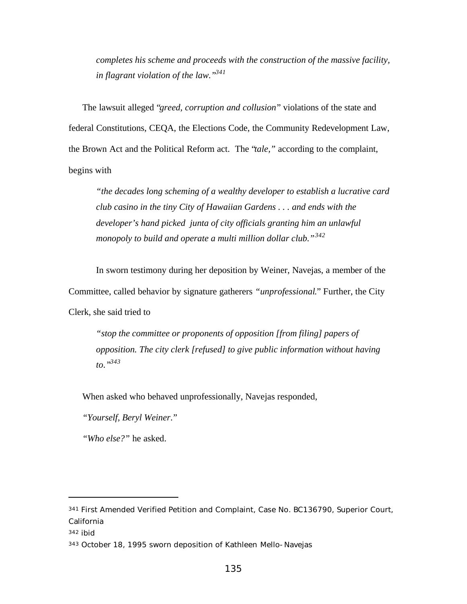*completes his scheme and proceeds with the construction of the massive facility, in flagrant violation of the law."<sup>341</sup>*

The lawsuit alleged "*greed, corruption and collusion*" violations of the state and federal Constitutions, CEQA, the Elections Code, the Community Redevelopment Law, the Brown Act and the Political Reform act. The "*tale,"* according to the complaint, begins with

*"the decades long scheming of a wealthy developer to establish a lucrative card club casino in the tiny City of Hawaiian Gardens . . . and ends with the developer's hand picked junta of city officials granting him an unlawful monopoly to build and operate a multi million dollar club."<sup>342</sup>*

In sworn testimony during her deposition by Weiner, Navejas, a member of the Committee, called behavior by signature gatherers *"unprofessional*." Further, the City Clerk, she said tried to

*"stop the committee or proponents of opposition [from filing] papers of opposition. The city clerk [refused] to give public information without having to."<sup>343</sup>*

When asked who behaved unprofessionally, Navejas responded,

*"Yourself, Beryl Weiner*."

*"Who else?"* he asked.

<sup>341</sup> First Amended Verified Petition and Complaint, Case No. BC136790, Superior Court, California

<sup>342</sup> ibid

<sup>343</sup> October 18, 1995 sworn deposition of Kathleen Mello-Navejas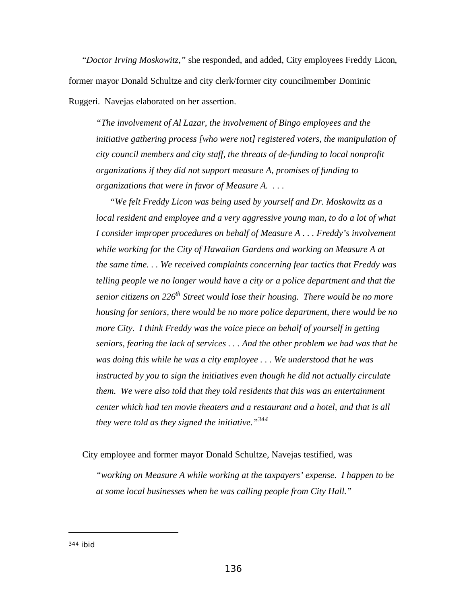"*Doctor Irving Moskowitz,"* she responded, and added, City employees Freddy Licon, former mayor Donald Schultze and city clerk/former city councilmember Dominic Ruggeri. Navejas elaborated on her assertion.

*"The involvement of Al Lazar, the involvement of Bingo employees and the initiative gathering process [who were not] registered voters, the manipulation of city council members and city staff, the threats of de-funding to local nonprofit organizations if they did not support measure A, promises of funding to organizations that were in favor of Measure A. . . .*

*"We felt Freddy Licon was being used by yourself and Dr. Moskowitz as a local resident and employee and a very aggressive young man, to do a lot of what I consider improper procedures on behalf of Measure A . . . Freddy's involvement while working for the City of Hawaiian Gardens and working on Measure A at the same time. . . We received complaints concerning fear tactics that Freddy was telling people we no longer would have a city or a police department and that the senior citizens on 226th Street would lose their housing. There would be no more housing for seniors, there would be no more police department, there would be no more City. I think Freddy was the voice piece on behalf of yourself in getting seniors, fearing the lack of services . . . And the other problem we had was that he was doing this while he was a city employee . . . We understood that he was instructed by you to sign the initiatives even though he did not actually circulate them. We were also told that they told residents that this was an entertainment center which had ten movie theaters and a restaurant and a hotel, and that is all they were told as they signed the initiative."<sup>344</sup>*

City employee and former mayor Donald Schultze, Navejas testified, was

*"working on Measure A while working at the taxpayers' expense. I happen to be at some local businesses when he was calling people from City Hall."*

<sup>344</sup> ibid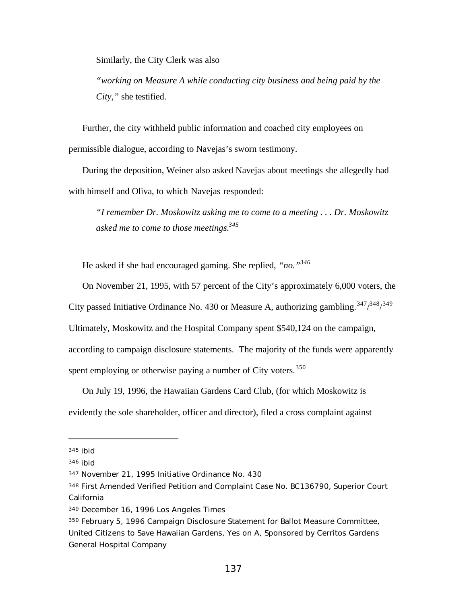Similarly, the City Clerk was also

*"working on Measure A while conducting city business and being paid by the City,"* she testified.

Further, the city withheld public information and coached city employees on permissible dialogue, according to Navejas's sworn testimony.

During the deposition, Weiner also asked Navejas about meetings she allegedly had with himself and Oliva, to which Navejas responded:

*"I remember Dr. Moskowitz asking me to come to a meeting . . . Dr. Moskowitz asked me to come to those meetings.<sup>345</sup>*

He asked if she had encouraged gaming. She replied, *"no."<sup>346</sup>*

On November 21, 1995, with 57 percent of the City's approximately 6,000 voters, the

City passed Initiative Ordinance No. 430 or Measure A, authorizing gambling.  $347/348/349$ 

Ultimately, Moskowitz and the Hospital Company spent \$540,124 on the campaign,

according to campaign disclosure statements. The majority of the funds were apparently

spent employing or otherwise paying a number of City voters.<sup>350</sup>

On July 19, 1996, the Hawaiian Gardens Card Club, (for which Moskowitz is evidently the sole shareholder, officer and director), filed a cross complaint against

<sup>345</sup> ibid

<sup>346</sup> ibid

<sup>347</sup> November 21, 1995 Initiative Ordinance No. 430

<sup>348</sup> First Amended Verified Petition and Complaint Case No. BC136790, Superior Court California

<sup>349</sup> December 16, 1996 Los Angeles Times

<sup>350</sup> February 5, 1996 Campaign Disclosure Statement for Ballot Measure Committee, United Citizens to Save Hawaiian Gardens, Yes on A, Sponsored by Cerritos Gardens General Hospital Company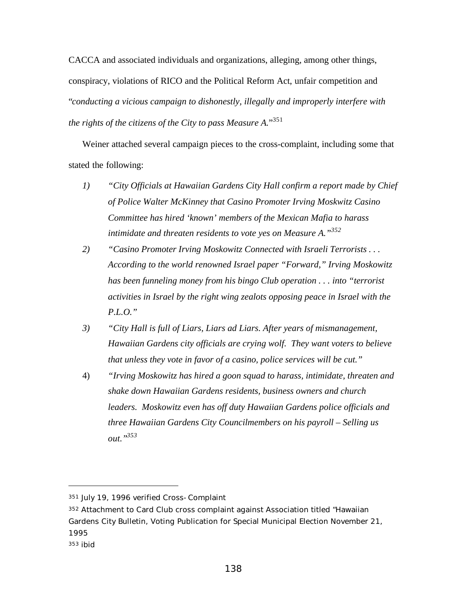CACCA and associated individuals and organizations, alleging, among other things, conspiracy, violations of RICO and the Political Reform Act, unfair competition and "*conducting a vicious campaign to dishonestly, illegally and improperly interfere with the rights of the citizens of the City to pass Measure A.*" 351

Weiner attached several campaign pieces to the cross-complaint, including some that stated the following:

- *1) "City Officials at Hawaiian Gardens City Hall confirm a report made by Chief of Police Walter McKinney that Casino Promoter Irving Moskwitz Casino Committee has hired 'known' members of the Mexican Mafia to harass intimidate and threaten residents to vote yes on Measure A."<sup>352</sup>*
- *2) "Casino Promoter Irving Moskowitz Connected with Israeli Terrorists . . . According to the world renowned Israel paper "Forward," Irving Moskowitz has been funneling money from his bingo Club operation . . . into "terrorist activities in Israel by the right wing zealots opposing peace in Israel with the P.L.O."*
- *3) "City Hall is full of Liars, Liars ad Liars. After years of mismanagement, Hawaiian Gardens city officials are crying wolf. They want voters to believe that unless they vote in favor of a casino, police services will be cut."*
- 4) *"Irving Moskowitz has hired a goon squad to harass, intimidate, threaten and shake down Hawaiian Gardens residents, business owners and church leaders. Moskowitz even has off duty Hawaiian Gardens police officials and three Hawaiian Gardens City Councilmembers on his payroll – Selling us out."<sup>353</sup>*

<sup>351</sup> July 19, 1996 verified Cross-Complaint

<sup>352</sup> Attachment to Card Club cross complaint against Association titled "Hawaiian Gardens City Bulletin, Voting Publication for Special Municipal Election November 21, 1995

<sup>353</sup> ibid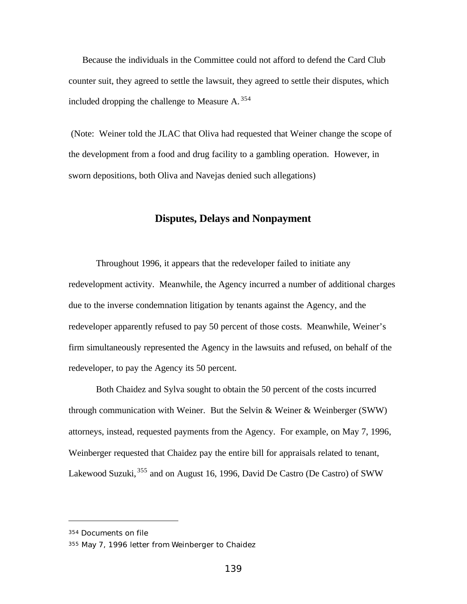Because the individuals in the Committee could not afford to defend the Card Club counter suit, they agreed to settle the lawsuit, they agreed to settle their disputes, which included dropping the challenge to Measure A.  $354$ 

 (Note: Weiner told the JLAC that Oliva had requested that Weiner change the scope of the development from a food and drug facility to a gambling operation. However, in sworn depositions, both Oliva and Navejas denied such allegations)

## **Disputes, Delays and Nonpayment**

Throughout 1996, it appears that the redeveloper failed to initiate any redevelopment activity. Meanwhile, the Agency incurred a number of additional charges due to the inverse condemnation litigation by tenants against the Agency, and the redeveloper apparently refused to pay 50 percent of those costs. Meanwhile, Weiner's firm simultaneously represented the Agency in the lawsuits and refused, on behalf of the redeveloper, to pay the Agency its 50 percent.

Both Chaidez and Sylva sought to obtain the 50 percent of the costs incurred through communication with Weiner. But the Selvin & Weiner & Weinberger (SWW) attorneys, instead, requested payments from the Agency. For example, on May 7, 1996, Weinberger requested that Chaidez pay the entire bill for appraisals related to tenant, Lakewood Suzuki, <sup>355</sup> and on August 16, 1996, David De Castro (De Castro) of SWW

<sup>354</sup> Documents on file

<sup>355</sup> May 7, 1996 letter from Weinberger to Chaidez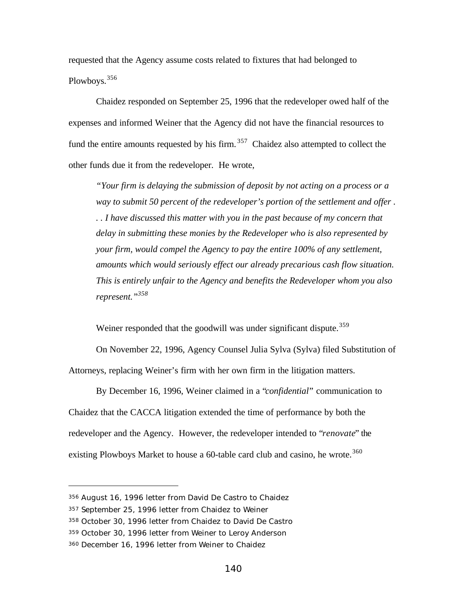requested that the Agency assume costs related to fixtures that had belonged to Plowboys.<sup>356</sup>

Chaidez responded on September 25, 1996 that the redeveloper owed half of the expenses and informed Weiner that the Agency did not have the financial resources to fund the entire amounts requested by his firm.<sup>357</sup> Chaidez also attempted to collect the other funds due it from the redeveloper. He wrote,

*"Your firm is delaying the submission of deposit by not acting on a process or a way to submit 50 percent of the redeveloper's portion of the settlement and offer . . . I have discussed this matter with you in the past because of my concern that delay in submitting these monies by the Redeveloper who is also represented by your firm, would compel the Agency to pay the entire 100% of any settlement, amounts which would seriously effect our already precarious cash flow situation. This is entirely unfair to the Agency and benefits the Redeveloper whom you also represent."<sup>358</sup>*

Weiner responded that the goodwill was under significant dispute.<sup>359</sup>

On November 22, 1996, Agency Counsel Julia Sylva (Sylva) filed Substitution of Attorneys, replacing Weiner's firm with her own firm in the litigation matters.

By December 16, 1996, Weiner claimed in a "*confidential*" communication to Chaidez that the CACCA litigation extended the time of performance by both the redeveloper and the Agency. However, the redeveloper intended to "*renovate*" the existing Plowboys Market to house a  $60$ -table card club and casino, he wrote.<sup>360</sup>

<sup>356</sup> August 16, 1996 letter from David De Castro to Chaidez

<sup>357</sup> September 25, 1996 letter from Chaidez to Weiner

<sup>358</sup> October 30, 1996 letter from Chaidez to David De Castro

<sup>359</sup> October 30, 1996 letter from Weiner to Leroy Anderson

<sup>360</sup> December 16, 1996 letter from Weiner to Chaidez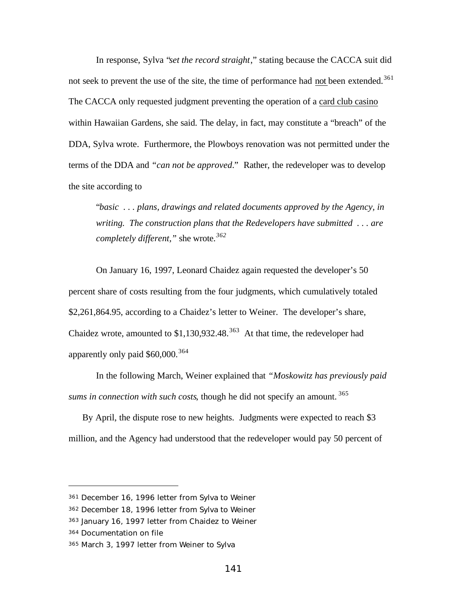In response, Sylva "*set the record straight*," stating because the CACCA suit did not seek to prevent the use of the site, the time of performance had not been extended.<sup>361</sup> The CACCA only requested judgment preventing the operation of a card club casino within Hawaiian Gardens, she said. The delay, in fact, may constitute a "breach" of the DDA, Sylva wrote. Furthermore, the Plowboys renovation was not permitted under the terms of the DDA and *"can not be approved*." Rather, the redeveloper was to develop the site according to

"*basic . . . plans, drawings and related documents approved by the Agency, in writing. The construction plans that the Redevelopers have submitted . . . are completely different,"* she wrote.*<sup>362</sup>*

On January 16, 1997, Leonard Chaidez again requested the developer's 50 percent share of costs resulting from the four judgments, which cumulatively totaled \$2,261,864.95, according to a Chaidez's letter to Weiner. The developer's share, Chaidez wrote, amounted to  $$1,130,932.48$ .<sup>363</sup> At that time, the redeveloper had apparently only paid  $$60,000.<sup>364</sup>$ 

In the following March, Weiner explained that *"Moskowitz has previously paid sums in connection with such costs*, though he did not specify an amount. <sup>365</sup>

By April, the dispute rose to new heights. Judgments were expected to reach \$3 million, and the Agency had understood that the redeveloper would pay 50 percent of

<sup>361</sup> December 16, 1996 letter from Sylva to Weiner

<sup>362</sup> December 18, 1996 letter from Sylva to Weiner

<sup>363</sup> January 16, 1997 letter from Chaidez to Weiner

<sup>364</sup> Documentation on file

<sup>365</sup> March 3, 1997 letter from Weiner to Sylva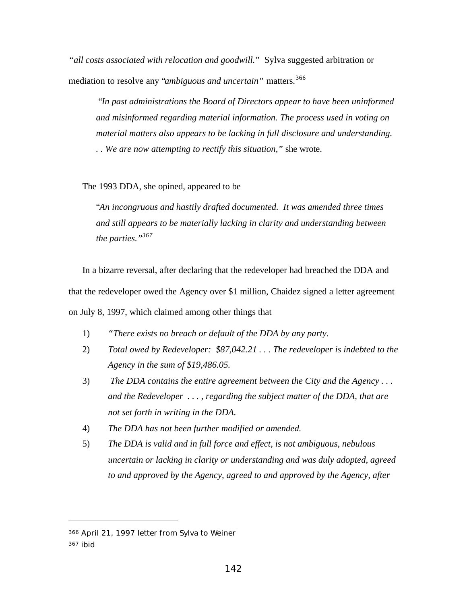*"all costs associated with relocation and goodwill.*" Sylva suggested arbitration or mediation to resolve any "*ambiguous and uncertain"* matters.<sup>366</sup>

 "*In past administrations the Board of Directors appear to have been uninformed and misinformed regarding material information. The process used in voting on material matters also appears to be lacking in full disclosure and understanding.*

*. . We are now attempting to rectify this situation,"* she wrote.

The 1993 DDA, she opined, appeared to be

"*An incongruous and hastily drafted documented. It was amended three times and still appears to be materially lacking in clarity and understanding between the parties."<sup>367</sup>*

In a bizarre reversal, after declaring that the redeveloper had breached the DDA and that the redeveloper owed the Agency over \$1 million, Chaidez signed a letter agreement on July 8, 1997, which claimed among other things that

- 1) *"There exists no breach or default of the DDA by any party.*
- 2) *Total owed by Redeveloper: \$87,042.21 . . . The redeveloper is indebted to the Agency in the sum of \$19,486.05.*
- 3) *The DDA contains the entire agreement between the City and the Agency . . . and the Redeveloper . . . , regarding the subject matter of the DDA, that are not set forth in writing in the DDA.*
- 4) *The DDA has not been further modified or amended.*
- 5) *The DDA is valid and in full force and effect, is not ambiguous, nebulous uncertain or lacking in clarity or understanding and was duly adopted, agreed to and approved by the Agency, agreed to and approved by the Agency, after*

<sup>366</sup> April 21, 1997 letter from Sylva to Weiner

<sup>367</sup> ibid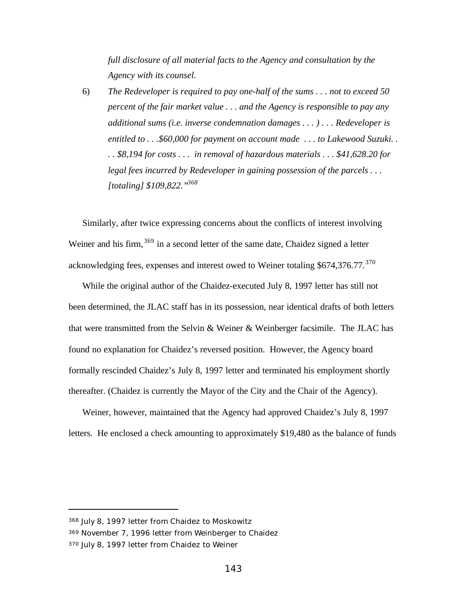*full disclosure of all material facts to the Agency and consultation by the Agency with its counsel.*

6) *The Redeveloper is required to pay one-half of the sums . . . not to exceed 50 percent of the fair market value . . . and the Agency is responsible to pay any additional sums (i.e. inverse condemnation damages . . . ) . . . Redeveloper is entitled to . . .\$60,000 for payment on account made . . . to Lakewood Suzuki. . . . \$8,194 for costs . . . in removal of hazardous materials . . . \$41,628.20 for legal fees incurred by Redeveloper in gaining possession of the parcels . . . [totaling] \$109,822."<sup>368</sup>*

Similarly, after twice expressing concerns about the conflicts of interest involving Weiner and his firm,  $369$  in a second letter of the same date, Chaidez signed a letter acknowledging fees, expenses and interest owed to Weiner totaling  $$674,376.77$ .<sup>370</sup>

While the original author of the Chaidez-executed July 8, 1997 letter has still not been determined, the JLAC staff has in its possession, near identical drafts of both letters that were transmitted from the Selvin & Weiner & Weinberger facsimile. The JLAC has found no explanation for Chaidez's reversed position. However, the Agency board formally rescinded Chaidez's July 8, 1997 letter and terminated his employment shortly thereafter. (Chaidez is currently the Mayor of the City and the Chair of the Agency).

Weiner, however, maintained that the Agency had approved Chaidez's July 8, 1997 letters. He enclosed a check amounting to approximately \$19,480 as the balance of funds

<sup>368</sup> July 8, 1997 letter from Chaidez to Moskowitz

<sup>369</sup> November 7, 1996 letter from Weinberger to Chaidez

<sup>370</sup> July 8, 1997 letter from Chaidez to Weiner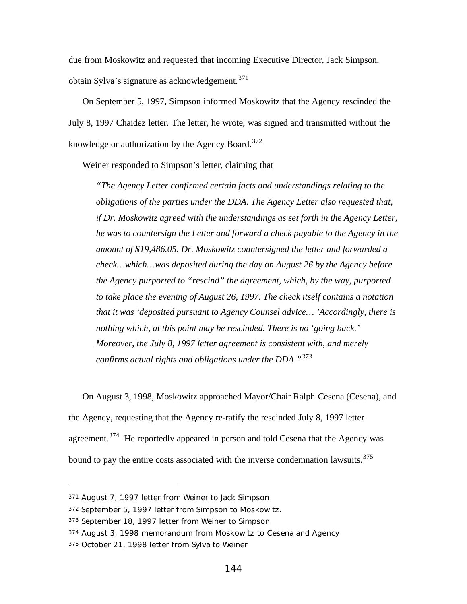due from Moskowitz and requested that incoming Executive Director, Jack Simpson, obtain Sylva's signature as acknowledgement.<sup>371</sup>

On September 5, 1997, Simpson informed Moskowitz that the Agency rescinded the July 8, 1997 Chaidez letter. The letter, he wrote, was signed and transmitted without the knowledge or authorization by the Agency Board.<sup>372</sup>

Weiner responded to Simpson's letter, claiming that

*"The Agency Letter confirmed certain facts and understandings relating to the obligations of the parties under the DDA. The Agency Letter also requested that, if Dr. Moskowitz agreed with the understandings as set forth in the Agency Letter, he was to countersign the Letter and forward a check payable to the Agency in the amount of \$19,486.05. Dr. Moskowitz countersigned the letter and forwarded a check…which…was deposited during the day on August 26 by the Agency before the Agency purported to "rescind" the agreement, which, by the way, purported to take place the evening of August 26, 1997. The check itself contains a notation that it was 'deposited pursuant to Agency Counsel advice… 'Accordingly, there is nothing which, at this point may be rescinded. There is no 'going back.' Moreover, the July 8, 1997 letter agreement is consistent with, and merely confirms actual rights and obligations under the DDA."<sup>373</sup>*

On August 3, 1998, Moskowitz approached Mayor/Chair Ralph Cesena (Cesena), and the Agency, requesting that the Agency re-ratify the rescinded July 8, 1997 letter agreement.<sup>374</sup> He reportedly appeared in person and told Cesena that the Agency was bound to pay the entire costs associated with the inverse condemnation lawsuits.<sup>375</sup>

<sup>371</sup> August 7, 1997 letter from Weiner to Jack Simpson

<sup>372</sup> September 5, 1997 letter from Simpson to Moskowitz.

<sup>373</sup> September 18, 1997 letter from Weiner to Simpson

<sup>374</sup> August 3, 1998 memorandum from Moskowitz to Cesena and Agency

<sup>375</sup> October 21, 1998 letter from Sylva to Weiner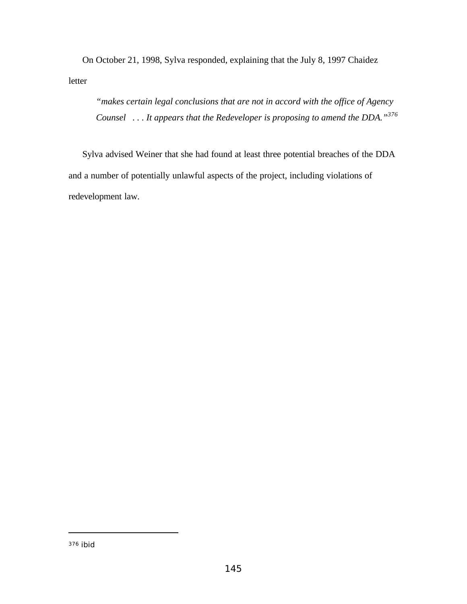On October 21, 1998, Sylva responded, explaining that the July 8, 1997 Chaidez letter

*"makes certain legal conclusions that are not in accord with the office of Agency Counsel . . . It appears that the Redeveloper is proposing to amend the DDA."<sup>376</sup>*

Sylva advised Weiner that she had found at least three potential breaches of the DDA and a number of potentially unlawful aspects of the project, including violations of redevelopment law.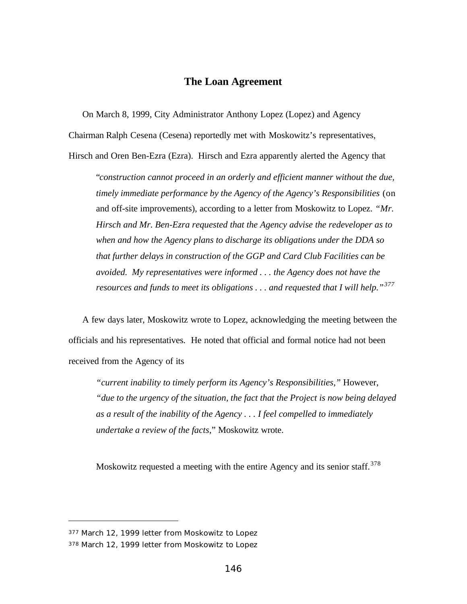## **The Loan Agreement**

On March 8, 1999, City Administrator Anthony Lopez (Lopez) and Agency

Chairman Ralph Cesena (Cesena) reportedly met with Moskowitz's representatives,

Hirsch and Oren Ben-Ezra (Ezra). Hirsch and Ezra apparently alerted the Agency that

"*construction cannot proceed in an orderly and efficient manner without the due, timely immediate performance by the Agency of the Agency's Responsibilities* (on and off-site improvements), according to a letter from Moskowitz to Lopez. *"Mr. Hirsch and Mr. Ben-Ezra requested that the Agency advise the redeveloper as to when and how the Agency plans to discharge its obligations under the DDA so that further delays in construction of the GGP and Card Club Facilities can be avoided. My representatives were informed . . . the Agency does not have the resources and funds to meet its obligations . . . and requested that I will help."<sup>377</sup>*

A few days later, Moskowitz wrote to Lopez, acknowledging the meeting between the officials and his representatives. He noted that official and formal notice had not been received from the Agency of its

*"current inability to timely perform its Agency's Responsibilities,"* However, *"due to the urgency of the situation, the fact that the Project is now being delayed as a result of the inability of the Agency . . . I feel compelled to immediately undertake a review of the facts,*" Moskowitz wrote.

Moskowitz requested a meeting with the entire Agency and its senior staff.<sup>378</sup>

<sup>377</sup> March 12, 1999 letter from Moskowitz to Lopez

<sup>378</sup> March 12, 1999 letter from Moskowitz to Lopez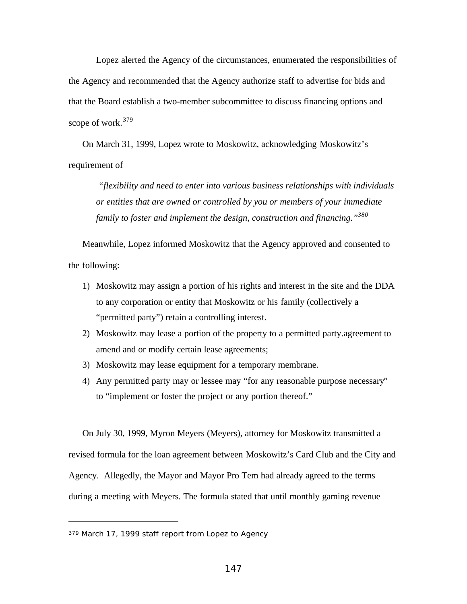Lopez alerted the Agency of the circumstances, enumerated the responsibilities of the Agency and recommended that the Agency authorize staff to advertise for bids and that the Board establish a two-member subcommittee to discuss financing options and scope of work. $379$ 

On March 31, 1999, Lopez wrote to Moskowitz, acknowledging Moskowitz's requirement of

 *"flexibility and need to enter into various business relationships with individuals or entities that are owned or controlled by you or members of your immediate family to foster and implement the design, construction and financing."<sup>380</sup>*

Meanwhile, Lopez informed Moskowitz that the Agency approved and consented to the following:

- 1) Moskowitz may assign a portion of his rights and interest in the site and the DDA to any corporation or entity that Moskowitz or his family (collectively a "permitted party") retain a controlling interest.
- 2) Moskowitz may lease a portion of the property to a permitted party.agreement to amend and or modify certain lease agreements;
- 3) Moskowitz may lease equipment for a temporary membrane.
- 4) Any permitted party may or lessee may "for any reasonable purpose necessary" to "implement or foster the project or any portion thereof."

On July 30, 1999, Myron Meyers (Meyers), attorney for Moskowitz transmitted a revised formula for the loan agreement between Moskowitz's Card Club and the City and Agency. Allegedly, the Mayor and Mayor Pro Tem had already agreed to the terms during a meeting with Meyers. The formula stated that until monthly gaming revenue

<sup>379</sup> March 17, 1999 staff report from Lopez to Agency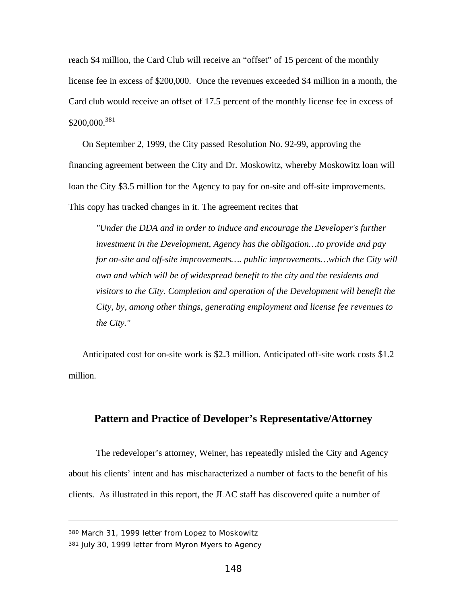reach \$4 million, the Card Club will receive an "offset" of 15 percent of the monthly license fee in excess of \$200,000. Once the revenues exceeded \$4 million in a month, the Card club would receive an offset of 17.5 percent of the monthly license fee in excess of  $$200,000.<sup>381</sup>$ 

On September 2, 1999, the City passed Resolution No. 92-99, approving the financing agreement between the City and Dr. Moskowitz, whereby Moskowitz loan will loan the City \$3.5 million for the Agency to pay for on-site and off-site improvements. This copy has tracked changes in it. The agreement recites that

*"Under the DDA and in order to induce and encourage the Developer's further investment in the Development, Agency has the obligation…to provide and pay* for on-site and off-site improvements.... public improvements...which the City will *own and which will be of widespread benefit to the city and the residents and visitors to the City. Completion and operation of the Development will benefit the City, by, among other things, generating employment and license fee revenues to the City."*

Anticipated cost for on-site work is \$2.3 million. Anticipated off-site work costs \$1.2 million.

## **Pattern and Practice of Developer's Representative/Attorney**

The redeveloper's attorney, Weiner, has repeatedly misled the City and Agency about his clients' intent and has mischaracterized a number of facts to the benefit of his clients. As illustrated in this report, the JLAC staff has discovered quite a number of

<sup>380</sup> March 31, 1999 letter from Lopez to Moskowitz

<sup>381</sup> July 30, 1999 letter from Myron Myers to Agency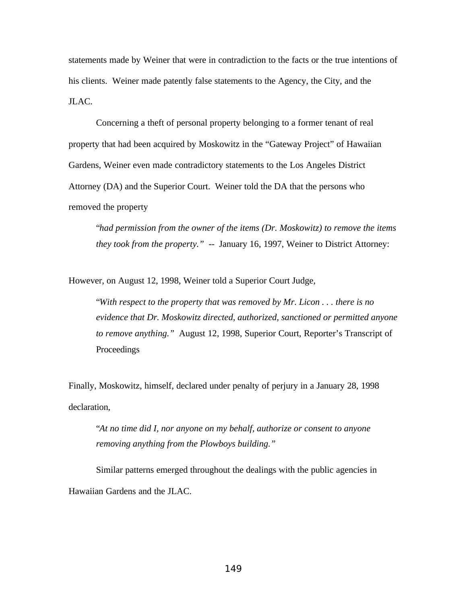statements made by Weiner that were in contradiction to the facts or the true intentions of his clients. Weiner made patently false statements to the Agency, the City, and the JLAC.

Concerning a theft of personal property belonging to a former tenant of real property that had been acquired by Moskowitz in the "Gateway Project" of Hawaiian Gardens, Weiner even made contradictory statements to the Los Angeles District Attorney (DA) and the Superior Court. Weiner told the DA that the persons who removed the property

"*had permission from the owner of the items (Dr. Moskowitz) to remove the items they took from the property." --* January 16, 1997, Weiner to District Attorney:

However, on August 12, 1998, Weiner told a Superior Court Judge,

"*With respect to the property that was removed by Mr. Licon . . . there is no evidence that Dr. Moskowitz directed, authorized, sanctioned or permitted anyone to remove anything."* August 12, 1998, Superior Court, Reporter's Transcript of Proceedings

Finally, Moskowitz, himself, declared under penalty of perjury in a January 28, 1998 declaration,

"*At no time did I, nor anyone on my behalf, authorize or consent to anyone removing anything from the Plowboys building."*

Similar patterns emerged throughout the dealings with the public agencies in Hawaiian Gardens and the JLAC.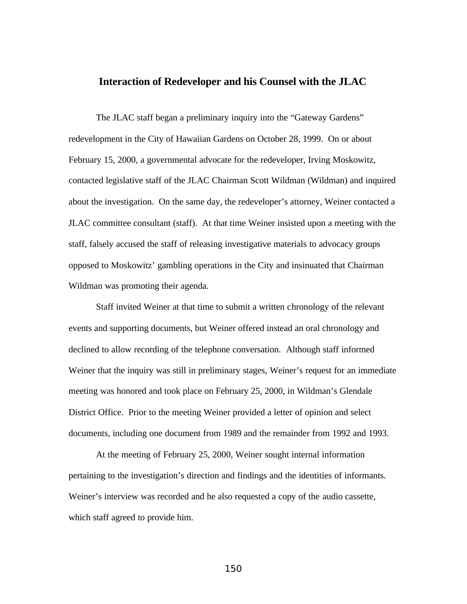## **Interaction of Redeveloper and his Counsel with the JLAC**

The JLAC staff began a preliminary inquiry into the "Gateway Gardens" redevelopment in the City of Hawaiian Gardens on October 28, 1999. On or about February 15, 2000, a governmental advocate for the redeveloper, Irving Moskowitz, contacted legislative staff of the JLAC Chairman Scott Wildman (Wildman) and inquired about the investigation. On the same day, the redeveloper's attorney, Weiner contacted a JLAC committee consultant (staff). At that time Weiner insisted upon a meeting with the staff, falsely accused the staff of releasing investigative materials to advocacy groups opposed to Moskowitz' gambling operations in the City and insinuated that Chairman Wildman was promoting their agenda.

Staff invited Weiner at that time to submit a written chronology of the relevant events and supporting documents, but Weiner offered instead an oral chronology and declined to allow recording of the telephone conversation. Although staff informed Weiner that the inquiry was still in preliminary stages, Weiner's request for an immediate meeting was honored and took place on February 25, 2000, in Wildman's Glendale District Office. Prior to the meeting Weiner provided a letter of opinion and select documents, including one document from 1989 and the remainder from 1992 and 1993.

At the meeting of February 25, 2000, Weiner sought internal information pertaining to the investigation's direction and findings and the identities of informants. Weiner's interview was recorded and he also requested a copy of the audio cassette, which staff agreed to provide him.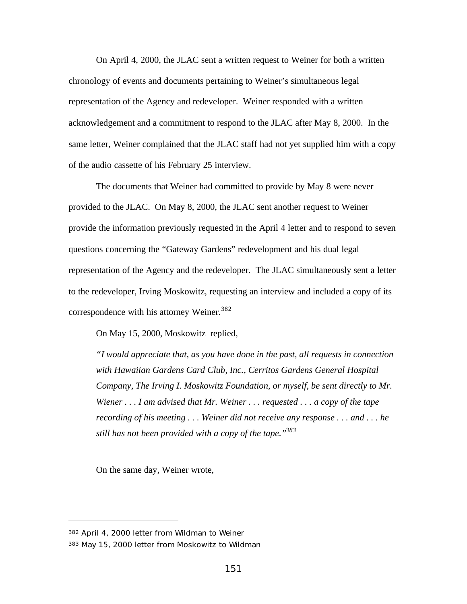On April 4, 2000, the JLAC sent a written request to Weiner for both a written chronology of events and documents pertaining to Weiner's simultaneous legal representation of the Agency and redeveloper. Weiner responded with a written acknowledgement and a commitment to respond to the JLAC after May 8, 2000. In the same letter, Weiner complained that the JLAC staff had not yet supplied him with a copy of the audio cassette of his February 25 interview.

The documents that Weiner had committed to provide by May 8 were never provided to the JLAC. On May 8, 2000, the JLAC sent another request to Weiner provide the information previously requested in the April 4 letter and to respond to seven questions concerning the "Gateway Gardens" redevelopment and his dual legal representation of the Agency and the redeveloper. The JLAC simultaneously sent a letter to the redeveloper, Irving Moskowitz, requesting an interview and included a copy of its correspondence with his attorney Weiner.<sup>382</sup>

On May 15, 2000, Moskowitz replied,

*"I would appreciate that, as you have done in the past, all requests in connection with Hawaiian Gardens Card Club, Inc., Cerritos Gardens General Hospital Company, The Irving I. Moskowitz Foundation, or myself, be sent directly to Mr. Wiener . . . I am advised that Mr. Weiner . . . requested . . . a copy of the tape recording of his meeting . . . Weiner did not receive any response . . . and . . . he still has not been provided with a copy of the tape."<sup>383</sup>*

On the same day, Weiner wrote,

<sup>382</sup> April 4, 2000 letter from Wildman to Weiner

<sup>383</sup> May 15, 2000 letter from Moskowitz to Wildman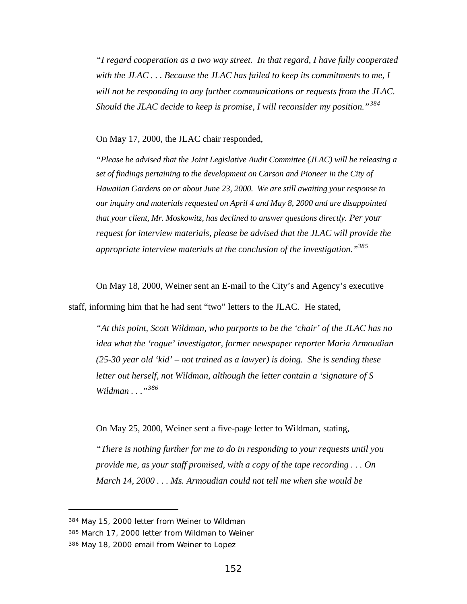*"I regard cooperation as a two way street. In that regard, I have fully cooperated with the JLAC . . . Because the JLAC has failed to keep its commitments to me, I will not be responding to any further communications or requests from the JLAC. Should the JLAC decide to keep is promise, I will reconsider my position."<sup>384</sup>*

On May 17, 2000, the JLAC chair responded,

*"Please be advised that the Joint Legislative Audit Committee (JLAC) will be releasing a set of findings pertaining to the development on Carson and Pioneer in the City of Hawaiian Gardens on or about June 23, 2000. We are still awaiting your response to our inquiry and materials requested on April 4 and May 8, 2000 and are disappointed that your client, Mr. Moskowitz, has declined to answer questions directly. Per your request for interview materials, please be advised that the JLAC will provide the appropriate interview materials at the conclusion of the investigation."<sup>385</sup>*

On May 18, 2000, Weiner sent an E-mail to the City's and Agency's executive

staff, informing him that he had sent "two" letters to the JLAC. He stated,

*"At this point, Scott Wildman, who purports to be the 'chair' of the JLAC has no idea what the 'rogue' investigator, former newspaper reporter Maria Armoudian (25-30 year old 'kid' – not trained as a lawyer) is doing. She is sending these letter out herself, not Wildman, although the letter contain a 'signature of S Wildman . . ."<sup>386</sup>*

On May 25, 2000, Weiner sent a five-page letter to Wildman, stating,

*"There is nothing further for me to do in responding to your requests until you provide me, as your staff promised, with a copy of the tape recording . . . On March 14, 2000 . . . Ms. Armoudian could not tell me when she would be*

<sup>384</sup> May 15, 2000 letter from Weiner to Wildman

<sup>385</sup> March 17, 2000 letter from Wildman to Weiner

<sup>386</sup> May 18, 2000 email from Weiner to Lopez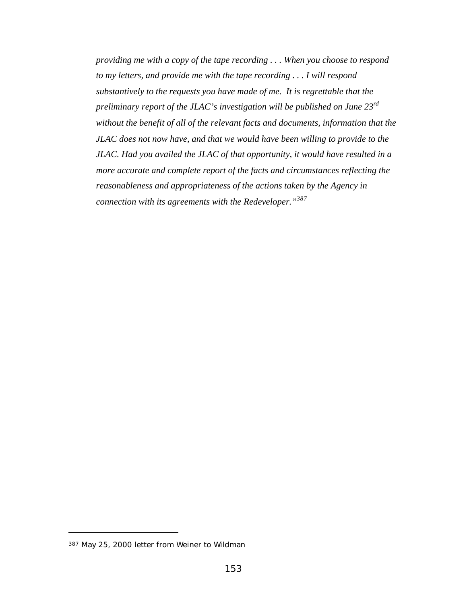*providing me with a copy of the tape recording . . . When you choose to respond to my letters, and provide me with the tape recording . . . I will respond substantively to the requests you have made of me. It is regrettable that the preliminary report of the JLAC's investigation will be published on June 23rd without the benefit of all of the relevant facts and documents, information that the JLAC does not now have, and that we would have been willing to provide to the JLAC. Had you availed the JLAC of that opportunity, it would have resulted in a more accurate and complete report of the facts and circumstances reflecting the reasonableness and appropriateness of the actions taken by the Agency in connection with its agreements with the Redeveloper."<sup>387</sup>*

<sup>387</sup> May 25, 2000 letter from Weiner to Wildman